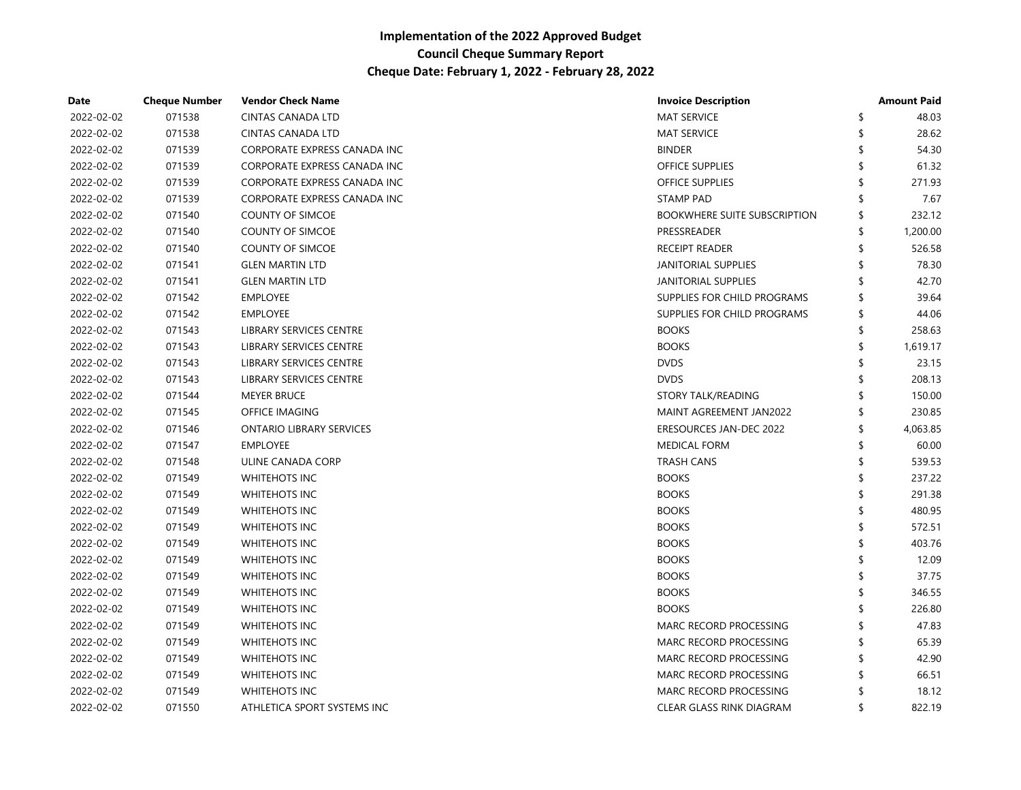| Date       | <b>Cheque Number</b> | <b>Vendor Check Name</b>        | <b>Invoice Description</b>          | <b>Amount Paid</b> |
|------------|----------------------|---------------------------------|-------------------------------------|--------------------|
| 2022-02-02 | 071538               | CINTAS CANADA LTD               | <b>MAT SERVICE</b>                  | \$<br>48.03        |
| 2022-02-02 | 071538               | <b>CINTAS CANADA LTD</b>        | <b>MAT SERVICE</b>                  | 28.62              |
| 2022-02-02 | 071539               | CORPORATE EXPRESS CANADA INC    | <b>BINDER</b>                       | 54.30              |
| 2022-02-02 | 071539               | CORPORATE EXPRESS CANADA INC    | OFFICE SUPPLIES                     | 61.32              |
| 2022-02-02 | 071539               | CORPORATE EXPRESS CANADA INC    | <b>OFFICE SUPPLIES</b>              | 271.93             |
| 2022-02-02 | 071539               | CORPORATE EXPRESS CANADA INC    | <b>STAMP PAD</b>                    | 7.67               |
| 2022-02-02 | 071540               | <b>COUNTY OF SIMCOE</b>         | <b>BOOKWHERE SUITE SUBSCRIPTION</b> | 232.12             |
| 2022-02-02 | 071540               | <b>COUNTY OF SIMCOE</b>         | PRESSREADER                         | 1,200.00           |
| 2022-02-02 | 071540               | <b>COUNTY OF SIMCOE</b>         | <b>RECEIPT READER</b>               | 526.58             |
| 2022-02-02 | 071541               | <b>GLEN MARTIN LTD</b>          | <b>JANITORIAL SUPPLIES</b>          | 78.30              |
| 2022-02-02 | 071541               | <b>GLEN MARTIN LTD</b>          | <b>JANITORIAL SUPPLIES</b>          | 42.70              |
| 2022-02-02 | 071542               | <b>EMPLOYEE</b>                 | SUPPLIES FOR CHILD PROGRAMS         | 39.64              |
| 2022-02-02 | 071542               | <b>EMPLOYEE</b>                 | SUPPLIES FOR CHILD PROGRAMS         | 44.06              |
| 2022-02-02 | 071543               | LIBRARY SERVICES CENTRE         | <b>BOOKS</b>                        | \$<br>258.63       |
| 2022-02-02 | 071543               | LIBRARY SERVICES CENTRE         | <b>BOOKS</b>                        | \$<br>1,619.17     |
| 2022-02-02 | 071543               | LIBRARY SERVICES CENTRE         | <b>DVDS</b>                         | \$<br>23.15        |
| 2022-02-02 | 071543               | LIBRARY SERVICES CENTRE         | <b>DVDS</b>                         | 208.13             |
| 2022-02-02 | 071544               | <b>MEYER BRUCE</b>              | <b>STORY TALK/READING</b>           | 150.00             |
| 2022-02-02 | 071545               | OFFICE IMAGING                  | MAINT AGREEMENT JAN2022             | 230.85             |
| 2022-02-02 | 071546               | <b>ONTARIO LIBRARY SERVICES</b> | ERESOURCES JAN-DEC 2022             | 4,063.85           |
| 2022-02-02 | 071547               | <b>EMPLOYEE</b>                 | <b>MEDICAL FORM</b>                 | 60.00              |
| 2022-02-02 | 071548               | ULINE CANADA CORP               | <b>TRASH CANS</b>                   | 539.53             |
| 2022-02-02 | 071549               | <b>WHITEHOTS INC</b>            | <b>BOOKS</b>                        | \$<br>237.22       |
| 2022-02-02 | 071549               | <b>WHITEHOTS INC</b>            | <b>BOOKS</b>                        | 291.38             |
| 2022-02-02 | 071549               | <b>WHITEHOTS INC</b>            | <b>BOOKS</b>                        | 480.95             |
| 2022-02-02 | 071549               | <b>WHITEHOTS INC</b>            | <b>BOOKS</b>                        | 572.51             |
| 2022-02-02 | 071549               | <b>WHITEHOTS INC</b>            | <b>BOOKS</b>                        | 403.76             |
| 2022-02-02 | 071549               | <b>WHITEHOTS INC</b>            | <b>BOOKS</b>                        | 12.09              |
| 2022-02-02 | 071549               | <b>WHITEHOTS INC</b>            | <b>BOOKS</b>                        | \$<br>37.75        |
| 2022-02-02 | 071549               | <b>WHITEHOTS INC</b>            | <b>BOOKS</b>                        | \$<br>346.55       |
| 2022-02-02 | 071549               | <b>WHITEHOTS INC</b>            | <b>BOOKS</b>                        | 226.80             |
| 2022-02-02 | 071549               | <b>WHITEHOTS INC</b>            | MARC RECORD PROCESSING              | 47.83              |
| 2022-02-02 | 071549               | <b>WHITEHOTS INC</b>            | MARC RECORD PROCESSING              | \$<br>65.39        |
| 2022-02-02 | 071549               | <b>WHITEHOTS INC</b>            | MARC RECORD PROCESSING              | 42.90              |
| 2022-02-02 | 071549               | <b>WHITEHOTS INC</b>            | MARC RECORD PROCESSING              | 66.51              |
| 2022-02-02 | 071549               | <b>WHITEHOTS INC</b>            | MARC RECORD PROCESSING              | 18.12              |
| 2022-02-02 | 071550               | ATHLETICA SPORT SYSTEMS INC     | <b>CLEAR GLASS RINK DIAGRAM</b>     | \$<br>822.19       |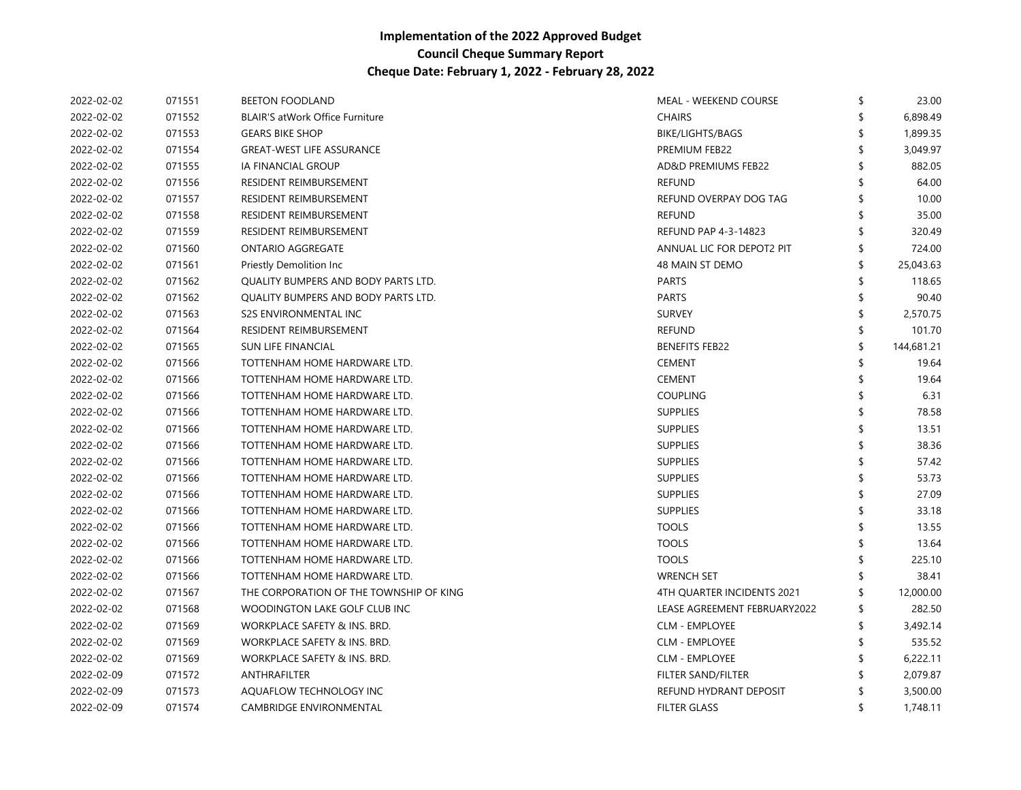| 2022-02-02 | 071551 | <b>BEETON FOODLAND</b>                  | MEAL - WEEKEND COURSE          | \$<br>23.00    |
|------------|--------|-----------------------------------------|--------------------------------|----------------|
| 2022-02-02 | 071552 | <b>BLAIR'S atWork Office Furniture</b>  | <b>CHAIRS</b>                  | 6,898.49       |
| 2022-02-02 | 071553 | <b>GEARS BIKE SHOP</b>                  | BIKE/LIGHTS/BAGS               | 1,899.35       |
| 2022-02-02 | 071554 | <b>GREAT-WEST LIFE ASSURANCE</b>        | PREMIUM FEB22                  | 3,049.97       |
| 2022-02-02 | 071555 | <b>IA FINANCIAL GROUP</b>               | <b>AD&amp;D PREMIUMS FEB22</b> | 882.05         |
| 2022-02-02 | 071556 | RESIDENT REIMBURSEMENT                  | <b>REFUND</b>                  | 64.00          |
| 2022-02-02 | 071557 | RESIDENT REIMBURSEMENT                  | REFUND OVERPAY DOG TAG         | 10.00          |
| 2022-02-02 | 071558 | RESIDENT REIMBURSEMENT                  | <b>REFUND</b>                  | 35.00          |
| 2022-02-02 | 071559 | RESIDENT REIMBURSEMENT                  | <b>REFUND PAP 4-3-14823</b>    | 320.49         |
| 2022-02-02 | 071560 | <b>ONTARIO AGGREGATE</b>                | ANNUAL LIC FOR DEPOT2 PIT      | 724.00         |
| 2022-02-02 | 071561 | Priestly Demolition Inc                 | 48 MAIN ST DEMO                | 25,043.63      |
| 2022-02-02 | 071562 | QUALITY BUMPERS AND BODY PARTS LTD.     | <b>PARTS</b>                   | 118.65         |
| 2022-02-02 | 071562 | QUALITY BUMPERS AND BODY PARTS LTD.     | <b>PARTS</b>                   | 90.40          |
| 2022-02-02 | 071563 | <b>S2S ENVIRONMENTAL INC</b>            | <b>SURVEY</b>                  | 2,570.75       |
| 2022-02-02 | 071564 | RESIDENT REIMBURSEMENT                  | <b>REFUND</b>                  | 101.70         |
| 2022-02-02 | 071565 | <b>SUN LIFE FINANCIAL</b>               | <b>BENEFITS FEB22</b>          | 144,681.21     |
| 2022-02-02 | 071566 | TOTTENHAM HOME HARDWARE LTD.            | <b>CEMENT</b>                  | 19.64          |
| 2022-02-02 | 071566 | TOTTENHAM HOME HARDWARE LTD.            | <b>CEMENT</b>                  | 19.64          |
| 2022-02-02 | 071566 | TOTTENHAM HOME HARDWARE LTD.            | <b>COUPLING</b>                | 6.31           |
| 2022-02-02 | 071566 | TOTTENHAM HOME HARDWARE LTD.            | <b>SUPPLIES</b>                | 78.58          |
| 2022-02-02 | 071566 | TOTTENHAM HOME HARDWARE LTD.            | <b>SUPPLIES</b>                | 13.51          |
| 2022-02-02 | 071566 | TOTTENHAM HOME HARDWARE LTD.            | <b>SUPPLIES</b>                | 38.36          |
| 2022-02-02 | 071566 | TOTTENHAM HOME HARDWARE LTD.            | <b>SUPPLIES</b>                | 57.42          |
| 2022-02-02 | 071566 | TOTTENHAM HOME HARDWARE LTD.            | <b>SUPPLIES</b>                | 53.73          |
| 2022-02-02 | 071566 | TOTTENHAM HOME HARDWARE LTD.            | <b>SUPPLIES</b>                | 27.09          |
| 2022-02-02 | 071566 | TOTTENHAM HOME HARDWARE LTD.            | <b>SUPPLIES</b>                | 33.18          |
| 2022-02-02 | 071566 | TOTTENHAM HOME HARDWARE LTD.            | <b>TOOLS</b>                   | 13.55          |
| 2022-02-02 | 071566 | TOTTENHAM HOME HARDWARE LTD.            | <b>TOOLS</b>                   | 13.64          |
| 2022-02-02 | 071566 | TOTTENHAM HOME HARDWARE LTD.            | <b>TOOLS</b>                   | 225.10         |
| 2022-02-02 | 071566 | TOTTENHAM HOME HARDWARE LTD.            | <b>WRENCH SET</b>              | 38.41          |
| 2022-02-02 | 071567 | THE CORPORATION OF THE TOWNSHIP OF KING | 4TH QUARTER INCIDENTS 2021     | 12,000.00      |
| 2022-02-02 | 071568 | WOODINGTON LAKE GOLF CLUB INC           | LEASE AGREEMENT FEBRUARY2022   | 282.50         |
| 2022-02-02 | 071569 | WORKPLACE SAFETY & INS. BRD.            | <b>CLM - EMPLOYEE</b>          | 3,492.14       |
| 2022-02-02 | 071569 | WORKPLACE SAFETY & INS. BRD.            | <b>CLM - EMPLOYEE</b>          | 535.52         |
| 2022-02-02 | 071569 | WORKPLACE SAFETY & INS. BRD.            | <b>CLM - EMPLOYEE</b>          | 6,222.11       |
| 2022-02-09 | 071572 | ANTHRAFILTER                            | FILTER SAND/FILTER             | 2,079.87       |
| 2022-02-09 | 071573 | AQUAFLOW TECHNOLOGY INC                 | REFUND HYDRANT DEPOSIT         | 3,500.00       |
| 2022-02-09 | 071574 | <b>CAMBRIDGE ENVIRONMENTAL</b>          | <b>FILTER GLASS</b>            | \$<br>1,748.11 |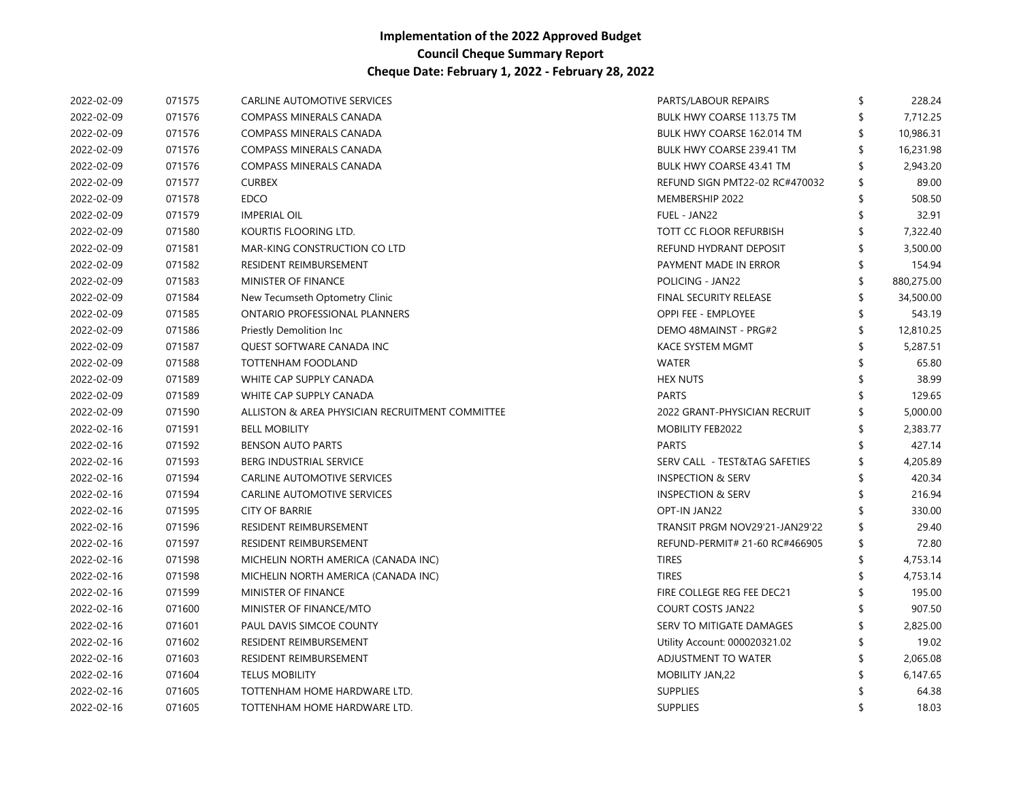| 2022-02-09 | 071575 | <b>CARLINE AUTOMOTIVE SERVICES</b>              | PARTS/LABOUR REPAIRS             | \$<br>228.24    |
|------------|--------|-------------------------------------------------|----------------------------------|-----------------|
| 2022-02-09 | 071576 | <b>COMPASS MINERALS CANADA</b>                  | <b>BULK HWY COARSE 113.75 TM</b> | \$<br>7,712.25  |
| 2022-02-09 | 071576 | COMPASS MINERALS CANADA                         | BULK HWY COARSE 162.014 TM       | 10,986.31       |
| 2022-02-09 | 071576 | COMPASS MINERALS CANADA                         | BULK HWY COARSE 239.41 TM        | 16,231.98       |
| 2022-02-09 | 071576 | COMPASS MINERALS CANADA                         | BULK HWY COARSE 43.41 TM         | 2,943.20        |
| 2022-02-09 | 071577 | <b>CURBEX</b>                                   | REFUND SIGN PMT22-02 RC#470032   | 89.00           |
| 2022-02-09 | 071578 | <b>EDCO</b>                                     | MEMBERSHIP 2022                  | 508.50          |
| 2022-02-09 | 071579 | <b>IMPERIAL OIL</b>                             | FUEL - JAN22                     | 32.91           |
| 2022-02-09 | 071580 | KOURTIS FLOORING LTD.                           | TOTT CC FLOOR REFURBISH          | 7,322.40        |
| 2022-02-09 | 071581 | MAR-KING CONSTRUCTION CO LTD                    | REFUND HYDRANT DEPOSIT           | 3,500.00        |
| 2022-02-09 | 071582 | RESIDENT REIMBURSEMENT                          | PAYMENT MADE IN ERROR            | \$<br>154.94    |
| 2022-02-09 | 071583 | MINISTER OF FINANCE                             | POLICING - JAN22                 | 880,275.00      |
| 2022-02-09 | 071584 | New Tecumseth Optometry Clinic                  | FINAL SECURITY RELEASE           | 34,500.00       |
| 2022-02-09 | 071585 | <b>ONTARIO PROFESSIONAL PLANNERS</b>            | <b>OPPI FEE - EMPLOYEE</b>       | 543.19          |
| 2022-02-09 | 071586 | Priestly Demolition Inc                         | DEMO 48MAINST - PRG#2            | \$<br>12,810.25 |
| 2022-02-09 | 071587 | QUEST SOFTWARE CANADA INC                       | <b>KACE SYSTEM MGMT</b>          | 5,287.51        |
| 2022-02-09 | 071588 | TOTTENHAM FOODLAND                              | <b>WATER</b>                     | 65.80           |
| 2022-02-09 | 071589 | WHITE CAP SUPPLY CANADA                         | <b>HEX NUTS</b>                  | 38.99           |
| 2022-02-09 | 071589 | WHITE CAP SUPPLY CANADA                         | <b>PARTS</b>                     | 129.65          |
| 2022-02-09 | 071590 | ALLISTON & AREA PHYSICIAN RECRUITMENT COMMITTEE | 2022 GRANT-PHYSICIAN RECRUIT     | 5,000.00        |
| 2022-02-16 | 071591 | <b>BELL MOBILITY</b>                            | <b>MOBILITY FEB2022</b>          | 2,383.77        |
| 2022-02-16 | 071592 | <b>BENSON AUTO PARTS</b>                        | <b>PARTS</b>                     | 427.14          |
| 2022-02-16 | 071593 | BERG INDUSTRIAL SERVICE                         | SERV CALL - TEST&TAG SAFETIES    | 4,205.89        |
| 2022-02-16 | 071594 | <b>CARLINE AUTOMOTIVE SERVICES</b>              | <b>INSPECTION &amp; SERV</b>     | 420.34          |
| 2022-02-16 | 071594 | <b>CARLINE AUTOMOTIVE SERVICES</b>              | <b>INSPECTION &amp; SERV</b>     | 216.94          |
| 2022-02-16 | 071595 | <b>CITY OF BARRIE</b>                           | OPT-IN JAN22                     | 330.00          |
| 2022-02-16 | 071596 | RESIDENT REIMBURSEMENT                          | TRANSIT PRGM NOV29'21-JAN29'22   | 29.40           |
| 2022-02-16 | 071597 | RESIDENT REIMBURSEMENT                          | REFUND-PERMIT# 21-60 RC#466905   | 72.80           |
| 2022-02-16 | 071598 | MICHELIN NORTH AMERICA (CANADA INC)             | <b>TIRES</b>                     | 4,753.14        |
| 2022-02-16 | 071598 | MICHELIN NORTH AMERICA (CANADA INC)             | <b>TIRES</b>                     | 4,753.14        |
| 2022-02-16 | 071599 | MINISTER OF FINANCE                             | FIRE COLLEGE REG FEE DEC21       | 195.00          |
| 2022-02-16 | 071600 | MINISTER OF FINANCE/MTO                         | <b>COURT COSTS JAN22</b>         | 907.50          |
| 2022-02-16 | 071601 | PAUL DAVIS SIMCOE COUNTY                        | SERV TO MITIGATE DAMAGES         | 2,825.00        |
| 2022-02-16 | 071602 | RESIDENT REIMBURSEMENT                          | Utility Account: 000020321.02    | 19.02           |
| 2022-02-16 | 071603 | RESIDENT REIMBURSEMENT                          | ADJUSTMENT TO WATER              | 2,065.08        |
| 2022-02-16 | 071604 | <b>TELUS MOBILITY</b>                           | MOBILITY JAN, 22                 | 6,147.65        |
| 2022-02-16 | 071605 | TOTTENHAM HOME HARDWARE LTD.                    | <b>SUPPLIES</b>                  | 64.38           |
| 2022-02-16 | 071605 | TOTTENHAM HOME HARDWARE LTD.                    | <b>SUPPLIES</b>                  | 18.03           |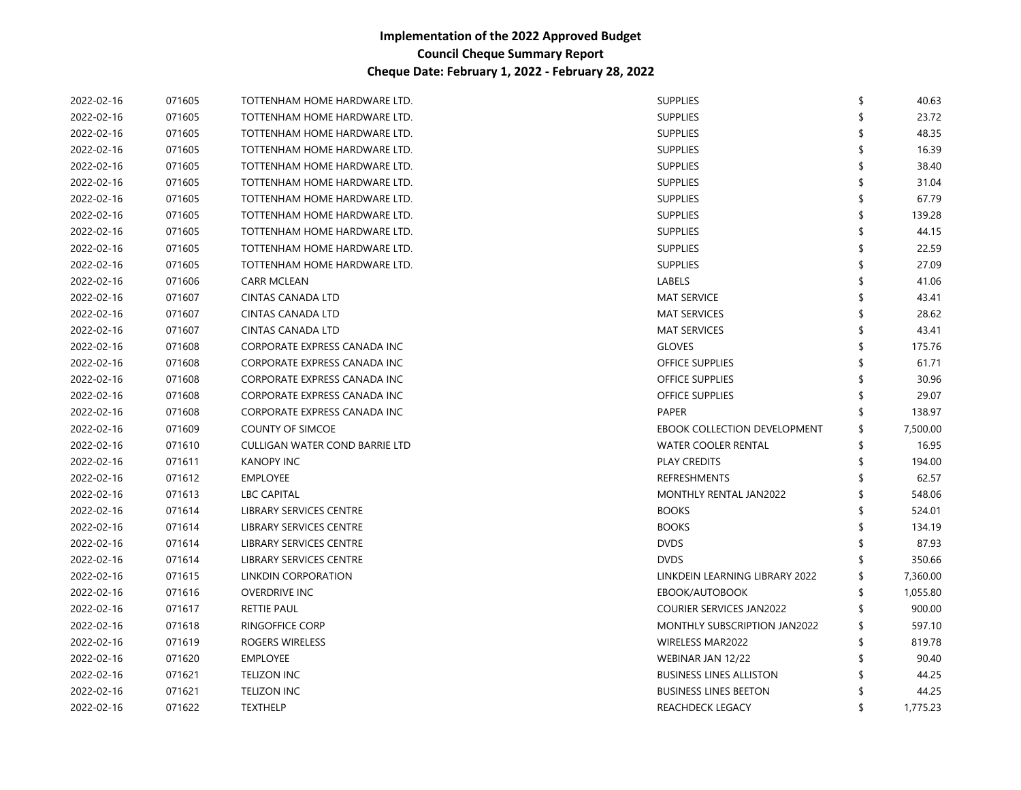| 2022-02-16 | 071605 | TOTTENHAM HOME HARDWARE LTD.          | <b>SUPPLIES</b>                 | \$<br>40.63    |
|------------|--------|---------------------------------------|---------------------------------|----------------|
| 2022-02-16 | 071605 | TOTTENHAM HOME HARDWARE LTD.          | <b>SUPPLIES</b>                 | 23.72          |
| 2022-02-16 | 071605 | TOTTENHAM HOME HARDWARE LTD.          | <b>SUPPLIES</b>                 | 48.35          |
| 2022-02-16 | 071605 | TOTTENHAM HOME HARDWARE LTD.          | <b>SUPPLIES</b>                 | 16.39          |
| 2022-02-16 | 071605 | TOTTENHAM HOME HARDWARE LTD.          | <b>SUPPLIES</b>                 | 38.40          |
| 2022-02-16 | 071605 | TOTTENHAM HOME HARDWARE LTD.          | <b>SUPPLIES</b>                 | 31.04          |
| 2022-02-16 | 071605 | TOTTENHAM HOME HARDWARE LTD.          | <b>SUPPLIES</b>                 | 67.79          |
| 2022-02-16 | 071605 | TOTTENHAM HOME HARDWARE LTD.          | <b>SUPPLIES</b>                 | 139.28         |
| 2022-02-16 | 071605 | TOTTENHAM HOME HARDWARE LTD.          | <b>SUPPLIES</b>                 | 44.15          |
| 2022-02-16 | 071605 | TOTTENHAM HOME HARDWARE LTD.          | <b>SUPPLIES</b>                 | 22.59          |
| 2022-02-16 | 071605 | TOTTENHAM HOME HARDWARE LTD.          | <b>SUPPLIES</b>                 | 27.09          |
| 2022-02-16 | 071606 | <b>CARR MCLEAN</b>                    | <b>LABELS</b>                   | 41.06          |
| 2022-02-16 | 071607 | CINTAS CANADA LTD                     | <b>MAT SERVICE</b>              | 43.41          |
| 2022-02-16 | 071607 | <b>CINTAS CANADA LTD</b>              | <b>MAT SERVICES</b>             | 28.62          |
| 2022-02-16 | 071607 | <b>CINTAS CANADA LTD</b>              | <b>MAT SERVICES</b>             | 43.41          |
| 2022-02-16 | 071608 | CORPORATE EXPRESS CANADA INC          | <b>GLOVES</b>                   | 175.76         |
| 2022-02-16 | 071608 | CORPORATE EXPRESS CANADA INC          | <b>OFFICE SUPPLIES</b>          | 61.71          |
| 2022-02-16 | 071608 | CORPORATE EXPRESS CANADA INC          | OFFICE SUPPLIES                 | 30.96          |
| 2022-02-16 | 071608 | CORPORATE EXPRESS CANADA INC          | <b>OFFICE SUPPLIES</b>          | 29.07          |
| 2022-02-16 | 071608 | CORPORATE EXPRESS CANADA INC          | <b>PAPER</b>                    | 138.97         |
| 2022-02-16 | 071609 | <b>COUNTY OF SIMCOE</b>               | EBOOK COLLECTION DEVELOPMENT    | 7,500.00       |
| 2022-02-16 | 071610 | <b>CULLIGAN WATER COND BARRIE LTD</b> | <b>WATER COOLER RENTAL</b>      | 16.95          |
| 2022-02-16 | 071611 | <b>KANOPY INC</b>                     | PLAY CREDITS                    | 194.00         |
| 2022-02-16 | 071612 | <b>EMPLOYEE</b>                       | REFRESHMENTS                    | 62.57          |
| 2022-02-16 | 071613 | <b>LBC CAPITAL</b>                    | MONTHLY RENTAL JAN2022          | 548.06         |
| 2022-02-16 | 071614 | LIBRARY SERVICES CENTRE               | <b>BOOKS</b>                    | 524.01         |
| 2022-02-16 | 071614 | LIBRARY SERVICES CENTRE               | <b>BOOKS</b>                    | 134.19         |
| 2022-02-16 | 071614 | LIBRARY SERVICES CENTRE               | <b>DVDS</b>                     | 87.93          |
| 2022-02-16 | 071614 | LIBRARY SERVICES CENTRE               | <b>DVDS</b>                     | 350.66         |
| 2022-02-16 | 071615 | LINKDIN CORPORATION                   | LINKDEIN LEARNING LIBRARY 2022  | 7,360.00       |
| 2022-02-16 | 071616 | <b>OVERDRIVE INC</b>                  | EBOOK/AUTOBOOK                  | 1,055.80       |
| 2022-02-16 | 071617 | RETTIE PAUL                           | <b>COURIER SERVICES JAN2022</b> | 900.00         |
| 2022-02-16 | 071618 | RINGOFFICE CORP                       | MONTHLY SUBSCRIPTION JAN2022    | 597.10         |
| 2022-02-16 | 071619 | ROGERS WIRELESS                       | WIRELESS MAR2022                | 819.78         |
| 2022-02-16 | 071620 | <b>EMPLOYEE</b>                       | WEBINAR JAN 12/22               | 90.40          |
| 2022-02-16 | 071621 | <b>TELIZON INC</b>                    | <b>BUSINESS LINES ALLISTON</b>  | 44.25          |
| 2022-02-16 | 071621 | <b>TELIZON INC</b>                    | <b>BUSINESS LINES BEETON</b>    | 44.25          |
| 2022-02-16 | 071622 | <b>TEXTHELP</b>                       | REACHDECK LEGACY                | \$<br>1,775.23 |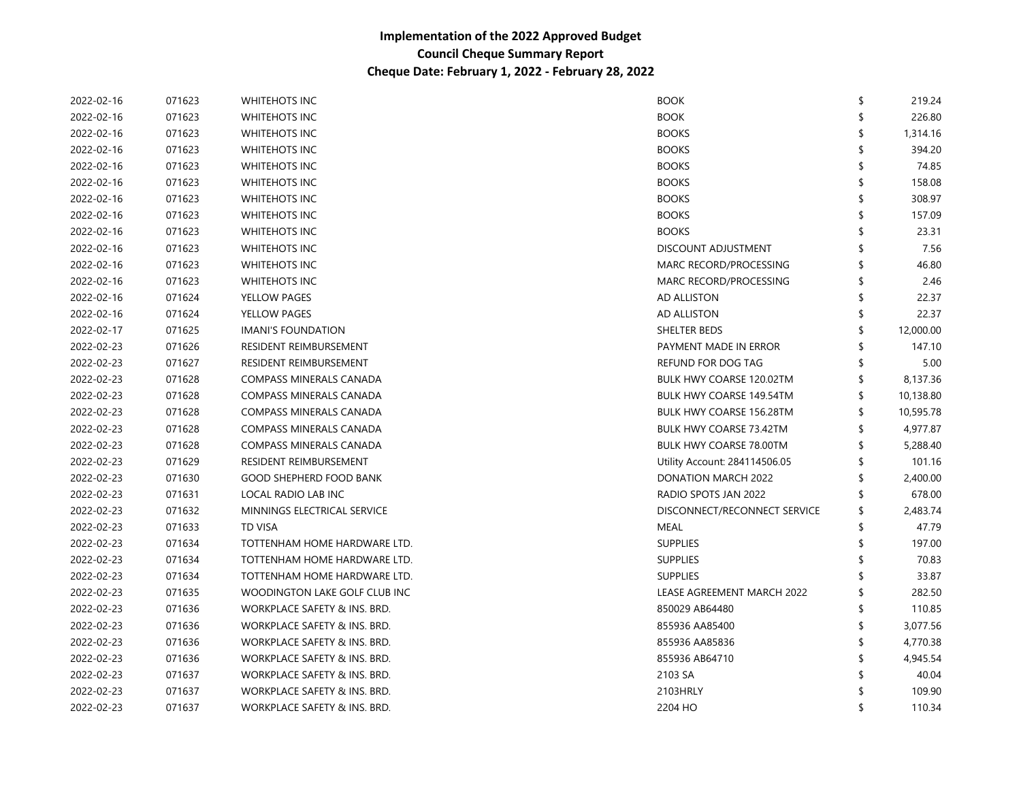| 2022-02-16 | 071623 | <b>WHITEHOTS INC</b>           | <b>BOOK</b>                     | \$<br>219.24    |
|------------|--------|--------------------------------|---------------------------------|-----------------|
| 2022-02-16 | 071623 | <b>WHITEHOTS INC</b>           | <b>BOOK</b>                     | 226.80          |
| 2022-02-16 | 071623 | <b>WHITEHOTS INC</b>           | <b>BOOKS</b>                    | 1,314.16        |
| 2022-02-16 | 071623 | <b>WHITEHOTS INC</b>           | <b>BOOKS</b>                    | 394.20          |
| 2022-02-16 | 071623 | <b>WHITEHOTS INC</b>           | <b>BOOKS</b>                    | 74.85           |
| 2022-02-16 | 071623 | <b>WHITEHOTS INC</b>           | <b>BOOKS</b>                    | 158.08          |
| 2022-02-16 | 071623 | <b>WHITEHOTS INC</b>           | <b>BOOKS</b>                    | 308.97          |
| 2022-02-16 | 071623 | <b>WHITEHOTS INC</b>           | <b>BOOKS</b>                    | 157.09          |
| 2022-02-16 | 071623 | <b>WHITEHOTS INC</b>           | <b>BOOKS</b>                    | 23.31           |
| 2022-02-16 | 071623 | <b>WHITEHOTS INC</b>           | <b>DISCOUNT ADJUSTMENT</b>      | 7.56            |
| 2022-02-16 | 071623 | <b>WHITEHOTS INC</b>           | MARC RECORD/PROCESSING          | 46.80           |
| 2022-02-16 | 071623 | <b>WHITEHOTS INC</b>           | MARC RECORD/PROCESSING          | 2.46            |
| 2022-02-16 | 071624 | <b>YELLOW PAGES</b>            | AD ALLISTON                     | 22.37           |
| 2022-02-16 | 071624 | YELLOW PAGES                   | AD ALLISTON                     | 22.37           |
| 2022-02-17 | 071625 | <b>IMANI'S FOUNDATION</b>      | SHELTER BEDS                    | 12,000.00       |
| 2022-02-23 | 071626 | RESIDENT REIMBURSEMENT         | PAYMENT MADE IN ERROR           | 147.10          |
| 2022-02-23 | 071627 | RESIDENT REIMBURSEMENT         | REFUND FOR DOG TAG              | 5.00            |
| 2022-02-23 | 071628 | <b>COMPASS MINERALS CANADA</b> | <b>BULK HWY COARSE 120.02TM</b> | \$<br>8,137.36  |
| 2022-02-23 | 071628 | COMPASS MINERALS CANADA        | BULK HWY COARSE 149.54TM        | \$<br>10,138.80 |
| 2022-02-23 | 071628 | COMPASS MINERALS CANADA        | <b>BULK HWY COARSE 156.28TM</b> | \$<br>10,595.78 |
| 2022-02-23 | 071628 | <b>COMPASS MINERALS CANADA</b> | <b>BULK HWY COARSE 73.42TM</b>  | \$<br>4,977.87  |
| 2022-02-23 | 071628 | <b>COMPASS MINERALS CANADA</b> | <b>BULK HWY COARSE 78.00TM</b>  | 5,288.40        |
| 2022-02-23 | 071629 | RESIDENT REIMBURSEMENT         | Utility Account: 284114506.05   | 101.16          |
| 2022-02-23 | 071630 | <b>GOOD SHEPHERD FOOD BANK</b> | DONATION MARCH 2022             | 2,400.00        |
| 2022-02-23 | 071631 | LOCAL RADIO LAB INC            | RADIO SPOTS JAN 2022            | 678.00          |
| 2022-02-23 | 071632 | MINNINGS ELECTRICAL SERVICE    | DISCONNECT/RECONNECT SERVICE    | 2,483.74        |
| 2022-02-23 | 071633 | <b>TD VISA</b>                 | MEAL                            | 47.79           |
| 2022-02-23 | 071634 | TOTTENHAM HOME HARDWARE LTD.   | <b>SUPPLIES</b>                 | 197.00          |
| 2022-02-23 | 071634 | TOTTENHAM HOME HARDWARE LTD.   | <b>SUPPLIES</b>                 | 70.83           |
| 2022-02-23 | 071634 | TOTTENHAM HOME HARDWARE LTD.   | <b>SUPPLIES</b>                 | 33.87           |
| 2022-02-23 | 071635 | WOODINGTON LAKE GOLF CLUB INC  | LEASE AGREEMENT MARCH 2022      | 282.50          |
| 2022-02-23 | 071636 | WORKPLACE SAFETY & INS. BRD.   | 850029 AB64480                  | 110.85          |
| 2022-02-23 | 071636 | WORKPLACE SAFETY & INS. BRD.   | 855936 AA85400                  | 3,077.56        |
| 2022-02-23 | 071636 | WORKPLACE SAFETY & INS. BRD.   | 855936 AA85836                  | 4,770.38        |
| 2022-02-23 | 071636 | WORKPLACE SAFETY & INS. BRD.   | 855936 AB64710                  | 4,945.54        |
| 2022-02-23 | 071637 | WORKPLACE SAFETY & INS. BRD.   | 2103 SA                         | 40.04           |
| 2022-02-23 | 071637 | WORKPLACE SAFETY & INS. BRD.   | 2103HRLY                        | 109.90          |
| 2022-02-23 | 071637 | WORKPLACE SAFETY & INS. BRD.   | 2204 HO                         | 110.34          |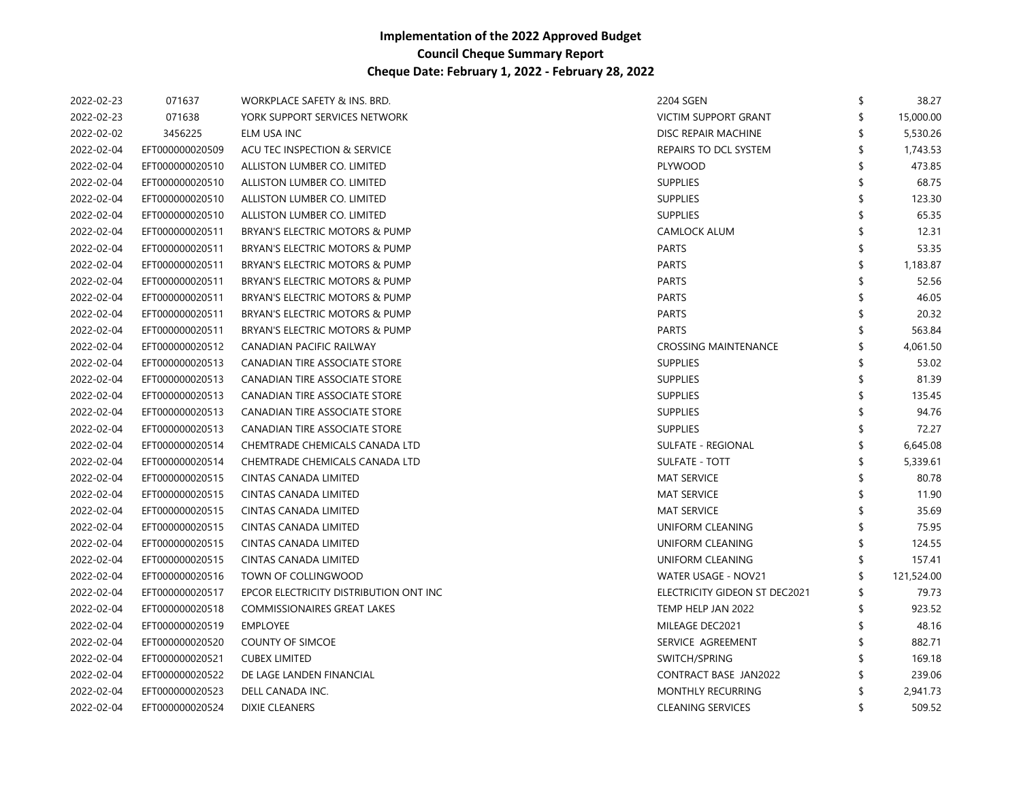| 2022-02-23 | 071637          | WORKPLACE SAFETY & INS. BRD.           | 2204 SGEN                     | \$ | 38.27      |
|------------|-----------------|----------------------------------------|-------------------------------|----|------------|
| 2022-02-23 | 071638          | YORK SUPPORT SERVICES NETWORK          | <b>VICTIM SUPPORT GRANT</b>   | \$ | 15,000.00  |
| 2022-02-02 | 3456225         | ELM USA INC                            | DISC REPAIR MACHINE           | \$ | 5,530.26   |
| 2022-02-04 | EFT000000020509 | ACU TEC INSPECTION & SERVICE           | REPAIRS TO DCL SYSTEM         |    | 1,743.53   |
| 2022-02-04 | EFT000000020510 | ALLISTON LUMBER CO. LIMITED            | PLYWOOD                       |    | 473.85     |
| 2022-02-04 | EFT000000020510 | ALLISTON LUMBER CO. LIMITED            | <b>SUPPLIES</b>               |    | 68.75      |
| 2022-02-04 | EFT000000020510 | ALLISTON LUMBER CO. LIMITED            | <b>SUPPLIES</b>               |    | 123.30     |
| 2022-02-04 | EFT000000020510 | ALLISTON LUMBER CO. LIMITED            | <b>SUPPLIES</b>               |    | 65.35      |
| 2022-02-04 | EFT000000020511 | BRYAN'S ELECTRIC MOTORS & PUMP         | <b>CAMLOCK ALUM</b>           |    | 12.31      |
| 2022-02-04 | EFT000000020511 | BRYAN'S ELECTRIC MOTORS & PUMP         | <b>PARTS</b>                  |    | 53.35      |
| 2022-02-04 | EFT000000020511 | BRYAN'S ELECTRIC MOTORS & PUMP         | <b>PARTS</b>                  |    | 1,183.87   |
| 2022-02-04 | EFT000000020511 | BRYAN'S ELECTRIC MOTORS & PUMP         | <b>PARTS</b>                  |    | 52.56      |
| 2022-02-04 | EFT000000020511 | BRYAN'S ELECTRIC MOTORS & PUMP         | <b>PARTS</b>                  |    | 46.05      |
| 2022-02-04 | EFT000000020511 | BRYAN'S ELECTRIC MOTORS & PUMP         | <b>PARTS</b>                  |    | 20.32      |
| 2022-02-04 | EFT000000020511 | BRYAN'S ELECTRIC MOTORS & PUMP         | <b>PARTS</b>                  |    | 563.84     |
| 2022-02-04 | EFT000000020512 | CANADIAN PACIFIC RAILWAY               | <b>CROSSING MAINTENANCE</b>   |    | 4,061.50   |
| 2022-02-04 | EFT000000020513 | CANADIAN TIRE ASSOCIATE STORE          | <b>SUPPLIES</b>               |    | 53.02      |
| 2022-02-04 | EFT000000020513 | CANADIAN TIRE ASSOCIATE STORE          | <b>SUPPLIES</b>               |    | 81.39      |
| 2022-02-04 | EFT000000020513 | CANADIAN TIRE ASSOCIATE STORE          | <b>SUPPLIES</b>               | \$ | 135.45     |
| 2022-02-04 | EFT000000020513 | CANADIAN TIRE ASSOCIATE STORE          | <b>SUPPLIES</b>               | \$ | 94.76      |
| 2022-02-04 | EFT000000020513 | CANADIAN TIRE ASSOCIATE STORE          | <b>SUPPLIES</b>               |    | 72.27      |
| 2022-02-04 | EFT000000020514 | CHEMTRADE CHEMICALS CANADA LTD         | SULFATE - REGIONAL            | \$ | 6,645.08   |
| 2022-02-04 | EFT000000020514 | CHEMTRADE CHEMICALS CANADA LTD         | SULFATE - TOTT                |    | 5,339.61   |
| 2022-02-04 | EFT000000020515 | <b>CINTAS CANADA LIMITED</b>           | <b>MAT SERVICE</b>            |    | 80.78      |
| 2022-02-04 | EFT000000020515 | <b>CINTAS CANADA LIMITED</b>           | <b>MAT SERVICE</b>            |    | 11.90      |
| 2022-02-04 | EFT000000020515 | <b>CINTAS CANADA LIMITED</b>           | <b>MAT SERVICE</b>            |    | 35.69      |
| 2022-02-04 | EFT000000020515 | <b>CINTAS CANADA LIMITED</b>           | UNIFORM CLEANING              |    | 75.95      |
| 2022-02-04 | EFT000000020515 | <b>CINTAS CANADA LIMITED</b>           | UNIFORM CLEANING              |    | 124.55     |
| 2022-02-04 | EFT000000020515 | <b>CINTAS CANADA LIMITED</b>           | UNIFORM CLEANING              |    | 157.41     |
| 2022-02-04 | EFT000000020516 | TOWN OF COLLINGWOOD                    | WATER USAGE - NOV21           |    | 121,524.00 |
| 2022-02-04 | EFT000000020517 | EPCOR ELECTRICITY DISTRIBUTION ONT INC | ELECTRICITY GIDEON ST DEC2021 | S  | 79.73      |
| 2022-02-04 | EFT000000020518 | <b>COMMISSIONAIRES GREAT LAKES</b>     | TEMP HELP JAN 2022            |    | 923.52     |
| 2022-02-04 | EFT000000020519 | EMPLOYEE                               | MILEAGE DEC2021               | \$ | 48.16      |
| 2022-02-04 | EFT000000020520 | <b>COUNTY OF SIMCOE</b>                | SERVICE AGREEMENT             |    | 882.71     |
| 2022-02-04 | EFT000000020521 | <b>CUBEX LIMITED</b>                   | SWITCH/SPRING                 |    | 169.18     |
| 2022-02-04 | EFT000000020522 | DE LAGE LANDEN FINANCIAL               | CONTRACT BASE JAN2022         |    | 239.06     |
| 2022-02-04 | EFT000000020523 | DELL CANADA INC.                       | <b>MONTHLY RECURRING</b>      |    | 2,941.73   |
| 2022-02-04 | EFT000000020524 | <b>DIXIE CLEANERS</b>                  | <b>CLEANING SERVICES</b>      | \$ | 509.52     |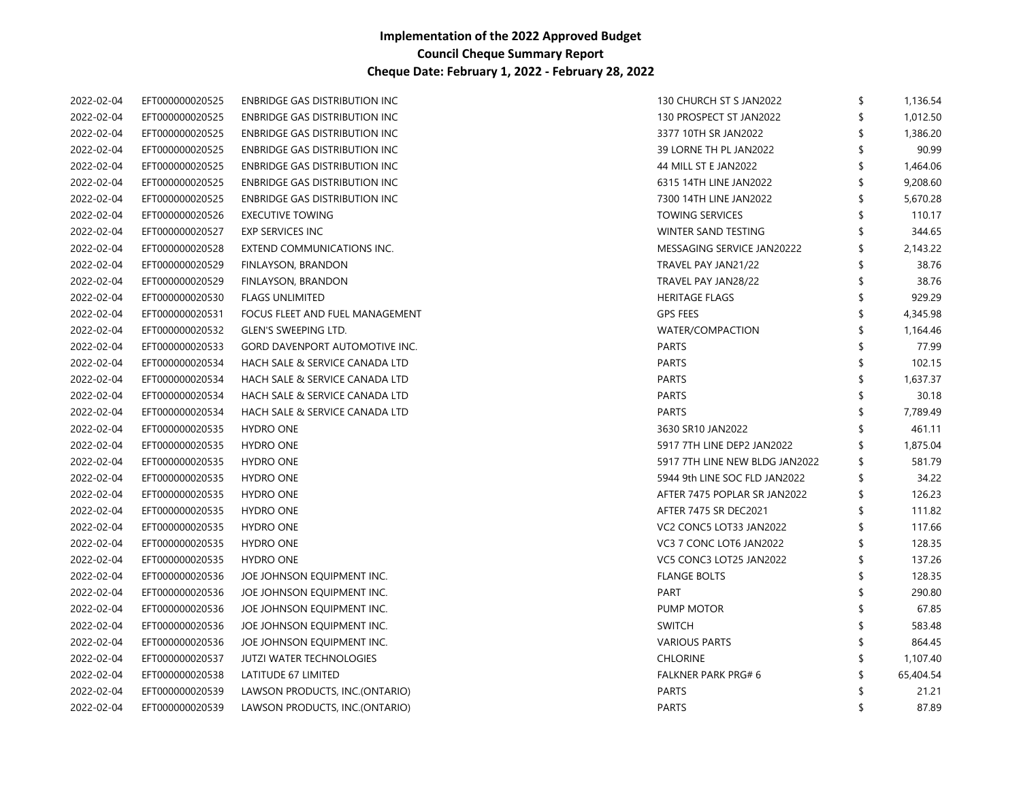| 2022-02-04 | EFT000000020525 | <b>ENBRIDGE GAS DISTRIBUTION INC</b>  | 130 CHURCH ST S JAN2022        | \$<br>1,136.54 |
|------------|-----------------|---------------------------------------|--------------------------------|----------------|
| 2022-02-04 | EFT000000020525 | <b>ENBRIDGE GAS DISTRIBUTION INC</b>  | 130 PROSPECT ST JAN2022        | \$<br>1,012.50 |
| 2022-02-04 | EFT000000020525 | ENBRIDGE GAS DISTRIBUTION INC         | 3377 10TH SR JAN2022           | 1,386.20       |
| 2022-02-04 | EFT000000020525 | ENBRIDGE GAS DISTRIBUTION INC         | 39 LORNE TH PL JAN2022         | 90.99          |
| 2022-02-04 | EFT000000020525 | ENBRIDGE GAS DISTRIBUTION INC         | 44 MILL ST E JAN2022           | 1,464.06       |
| 2022-02-04 | EFT000000020525 | ENBRIDGE GAS DISTRIBUTION INC         | 6315 14TH LINE JAN2022         | 9,208.60       |
| 2022-02-04 | EFT000000020525 | <b>ENBRIDGE GAS DISTRIBUTION INC</b>  | 7300 14TH LINE JAN2022         | \$<br>5,670.28 |
| 2022-02-04 | EFT000000020526 | <b>EXECUTIVE TOWING</b>               | <b>TOWING SERVICES</b>         | \$<br>110.17   |
| 2022-02-04 | EFT000000020527 | <b>EXP SERVICES INC</b>               | WINTER SAND TESTING            | 344.65         |
| 2022-02-04 | EFT000000020528 | EXTEND COMMUNICATIONS INC.            | MESSAGING SERVICE JAN20222     | \$<br>2,143.22 |
| 2022-02-04 | EFT000000020529 | FINLAYSON, BRANDON                    | TRAVEL PAY JAN21/22            | \$<br>38.76    |
| 2022-02-04 | EFT000000020529 | FINLAYSON, BRANDON                    | TRAVEL PAY JAN28/22            | \$<br>38.76    |
| 2022-02-04 | EFT000000020530 | <b>FLAGS UNLIMITED</b>                | <b>HERITAGE FLAGS</b>          | \$<br>929.29   |
| 2022-02-04 | EFT000000020531 | FOCUS FLEET AND FUEL MANAGEMENT       | <b>GPS FEES</b>                | \$<br>4,345.98 |
| 2022-02-04 | EFT000000020532 | GLEN'S SWEEPING LTD.                  | WATER/COMPACTION               | \$<br>1,164.46 |
| 2022-02-04 | EFT000000020533 | <b>GORD DAVENPORT AUTOMOTIVE INC.</b> | <b>PARTS</b>                   | 77.99          |
| 2022-02-04 | EFT000000020534 | HACH SALE & SERVICE CANADA LTD        | <b>PARTS</b>                   | \$<br>102.15   |
| 2022-02-04 | EFT000000020534 | HACH SALE & SERVICE CANADA LTD        | PARTS                          | \$<br>1,637.37 |
| 2022-02-04 | EFT000000020534 | HACH SALE & SERVICE CANADA LTD        | <b>PARTS</b>                   | 30.18          |
| 2022-02-04 | EFT000000020534 | HACH SALE & SERVICE CANADA LTD        | <b>PARTS</b>                   | 7,789.49       |
| 2022-02-04 | EFT000000020535 | <b>HYDRO ONE</b>                      | 3630 SR10 JAN2022              | 461.11         |
| 2022-02-04 | EFT000000020535 | <b>HYDRO ONE</b>                      | 5917 7TH LINE DEP2 JAN2022     | 1,875.04       |
| 2022-02-04 | EFT000000020535 | <b>HYDRO ONE</b>                      | 5917 7TH LINE NEW BLDG JAN2022 | \$<br>581.79   |
| 2022-02-04 | EFT000000020535 | <b>HYDRO ONE</b>                      | 5944 9th LINE SOC FLD JAN2022  | \$<br>34.22    |
| 2022-02-04 | EFT000000020535 | <b>HYDRO ONE</b>                      | AFTER 7475 POPLAR SR JAN2022   | \$<br>126.23   |
| 2022-02-04 | EFT000000020535 | <b>HYDRO ONE</b>                      | AFTER 7475 SR DEC2021          | \$<br>111.82   |
| 2022-02-04 | EFT000000020535 | <b>HYDRO ONE</b>                      | VC2 CONC5 LOT33 JAN2022        | \$<br>117.66   |
| 2022-02-04 | EFT000000020535 | <b>HYDRO ONE</b>                      | VC3 7 CONC LOT6 JAN2022        | \$<br>128.35   |
| 2022-02-04 | EFT000000020535 | <b>HYDRO ONE</b>                      | VC5 CONC3 LOT25 JAN2022        | \$<br>137.26   |
| 2022-02-04 | EFT000000020536 | JOE JOHNSON EQUIPMENT INC.            | <b>FLANGE BOLTS</b>            | 128.35         |
| 2022-02-04 | EFT000000020536 | JOE JOHNSON EQUIPMENT INC.            | PART                           | 290.80         |
| 2022-02-04 | EFT000000020536 | JOE JOHNSON EQUIPMENT INC.            | PUMP MOTOR                     | 67.85          |
| 2022-02-04 | EFT000000020536 | JOE JOHNSON EQUIPMENT INC.            | <b>SWITCH</b>                  | 583.48         |
| 2022-02-04 | EFT000000020536 | JOE JOHNSON EQUIPMENT INC.            | <b>VARIOUS PARTS</b>           | 864.45         |
| 2022-02-04 | EFT000000020537 | <b>JUTZI WATER TECHNOLOGIES</b>       | <b>CHLORINE</b>                | 1,107.40       |
| 2022-02-04 | EFT000000020538 | LATITUDE 67 LIMITED                   | <b>FALKNER PARK PRG#6</b>      | 65,404.54      |
| 2022-02-04 | EFT000000020539 | LAWSON PRODUCTS, INC.(ONTARIO)        | <b>PARTS</b>                   | 21.21          |
| 2022-02-04 | EFT000000020539 | LAWSON PRODUCTS, INC.(ONTARIO)        | <b>PARTS</b>                   | \$<br>87.89    |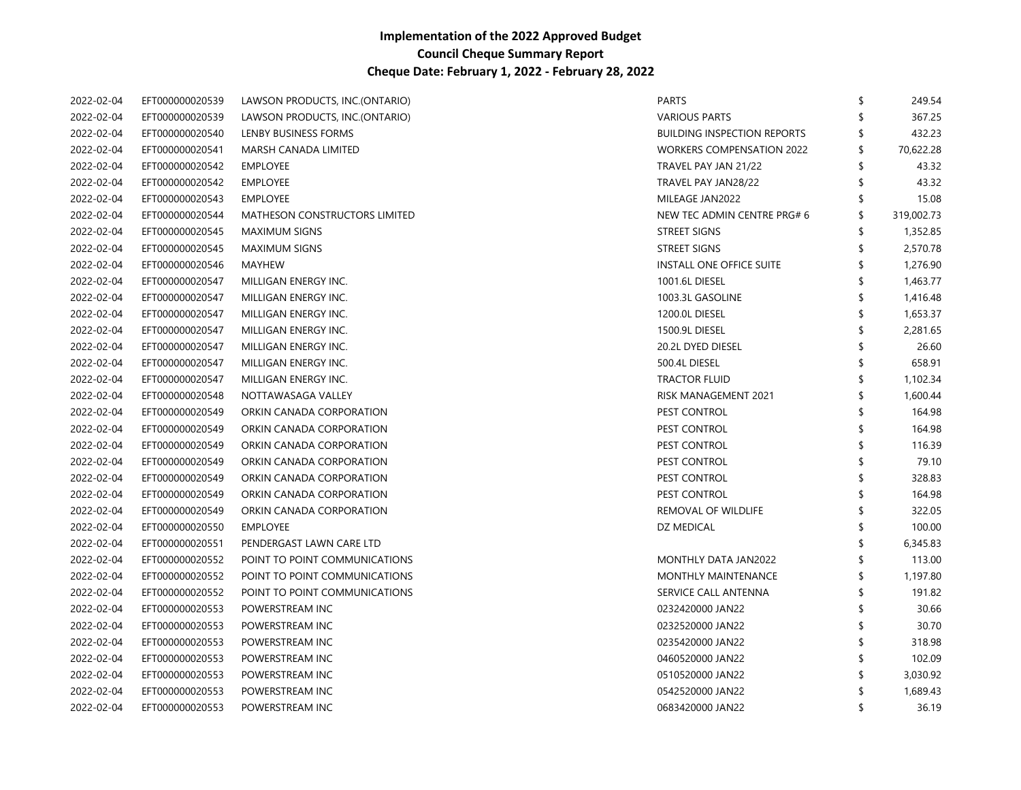| 2022-02-04 | EFT000000020539 | LAWSON PRODUCTS, INC.(ONTARIO)       | <b>PARTS</b>                       | \$ | 249.54     |
|------------|-----------------|--------------------------------------|------------------------------------|----|------------|
| 2022-02-04 | EFT000000020539 | LAWSON PRODUCTS, INC.(ONTARIO)       | <b>VARIOUS PARTS</b>               |    | 367.25     |
| 2022-02-04 | EFT000000020540 | LENBY BUSINESS FORMS                 | <b>BUILDING INSPECTION REPORTS</b> | \$ | 432.23     |
| 2022-02-04 | EFT000000020541 | MARSH CANADA LIMITED                 | <b>WORKERS COMPENSATION 2022</b>   | \$ | 70,622.28  |
| 2022-02-04 | EFT000000020542 | EMPLOYEE                             | TRAVEL PAY JAN 21/22               | \$ | 43.32      |
| 2022-02-04 | EFT000000020542 | <b>EMPLOYEE</b>                      | TRAVEL PAY JAN28/22                |    | 43.32      |
| 2022-02-04 | EFT000000020543 | <b>EMPLOYEE</b>                      | MILEAGE JAN2022                    | \$ | 15.08      |
| 2022-02-04 | EFT000000020544 | <b>MATHESON CONSTRUCTORS LIMITED</b> | NEW TEC ADMIN CENTRE PRG# 6        | \$ | 319,002.73 |
| 2022-02-04 | EFT000000020545 | <b>MAXIMUM SIGNS</b>                 | <b>STREET SIGNS</b>                | \$ | 1,352.85   |
| 2022-02-04 | EFT000000020545 | <b>MAXIMUM SIGNS</b>                 | <b>STREET SIGNS</b>                | \$ | 2,570.78   |
| 2022-02-04 | EFT000000020546 | <b>MAYHEW</b>                        | <b>INSTALL ONE OFFICE SUITE</b>    |    | 1,276.90   |
| 2022-02-04 | EFT000000020547 | MILLIGAN ENERGY INC.                 | 1001.6L DIESEL                     |    | 1,463.77   |
| 2022-02-04 | EFT000000020547 | MILLIGAN ENERGY INC.                 | 1003.3L GASOLINE                   |    | 1,416.48   |
| 2022-02-04 | EFT000000020547 | MILLIGAN ENERGY INC.                 | 1200.0L DIESEL                     |    | 1,653.37   |
| 2022-02-04 | EFT000000020547 | MILLIGAN ENERGY INC.                 | 1500.9L DIESEL                     |    | 2,281.65   |
| 2022-02-04 | EFT000000020547 | MILLIGAN ENERGY INC.                 | 20.2L DYED DIESEL                  |    | 26.60      |
| 2022-02-04 | EFT000000020547 | MILLIGAN ENERGY INC.                 | 500.4L DIESEL                      |    | 658.91     |
| 2022-02-04 | EFT000000020547 | MILLIGAN ENERGY INC.                 | <b>TRACTOR FLUID</b>               | \$ | 1,102.34   |
| 2022-02-04 | EFT000000020548 | NOTTAWASAGA VALLEY                   | RISK MANAGEMENT 2021               |    | 1,600.44   |
| 2022-02-04 | EFT000000020549 | ORKIN CANADA CORPORATION             | PEST CONTROL                       |    | 164.98     |
| 2022-02-04 | EFT000000020549 | ORKIN CANADA CORPORATION             | PEST CONTROL                       |    | 164.98     |
| 2022-02-04 | EFT000000020549 | ORKIN CANADA CORPORATION             | PEST CONTROL                       | \$ | 116.39     |
| 2022-02-04 | EFT000000020549 | ORKIN CANADA CORPORATION             | PEST CONTROL                       | \$ | 79.10      |
| 2022-02-04 | EFT000000020549 | ORKIN CANADA CORPORATION             | PEST CONTROL                       | \$ | 328.83     |
| 2022-02-04 | EFT000000020549 | ORKIN CANADA CORPORATION             | PEST CONTROL                       |    | 164.98     |
| 2022-02-04 | EFT000000020549 | ORKIN CANADA CORPORATION             | REMOVAL OF WILDLIFE                |    | 322.05     |
| 2022-02-04 | EFT000000020550 | <b>EMPLOYEE</b>                      | DZ MEDICAL                         | \$ | 100.00     |
| 2022-02-04 | EFT000000020551 | PENDERGAST LAWN CARE LTD             |                                    |    | 6,345.83   |
| 2022-02-04 | EFT000000020552 | POINT TO POINT COMMUNICATIONS        | <b>MONTHLY DATA JAN2022</b>        | \$ | 113.00     |
| 2022-02-04 | EFT000000020552 | POINT TO POINT COMMUNICATIONS        | <b>MONTHLY MAINTENANCE</b>         | \$ | 1,197.80   |
| 2022-02-04 | EFT000000020552 | POINT TO POINT COMMUNICATIONS        | SERVICE CALL ANTENNA               | \$ | 191.82     |
| 2022-02-04 | EFT000000020553 | POWERSTREAM INC                      | 0232420000 JAN22                   | \$ | 30.66      |
| 2022-02-04 | EFT000000020553 | POWERSTREAM INC                      | 0232520000 JAN22                   | \$ | 30.70      |
| 2022-02-04 | EFT000000020553 | POWERSTREAM INC                      | 0235420000 JAN22                   | \$ | 318.98     |
| 2022-02-04 | EFT000000020553 | POWERSTREAM INC                      | 0460520000 JAN22                   | S  | 102.09     |
| 2022-02-04 | EFT000000020553 | POWERSTREAM INC                      | 0510520000 JAN22                   |    | 3,030.92   |
| 2022-02-04 | EFT000000020553 | POWERSTREAM INC                      | 0542520000 JAN22                   |    | 1,689.43   |
| 2022-02-04 | EFT000000020553 | POWERSTREAM INC                      | 0683420000 JAN22                   | \$ | 36.19      |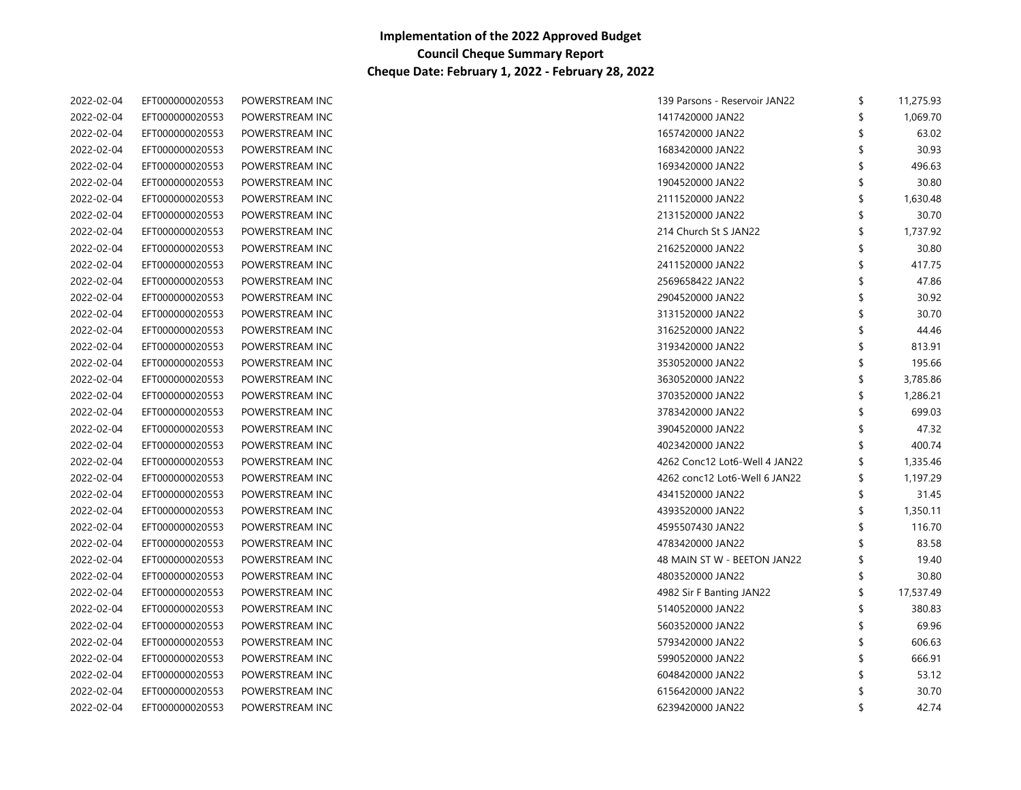| 2022-02-04 | EFT000000020553 | POWERSTREAM INC | 139 Parsons - Reservoir JAN22 | \$ | 11,275.93 |
|------------|-----------------|-----------------|-------------------------------|----|-----------|
| 2022-02-04 | EFT000000020553 | POWERSTREAM INC | 1417420000 JAN22              | \$ | 1,069.70  |
| 2022-02-04 | EFT000000020553 | POWERSTREAM INC | 1657420000 JAN22              |    | 63.02     |
| 2022-02-04 | EFT000000020553 | POWERSTREAM INC | 1683420000 JAN22              |    | 30.93     |
| 2022-02-04 | EFT000000020553 | POWERSTREAM INC | 1693420000 JAN22              |    | 496.63    |
| 2022-02-04 | EFT000000020553 | POWERSTREAM INC | 1904520000 JAN22              |    | 30.80     |
| 2022-02-04 | EFT000000020553 | POWERSTREAM INC | 2111520000 JAN22              |    | 1,630.48  |
| 2022-02-04 | EFT000000020553 | POWERSTREAM INC | 2131520000 JAN22              |    | 30.70     |
| 2022-02-04 | EFT000000020553 | POWERSTREAM INC | 214 Church St S JAN22         |    | 1,737.92  |
| 2022-02-04 | EFT000000020553 | POWERSTREAM INC | 2162520000 JAN22              |    | 30.80     |
| 2022-02-04 | EFT000000020553 | POWERSTREAM INC | 2411520000 JAN22              |    | 417.75    |
| 2022-02-04 | EFT000000020553 | POWERSTREAM INC | 2569658422 JAN22              | \$ | 47.86     |
| 2022-02-04 | EFT000000020553 | POWERSTREAM INC | 2904520000 JAN22              |    | 30.92     |
| 2022-02-04 | EFT000000020553 | POWERSTREAM INC | 3131520000 JAN22              |    | 30.70     |
| 2022-02-04 | EFT000000020553 | POWERSTREAM INC | 3162520000 JAN22              |    | 44.46     |
| 2022-02-04 | EFT000000020553 | POWERSTREAM INC | 3193420000 JAN22              |    | 813.91    |
| 2022-02-04 | EFT000000020553 | POWERSTREAM INC | 3530520000 JAN22              |    | 195.66    |
| 2022-02-04 | EFT000000020553 | POWERSTREAM INC | 3630520000 JAN22              |    | 3,785.86  |
| 2022-02-04 | EFT000000020553 | POWERSTREAM INC | 3703520000 JAN22              |    | 1,286.21  |
| 2022-02-04 | EFT000000020553 | POWERSTREAM INC | 3783420000 JAN22              |    | 699.03    |
| 2022-02-04 | EFT000000020553 | POWERSTREAM INC | 3904520000 JAN22              |    | 47.32     |
| 2022-02-04 | EFT000000020553 | POWERSTREAM INC | 4023420000 JAN22              |    | 400.74    |
| 2022-02-04 | EFT000000020553 | POWERSTREAM INC | 4262 Conc12 Lot6-Well 4 JAN22 |    | 1,335.46  |
| 2022-02-04 | EFT000000020553 | POWERSTREAM INC | 4262 conc12 Lot6-Well 6 JAN22 | \$ | 1,197.29  |
| 2022-02-04 | EFT000000020553 | POWERSTREAM INC | 4341520000 JAN22              | \$ | 31.45     |
| 2022-02-04 | EFT000000020553 | POWERSTREAM INC | 4393520000 JAN22              | \$ | 1,350.11  |
| 2022-02-04 | EFT000000020553 | POWERSTREAM INC | 4595507430 JAN22              |    | 116.70    |
| 2022-02-04 | EFT000000020553 | POWERSTREAM INC | 4783420000 JAN22              |    | 83.58     |
| 2022-02-04 | EFT000000020553 | POWERSTREAM INC | 48 MAIN ST W - BEETON JAN22   | S  | 19.40     |
| 2022-02-04 | EFT000000020553 | POWERSTREAM INC | 4803520000 JAN22              | \$ | 30.80     |
| 2022-02-04 | EFT000000020553 | POWERSTREAM INC | 4982 Sir F Banting JAN22      | \$ | 17,537.49 |
| 2022-02-04 | EFT000000020553 | POWERSTREAM INC | 5140520000 JAN22              | S  | 380.83    |
| 2022-02-04 | EFT000000020553 | POWERSTREAM INC | 5603520000 JAN22              |    | 69.96     |
| 2022-02-04 | EFT000000020553 | POWERSTREAM INC | 5793420000 JAN22              | \$ | 606.63    |
| 2022-02-04 | EFT000000020553 | POWERSTREAM INC | 5990520000 JAN22              |    | 666.91    |
| 2022-02-04 | EFT000000020553 | POWERSTREAM INC | 6048420000 JAN22              |    | 53.12     |
| 2022-02-04 | EFT000000020553 | POWERSTREAM INC | 6156420000 JAN22              |    | 30.70     |
| 2022-02-04 | EFT000000020553 | POWERSTREAM INC | 6239420000 JAN22              | \$ | 42.74     |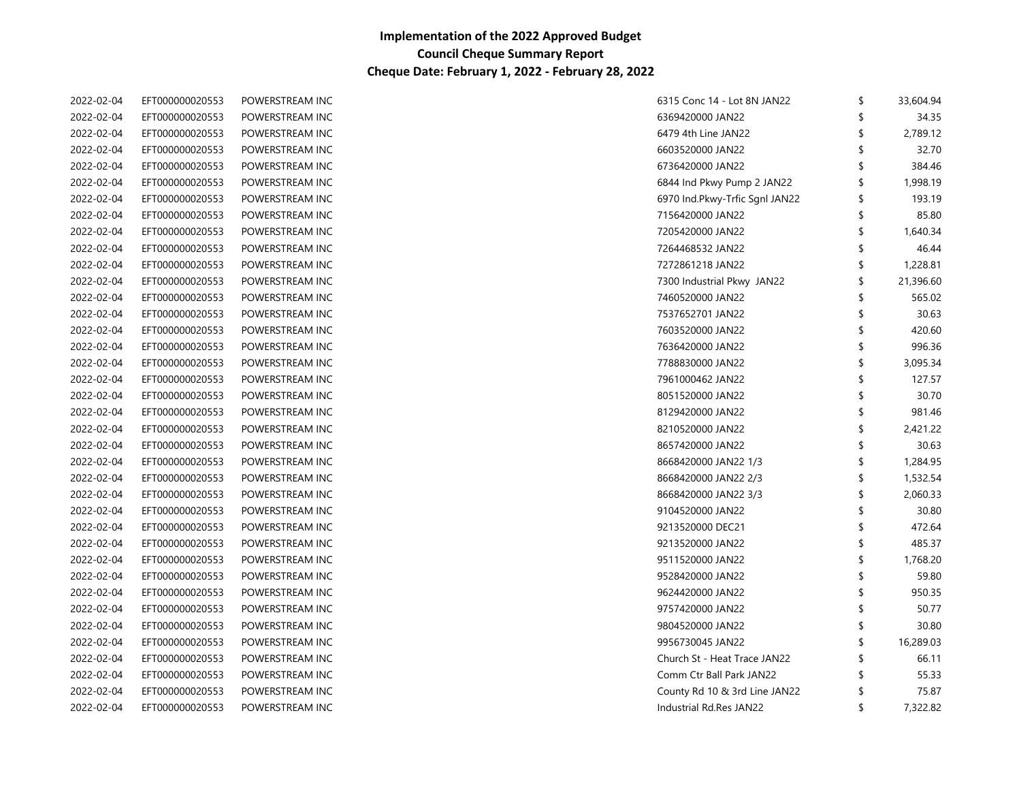| 2022-02-04 | EFT000000020553 | POWERSTREAM INC | 6315 Conc 14 - Lot 8N JAN22    | \$ | 33,604.94 |
|------------|-----------------|-----------------|--------------------------------|----|-----------|
| 2022-02-04 | EFT000000020553 | POWERSTREAM INC | 6369420000 JAN22               |    | 34.35     |
| 2022-02-04 | EFT000000020553 | POWERSTREAM INC | 6479 4th Line JAN22            |    | 2,789.12  |
| 2022-02-04 | EFT000000020553 | POWERSTREAM INC | 6603520000 JAN22               |    | 32.70     |
| 2022-02-04 | EFT000000020553 | POWERSTREAM INC | 6736420000 JAN22               |    | 384.46    |
| 2022-02-04 | EFT000000020553 | POWERSTREAM INC | 6844 Ind Pkwy Pump 2 JAN22     |    | 1,998.19  |
| 2022-02-04 | EFT000000020553 | POWERSTREAM INC | 6970 Ind.Pkwy-Trfic Sgnl JAN22 |    | 193.19    |
| 2022-02-04 | EFT000000020553 | POWERSTREAM INC | 7156420000 JAN22               |    | 85.80     |
| 2022-02-04 | EFT000000020553 | POWERSTREAM INC | 7205420000 JAN22               |    | 1,640.34  |
| 2022-02-04 | EFT000000020553 | POWERSTREAM INC | 7264468532 JAN22               |    | 46.44     |
| 2022-02-04 | EFT000000020553 | POWERSTREAM INC | 7272861218 JAN22               |    | 1,228.81  |
| 2022-02-04 | EFT000000020553 | POWERSTREAM INC | 7300 Industrial Pkwy JAN22     |    | 21,396.60 |
| 2022-02-04 | EFT000000020553 | POWERSTREAM INC | 7460520000 JAN22               |    | 565.02    |
| 2022-02-04 | EFT000000020553 | POWERSTREAM INC | 7537652701 JAN22               |    | 30.63     |
| 2022-02-04 | EFT000000020553 | POWERSTREAM INC | 7603520000 JAN22               |    | 420.60    |
| 2022-02-04 | EFT000000020553 | POWERSTREAM INC | 7636420000 JAN22               |    | 996.36    |
| 2022-02-04 | EFT000000020553 | POWERSTREAM INC | 7788830000 JAN22               |    | 3,095.34  |
| 2022-02-04 | EFT000000020553 | POWERSTREAM INC | 7961000462 JAN22               |    | 127.57    |
| 2022-02-04 | EFT000000020553 | POWERSTREAM INC | 8051520000 JAN22               |    | 30.70     |
| 2022-02-04 | EFT000000020553 | POWERSTREAM INC | 8129420000 JAN22               |    | 981.46    |
| 2022-02-04 | EFT000000020553 | POWERSTREAM INC | 8210520000 JAN22               |    | 2,421.22  |
| 2022-02-04 | EFT000000020553 | POWERSTREAM INC | 8657420000 JAN22               |    | 30.63     |
| 2022-02-04 | EFT000000020553 | POWERSTREAM INC | 8668420000 JAN22 1/3           |    | 1,284.95  |
| 2022-02-04 | EFT000000020553 | POWERSTREAM INC | 8668420000 JAN22 2/3           | \$ | 1,532.54  |
| 2022-02-04 | EFT000000020553 | POWERSTREAM INC | 8668420000 JAN22 3/3           |    | 2,060.33  |
| 2022-02-04 | EFT000000020553 | POWERSTREAM INC | 9104520000 JAN22               |    | 30.80     |
| 2022-02-04 | EFT000000020553 | POWERSTREAM INC | 9213520000 DEC21               |    | 472.64    |
| 2022-02-04 | EFT000000020553 | POWERSTREAM INC | 9213520000 JAN22               |    | 485.37    |
| 2022-02-04 | EFT000000020553 | POWERSTREAM INC | 9511520000 JAN22               |    | 1,768.20  |
| 2022-02-04 | EFT000000020553 | POWERSTREAM INC | 9528420000 JAN22               |    | 59.80     |
| 2022-02-04 | EFT000000020553 | POWERSTREAM INC | 9624420000 JAN22               |    | 950.35    |
| 2022-02-04 | EFT000000020553 | POWERSTREAM INC | 9757420000 JAN22               |    | 50.77     |
| 2022-02-04 | EFT000000020553 | POWERSTREAM INC | 9804520000 JAN22               | S  | 30.80     |
| 2022-02-04 | EFT000000020553 | POWERSTREAM INC | 9956730045 JAN22               |    | 16,289.03 |
| 2022-02-04 | EFT000000020553 | POWERSTREAM INC | Church St - Heat Trace JAN22   |    | 66.11     |
| 2022-02-04 | EFT000000020553 | POWERSTREAM INC | Comm Ctr Ball Park JAN22       |    | 55.33     |
| 2022-02-04 | EFT000000020553 | POWERSTREAM INC | County Rd 10 & 3rd Line JAN22  | S  | 75.87     |
| 2022-02-04 | EFT000000020553 | POWERSTREAM INC | Industrial Rd.Res JAN22        | \$ | 7,322.82  |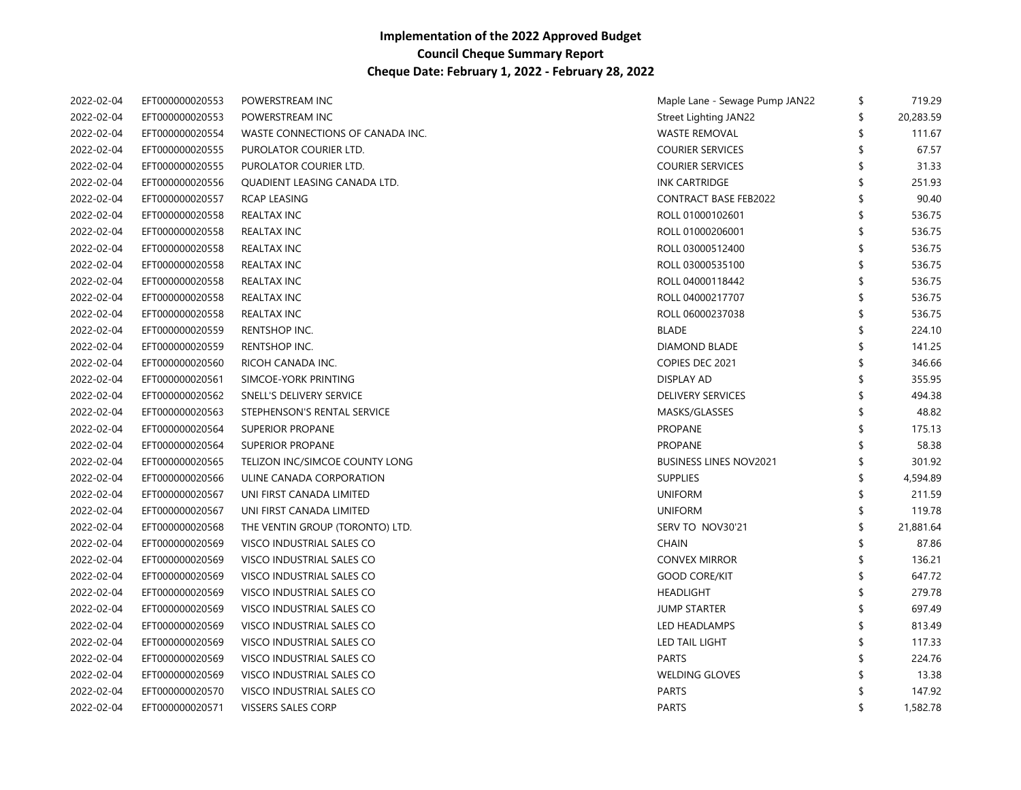| 2022-02-04 | EFT000000020553 | POWERSTREAM INC                  | Maple Lane - Sewage Pump JAN22 | \$<br>719.29    |
|------------|-----------------|----------------------------------|--------------------------------|-----------------|
| 2022-02-04 | EFT000000020553 | POWERSTREAM INC                  | Street Lighting JAN22          | \$<br>20,283.59 |
| 2022-02-04 | EFT000000020554 | WASTE CONNECTIONS OF CANADA INC. | <b>WASTE REMOVAL</b>           | \$<br>111.67    |
| 2022-02-04 | EFT000000020555 | PUROLATOR COURIER LTD.           | <b>COURIER SERVICES</b>        | 67.57           |
| 2022-02-04 | EFT000000020555 | PUROLATOR COURIER LTD.           | <b>COURIER SERVICES</b>        | 31.33           |
| 2022-02-04 | EFT000000020556 | QUADIENT LEASING CANADA LTD.     | <b>INK CARTRIDGE</b>           | 251.93          |
| 2022-02-04 | EFT000000020557 | RCAP LEASING                     | <b>CONTRACT BASE FEB2022</b>   | 90.40           |
| 2022-02-04 | EFT000000020558 | REALTAX INC                      | ROLL 01000102601               | \$<br>536.75    |
| 2022-02-04 | EFT000000020558 | REALTAX INC                      | ROLL 01000206001               | \$<br>536.75    |
| 2022-02-04 | EFT000000020558 | REALTAX INC                      | ROLL 03000512400               | \$<br>536.75    |
| 2022-02-04 | EFT000000020558 | REALTAX INC                      | ROLL 03000535100               | \$<br>536.75    |
| 2022-02-04 | EFT000000020558 | REALTAX INC                      | ROLL 04000118442               | \$<br>536.75    |
| 2022-02-04 | EFT000000020558 | REALTAX INC                      | ROLL 04000217707               | \$<br>536.75    |
| 2022-02-04 | EFT000000020558 | REALTAX INC                      | ROLL 06000237038               | \$<br>536.75    |
| 2022-02-04 | EFT000000020559 | RENTSHOP INC.                    | <b>BLADE</b>                   | \$<br>224.10    |
| 2022-02-04 | EFT000000020559 | <b>RENTSHOP INC.</b>             | <b>DIAMOND BLADE</b>           | \$<br>141.25    |
| 2022-02-04 | EFT000000020560 | RICOH CANADA INC.                | COPIES DEC 2021                | \$<br>346.66    |
| 2022-02-04 | EFT000000020561 | SIMCOE-YORK PRINTING             | <b>DISPLAY AD</b>              | \$<br>355.95    |
| 2022-02-04 | EFT000000020562 | SNELL'S DELIVERY SERVICE         | <b>DELIVERY SERVICES</b>       | \$<br>494.38    |
| 2022-02-04 | EFT000000020563 | STEPHENSON'S RENTAL SERVICE      | MASKS/GLASSES                  | \$<br>48.82     |
| 2022-02-04 | EFT000000020564 | <b>SUPERIOR PROPANE</b>          | <b>PROPANE</b>                 | \$<br>175.13    |
| 2022-02-04 | EFT000000020564 | <b>SUPERIOR PROPANE</b>          | <b>PROPANE</b>                 | \$<br>58.38     |
| 2022-02-04 | EFT000000020565 | TELIZON INC/SIMCOE COUNTY LONG   | <b>BUSINESS LINES NOV2021</b>  | \$<br>301.92    |
| 2022-02-04 | EFT000000020566 | ULINE CANADA CORPORATION         | <b>SUPPLIES</b>                | \$<br>4,594.89  |
| 2022-02-04 | EFT000000020567 | UNI FIRST CANADA LIMITED         | <b>UNIFORM</b>                 | \$<br>211.59    |
| 2022-02-04 | EFT000000020567 | UNI FIRST CANADA LIMITED         | <b>UNIFORM</b>                 | \$<br>119.78    |
| 2022-02-04 | EFT000000020568 | THE VENTIN GROUP (TORONTO) LTD.  | SERV TO NOV30'21               | \$<br>21,881.64 |
| 2022-02-04 | EFT000000020569 | VISCO INDUSTRIAL SALES CO        | <b>CHAIN</b>                   | \$<br>87.86     |
| 2022-02-04 | EFT000000020569 | VISCO INDUSTRIAL SALES CO        | <b>CONVEX MIRROR</b>           | \$<br>136.21    |
| 2022-02-04 | EFT000000020569 | VISCO INDUSTRIAL SALES CO        | <b>GOOD CORE/KIT</b>           | 647.72          |
| 2022-02-04 | EFT000000020569 | VISCO INDUSTRIAL SALES CO        | <b>HEADLIGHT</b>               | 279.78          |
| 2022-02-04 | EFT000000020569 | VISCO INDUSTRIAL SALES CO        | <b>JUMP STARTER</b>            | 697.49          |
| 2022-02-04 | EFT000000020569 | VISCO INDUSTRIAL SALES CO        | LED HEADLAMPS                  | 813.49          |
| 2022-02-04 | EFT000000020569 | VISCO INDUSTRIAL SALES CO        | <b>LED TAIL LIGHT</b>          | 117.33          |
| 2022-02-04 | EFT000000020569 | VISCO INDUSTRIAL SALES CO        | <b>PARTS</b>                   | 224.76          |
| 2022-02-04 | EFT000000020569 | VISCO INDUSTRIAL SALES CO        | <b>WELDING GLOVES</b>          | 13.38           |
| 2022-02-04 | EFT000000020570 | VISCO INDUSTRIAL SALES CO        | <b>PARTS</b>                   | 147.92          |
| 2022-02-04 | EFT000000020571 | VISSERS SALES CORP               | <b>PARTS</b>                   | \$<br>1,582.78  |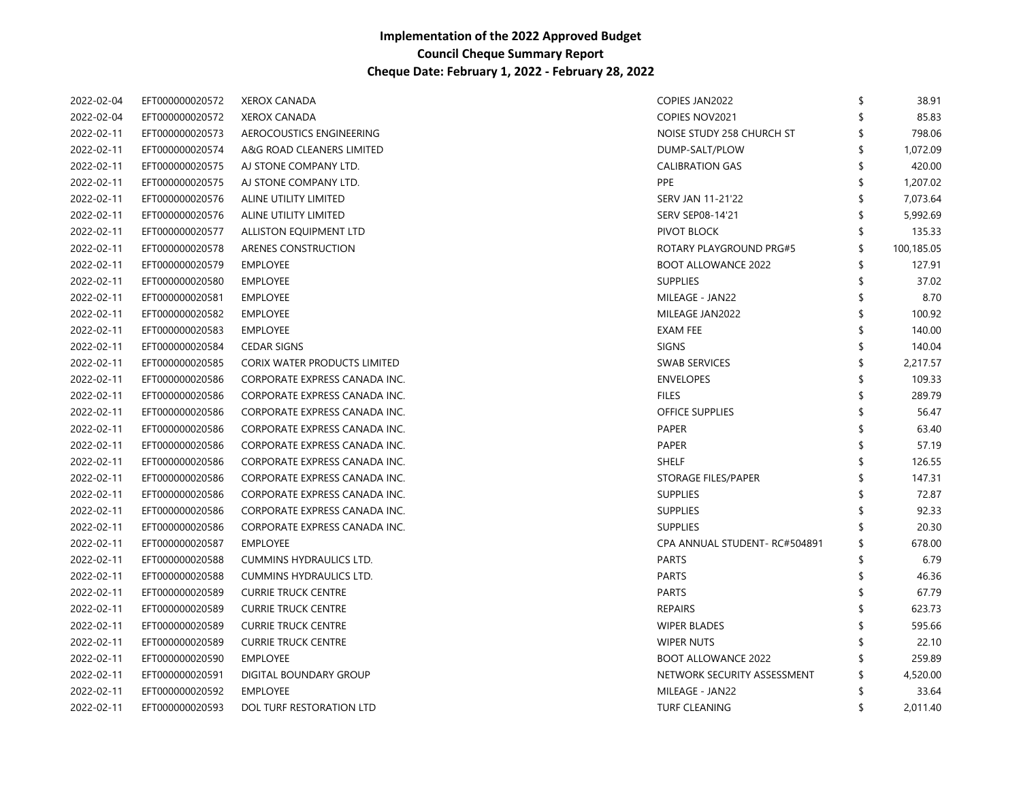| 2022-02-04 | EFT000000020572 | <b>XEROX CANADA</b>                 | <b>COPIES JAN2022</b>        | 38.91            |
|------------|-----------------|-------------------------------------|------------------------------|------------------|
| 2022-02-04 | EFT000000020572 | <b>XEROX CANADA</b>                 | <b>COPIES NOV2021</b>        | 85.83            |
| 2022-02-11 | EFT000000020573 | AEROCOUSTICS ENGINEERING            | NOISE STUDY 258 CHURCH ST    | 798.06           |
| 2022-02-11 | EFT000000020574 | A&G ROAD CLEANERS LIMITED           | DUMP-SALT/PLOW               | 1,072.09         |
| 2022-02-11 | EFT000000020575 | AJ STONE COMPANY LTD.               | <b>CALIBRATION GAS</b>       | 420.00           |
| 2022-02-11 | EFT000000020575 | AJ STONE COMPANY LTD.               | <b>PPE</b>                   | 1,207.02         |
| 2022-02-11 | EFT000000020576 | ALINE UTILITY LIMITED               | SERV JAN 11-21'22            | 7,073.64         |
| 2022-02-11 | EFT000000020576 | ALINE UTILITY LIMITED               | SERV SEP08-14'21             | 5,992.69         |
| 2022-02-11 | EFT000000020577 | ALLISTON EQUIPMENT LTD              | PIVOT BLOCK                  | 135.33           |
| 2022-02-11 | EFT000000020578 | ARENES CONSTRUCTION                 | ROTARY PLAYGROUND PRG#5      | \$<br>100,185.05 |
| 2022-02-11 | EFT000000020579 | <b>EMPLOYEE</b>                     | <b>BOOT ALLOWANCE 2022</b>   | \$<br>127.91     |
| 2022-02-11 | EFT000000020580 | <b>EMPLOYEE</b>                     | <b>SUPPLIES</b>              | \$<br>37.02      |
| 2022-02-11 | EFT000000020581 | <b>EMPLOYEE</b>                     | MILEAGE - JAN22              | 8.70             |
| 2022-02-11 | EFT000000020582 | <b>EMPLOYEE</b>                     | MILEAGE JAN2022              | 100.92           |
| 2022-02-11 | EFT000000020583 | <b>EMPLOYEE</b>                     | <b>EXAM FEE</b>              | 140.00           |
| 2022-02-11 | EFT000000020584 | <b>CEDAR SIGNS</b>                  | <b>SIGNS</b>                 | 140.04           |
| 2022-02-11 | EFT000000020585 | <b>CORIX WATER PRODUCTS LIMITED</b> | <b>SWAB SERVICES</b>         | 2,217.57         |
| 2022-02-11 | EFT000000020586 | CORPORATE EXPRESS CANADA INC.       | <b>ENVELOPES</b>             | 109.33           |
| 2022-02-11 | EFT000000020586 | CORPORATE EXPRESS CANADA INC.       | <b>FILES</b>                 | 289.79           |
| 2022-02-11 | EFT000000020586 | CORPORATE EXPRESS CANADA INC.       | <b>OFFICE SUPPLIES</b>       | 56.47            |
| 2022-02-11 | EFT000000020586 | CORPORATE EXPRESS CANADA INC.       | <b>PAPER</b>                 | 63.40            |
| 2022-02-11 | EFT000000020586 | CORPORATE EXPRESS CANADA INC.       | <b>PAPER</b>                 | 57.19            |
| 2022-02-11 | EFT000000020586 | CORPORATE EXPRESS CANADA INC.       | <b>SHELF</b>                 | 126.55           |
| 2022-02-11 | EFT000000020586 | CORPORATE EXPRESS CANADA INC.       | STORAGE FILES/PAPER          | 147.31           |
| 2022-02-11 | EFT000000020586 | CORPORATE EXPRESS CANADA INC.       | <b>SUPPLIES</b>              | 72.87            |
| 2022-02-11 | EFT000000020586 | CORPORATE EXPRESS CANADA INC.       | <b>SUPPLIES</b>              | 92.33            |
| 2022-02-11 | EFT000000020586 | CORPORATE EXPRESS CANADA INC.       | <b>SUPPLIES</b>              | 20.30            |
| 2022-02-11 | EFT000000020587 | <b>EMPLOYEE</b>                     | CPA ANNUAL STUDENT-RC#504891 | 678.00           |
| 2022-02-11 | EFT000000020588 | CUMMINS HYDRAULICS LTD.             | <b>PARTS</b>                 | 6.79             |
| 2022-02-11 | EFT000000020588 | <b>CUMMINS HYDRAULICS LTD.</b>      | <b>PARTS</b>                 | 46.36            |
| 2022-02-11 | EFT000000020589 | <b>CURRIE TRUCK CENTRE</b>          | <b>PARTS</b>                 | 67.79            |
| 2022-02-11 | EFT000000020589 | <b>CURRIE TRUCK CENTRE</b>          | <b>REPAIRS</b>               | 623.73           |
| 2022-02-11 | EFT000000020589 | <b>CURRIE TRUCK CENTRE</b>          | <b>WIPER BLADES</b>          | 595.66           |
| 2022-02-11 | EFT000000020589 | <b>CURRIE TRUCK CENTRE</b>          | <b>WIPER NUTS</b>            | 22.10            |
| 2022-02-11 | EFT000000020590 | <b>EMPLOYEE</b>                     | <b>BOOT ALLOWANCE 2022</b>   | 259.89           |
| 2022-02-11 | EFT000000020591 | DIGITAL BOUNDARY GROUP              | NETWORK SECURITY ASSESSMENT  | 4,520.00         |
| 2022-02-11 | EFT000000020592 | <b>EMPLOYEE</b>                     | MILEAGE - JAN22              | 33.64            |
| 2022-02-11 | EFT000000020593 | DOL TURF RESTORATION LTD            | <b>TURF CLEANING</b>         | \$<br>2,011.40   |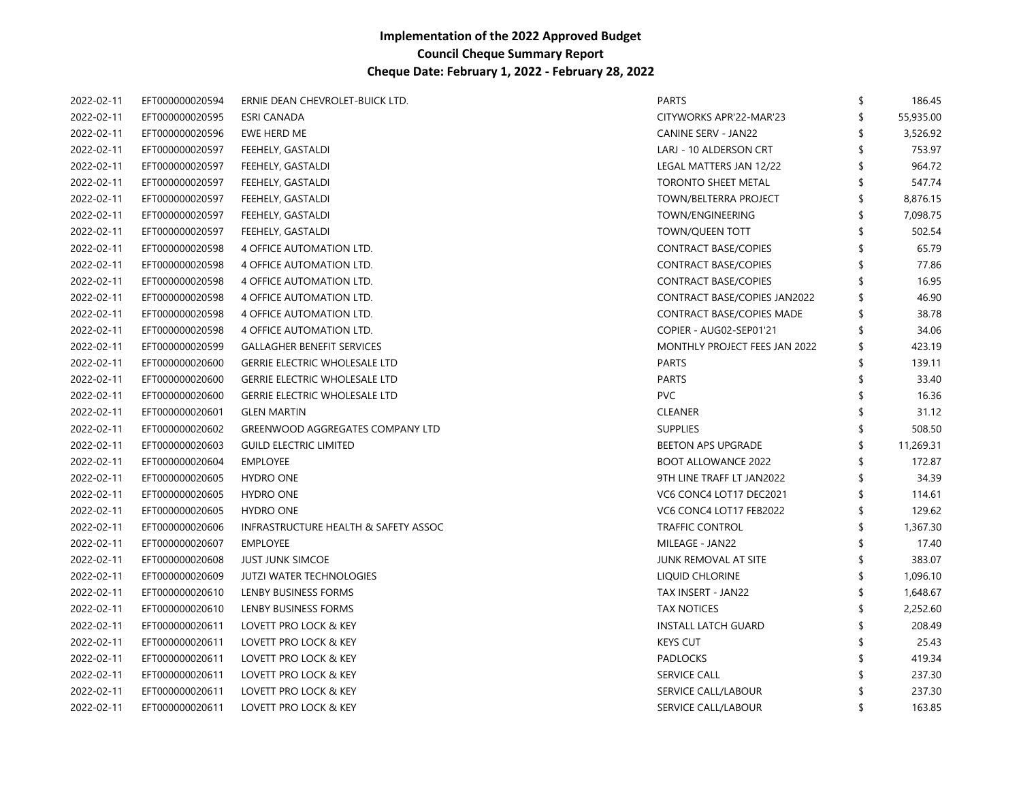| 2022-02-11 | EFT000000020594 | ERNIE DEAN CHEVROLET-BUICK LTD.      | <b>PARTS</b>                     | \$<br>186.45    |
|------------|-----------------|--------------------------------------|----------------------------------|-----------------|
| 2022-02-11 | EFT000000020595 | ESRI CANADA                          | CITYWORKS APR'22-MAR'23          | \$<br>55,935.00 |
| 2022-02-11 | EFT000000020596 | EWE HERD ME                          | CANINE SERV - JAN22              | \$<br>3,526.92  |
| 2022-02-11 | EFT000000020597 | FEEHELY, GASTALDI                    | LARJ - 10 ALDERSON CRT           | 753.97          |
| 2022-02-11 | EFT000000020597 | FEEHELY, GASTALDI                    | LEGAL MATTERS JAN 12/22          | 964.72          |
| 2022-02-11 | EFT000000020597 | FEEHELY, GASTALDI                    | <b>TORONTO SHEET METAL</b>       | 547.74          |
| 2022-02-11 | EFT000000020597 | FEEHELY, GASTALDI                    | TOWN/BELTERRA PROJECT            | 8,876.15        |
| 2022-02-11 | EFT000000020597 | FEEHELY, GASTALDI                    | TOWN/ENGINEERING                 | 7,098.75        |
| 2022-02-11 | EFT000000020597 | FEEHELY, GASTALDI                    | <b>TOWN/QUEEN TOTT</b>           | 502.54          |
| 2022-02-11 | EFT000000020598 | 4 OFFICE AUTOMATION LTD.             | <b>CONTRACT BASE/COPIES</b>      | 65.79           |
| 2022-02-11 | EFT000000020598 | 4 OFFICE AUTOMATION LTD.             | <b>CONTRACT BASE/COPIES</b>      | 77.86           |
| 2022-02-11 | EFT000000020598 | 4 OFFICE AUTOMATION LTD.             | <b>CONTRACT BASE/COPIES</b>      | 16.95           |
| 2022-02-11 | EFT000000020598 | 4 OFFICE AUTOMATION LTD.             | CONTRACT BASE/COPIES JAN2022     | 46.90           |
| 2022-02-11 | EFT000000020598 | 4 OFFICE AUTOMATION LTD.             | <b>CONTRACT BASE/COPIES MADE</b> | 38.78           |
| 2022-02-11 | EFT000000020598 | 4 OFFICE AUTOMATION LTD.             | COPIER - AUG02-SEP01'21          | 34.06           |
| 2022-02-11 | EFT000000020599 | <b>GALLAGHER BENEFIT SERVICES</b>    | MONTHLY PROJECT FEES JAN 2022    | 423.19          |
| 2022-02-11 | EFT000000020600 | <b>GERRIE ELECTRIC WHOLESALE LTD</b> | <b>PARTS</b>                     | \$<br>139.11    |
| 2022-02-11 | EFT000000020600 | <b>GERRIE ELECTRIC WHOLESALE LTD</b> | <b>PARTS</b>                     | \$<br>33.40     |
| 2022-02-11 | EFT000000020600 | GERRIE ELECTRIC WHOLESALE LTD        | <b>PVC</b>                       | 16.36           |
| 2022-02-11 | EFT000000020601 | <b>GLEN MARTIN</b>                   | <b>CLEANER</b>                   | \$<br>31.12     |
| 2022-02-11 | EFT000000020602 | GREENWOOD AGGREGATES COMPANY LTD     | <b>SUPPLIES</b>                  | 508.50          |
| 2022-02-11 | EFT000000020603 | <b>GUILD ELECTRIC LIMITED</b>        | BEETON APS UPGRADE               | \$<br>11,269.31 |
| 2022-02-11 | EFT000000020604 | <b>EMPLOYEE</b>                      | <b>BOOT ALLOWANCE 2022</b>       | 172.87          |
| 2022-02-11 | EFT000000020605 | <b>HYDRO ONE</b>                     | 9TH LINE TRAFF LT JAN2022        | 34.39           |
| 2022-02-11 | EFT000000020605 | <b>HYDRO ONE</b>                     | VC6 CONC4 LOT17 DEC2021          | \$<br>114.61    |
| 2022-02-11 | EFT000000020605 | <b>HYDRO ONE</b>                     | VC6 CONC4 LOT17 FEB2022          | \$<br>129.62    |
| 2022-02-11 | EFT000000020606 | INFRASTRUCTURE HEALTH & SAFETY ASSOC | <b>TRAFFIC CONTROL</b>           | \$<br>1,367.30  |
| 2022-02-11 | EFT000000020607 | <b>EMPLOYEE</b>                      | MILEAGE - JAN22                  | 17.40           |
| 2022-02-11 | EFT000000020608 | <b>JUST JUNK SIMCOE</b>              | JUNK REMOVAL AT SITE             | 383.07          |
| 2022-02-11 | EFT000000020609 | <b>JUTZI WATER TECHNOLOGIES</b>      | LIQUID CHLORINE                  | \$<br>1,096.10  |
| 2022-02-11 | EFT000000020610 | LENBY BUSINESS FORMS                 | TAX INSERT - JAN22               | \$<br>1,648.67  |
| 2022-02-11 | EFT000000020610 | LENBY BUSINESS FORMS                 | <b>TAX NOTICES</b>               | \$<br>2,252.60  |
| 2022-02-11 | EFT000000020611 | LOVETT PRO LOCK & KEY                | <b>INSTALL LATCH GUARD</b>       | 208.49          |
| 2022-02-11 | EFT000000020611 | LOVETT PRO LOCK & KEY                | <b>KEYS CUT</b>                  | \$<br>25.43     |
| 2022-02-11 | EFT000000020611 | LOVETT PRO LOCK & KEY                | <b>PADLOCKS</b>                  | 419.34          |
| 2022-02-11 | EFT000000020611 | LOVETT PRO LOCK & KEY                | <b>SERVICE CALL</b>              | 237.30          |
| 2022-02-11 | EFT000000020611 | LOVETT PRO LOCK & KEY                | SERVICE CALL/LABOUR              | 237.30          |
| 2022-02-11 | EFT000000020611 | LOVETT PRO LOCK & KEY                | <b>SERVICE CALL/LABOUR</b>       | \$<br>163.85    |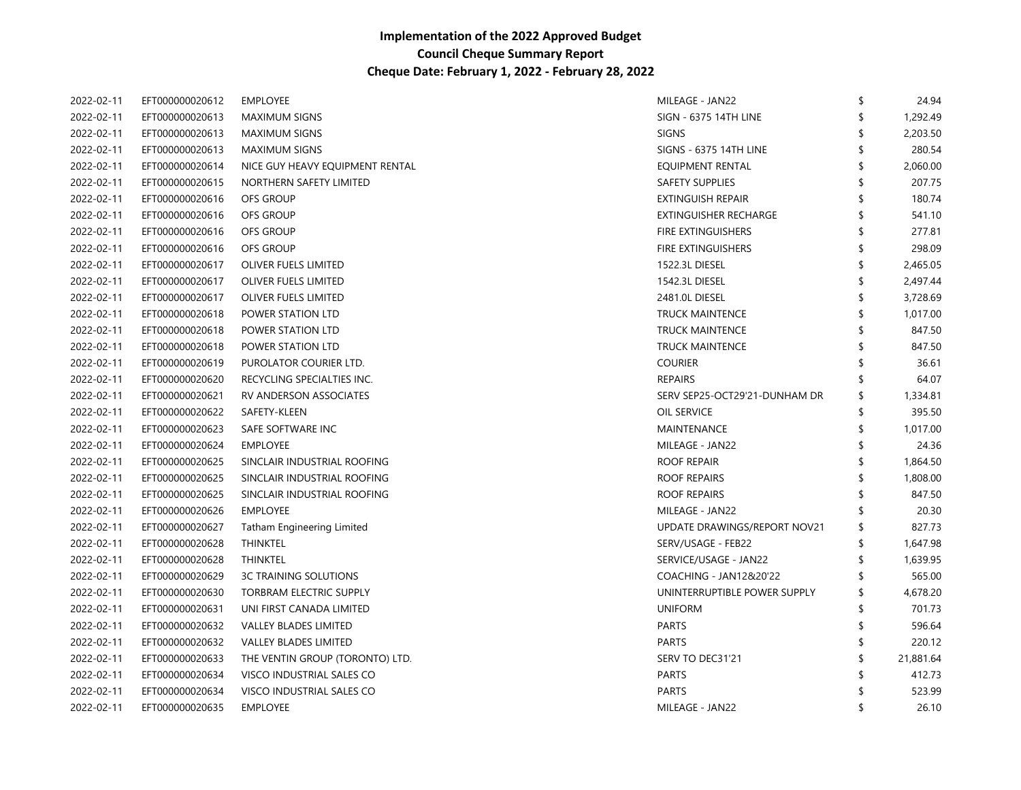| 2022-02-11 | EFT000000020612 | <b>EMPLOYEE</b>                 | MILEAGE - JAN22               | \$<br>24.94     |
|------------|-----------------|---------------------------------|-------------------------------|-----------------|
| 2022-02-11 | EFT000000020613 | <b>MAXIMUM SIGNS</b>            | <b>SIGN - 6375 14TH LINE</b>  | \$<br>1,292.49  |
| 2022-02-11 | EFT000000020613 | <b>MAXIMUM SIGNS</b>            | <b>SIGNS</b>                  | 2,203.50        |
| 2022-02-11 | EFT000000020613 | <b>MAXIMUM SIGNS</b>            | <b>SIGNS - 6375 14TH LINE</b> | 280.54          |
| 2022-02-11 | EFT000000020614 | NICE GUY HEAVY EQUIPMENT RENTAL | EQUIPMENT RENTAL              | 2,060.00        |
| 2022-02-11 | EFT000000020615 | NORTHERN SAFETY LIMITED         | <b>SAFETY SUPPLIES</b>        | 207.75          |
| 2022-02-11 | EFT000000020616 | OFS GROUP                       | <b>EXTINGUISH REPAIR</b>      | 180.74          |
| 2022-02-11 | EFT000000020616 | <b>OFS GROUP</b>                | <b>EXTINGUISHER RECHARGE</b>  | 541.10          |
| 2022-02-11 | EFT000000020616 | <b>OFS GROUP</b>                | FIRE EXTINGUISHERS            | 277.81          |
| 2022-02-11 | EFT000000020616 | <b>OFS GROUP</b>                | FIRE EXTINGUISHERS            | 298.09          |
| 2022-02-11 | EFT000000020617 | OLIVER FUELS LIMITED            | 1522.3L DIESEL                | 2,465.05        |
| 2022-02-11 | EFT000000020617 | OLIVER FUELS LIMITED            | 1542.3L DIESEL                | 2,497.44        |
| 2022-02-11 | EFT000000020617 | OLIVER FUELS LIMITED            | 2481.0L DIESEL                | 3,728.69        |
| 2022-02-11 | EFT000000020618 | POWER STATION LTD               | <b>TRUCK MAINTENCE</b>        | 1,017.00        |
| 2022-02-11 | EFT000000020618 | POWER STATION LTD               | <b>TRUCK MAINTENCE</b>        | 847.50          |
| 2022-02-11 | EFT000000020618 | POWER STATION LTD               | <b>TRUCK MAINTENCE</b>        | 847.50          |
| 2022-02-11 | EFT000000020619 | PUROLATOR COURIER LTD.          | <b>COURIER</b>                | 36.61           |
| 2022-02-11 | EFT000000020620 | RECYCLING SPECIALTIES INC.      | <b>REPAIRS</b>                | 64.07           |
| 2022-02-11 | EFT000000020621 | RV ANDERSON ASSOCIATES          | SERV SEP25-OCT29'21-DUNHAM DR | \$<br>1,334.81  |
| 2022-02-11 | EFT000000020622 | SAFETY-KLEEN                    | OIL SERVICE                   | \$<br>395.50    |
| 2022-02-11 | EFT000000020623 | SAFE SOFTWARE INC               | MAINTENANCE                   | \$<br>1,017.00  |
| 2022-02-11 | EFT000000020624 | <b>EMPLOYEE</b>                 | MILEAGE - JAN22               | 24.36           |
| 2022-02-11 | EFT000000020625 | SINCLAIR INDUSTRIAL ROOFING     | ROOF REPAIR                   | 1,864.50        |
| 2022-02-11 | EFT000000020625 | SINCLAIR INDUSTRIAL ROOFING     | <b>ROOF REPAIRS</b>           | 1,808.00        |
| 2022-02-11 | EFT000000020625 | SINCLAIR INDUSTRIAL ROOFING     | ROOF REPAIRS                  | 847.50          |
| 2022-02-11 | EFT000000020626 | <b>EMPLOYEE</b>                 | MILEAGE - JAN22               | 20.30           |
| 2022-02-11 | EFT000000020627 | Tatham Engineering Limited      | UPDATE DRAWINGS/REPORT NOV21  | \$<br>827.73    |
| 2022-02-11 | EFT000000020628 | <b>THINKTEL</b>                 | SERV/USAGE - FEB22            | \$<br>1,647.98  |
| 2022-02-11 | EFT000000020628 | <b>THINKTEL</b>                 | SERVICE/USAGE - JAN22         | \$<br>1,639.95  |
| 2022-02-11 | EFT000000020629 | <b>3C TRAINING SOLUTIONS</b>    | COACHING - JAN12&20'22        | \$<br>565.00    |
| 2022-02-11 | EFT000000020630 | TORBRAM ELECTRIC SUPPLY         | UNINTERRUPTIBLE POWER SUPPLY  | \$<br>4,678.20  |
| 2022-02-11 | EFT000000020631 | UNI FIRST CANADA LIMITED        | <b>UNIFORM</b>                | \$<br>701.73    |
| 2022-02-11 | EFT000000020632 | VALLEY BLADES LIMITED           | <b>PARTS</b>                  | \$<br>596.64    |
| 2022-02-11 | EFT000000020632 | <b>VALLEY BLADES LIMITED</b>    | <b>PARTS</b>                  | \$<br>220.12    |
| 2022-02-11 | EFT000000020633 | THE VENTIN GROUP (TORONTO) LTD. | SERV TO DEC31'21              | \$<br>21,881.64 |
| 2022-02-11 | EFT000000020634 | VISCO INDUSTRIAL SALES CO       | <b>PARTS</b>                  | 412.73          |
| 2022-02-11 | EFT000000020634 | VISCO INDUSTRIAL SALES CO       | <b>PARTS</b>                  | 523.99          |
| 2022-02-11 | EFT000000020635 | <b>EMPLOYEE</b>                 | MILEAGE - JAN22               | \$<br>26.10     |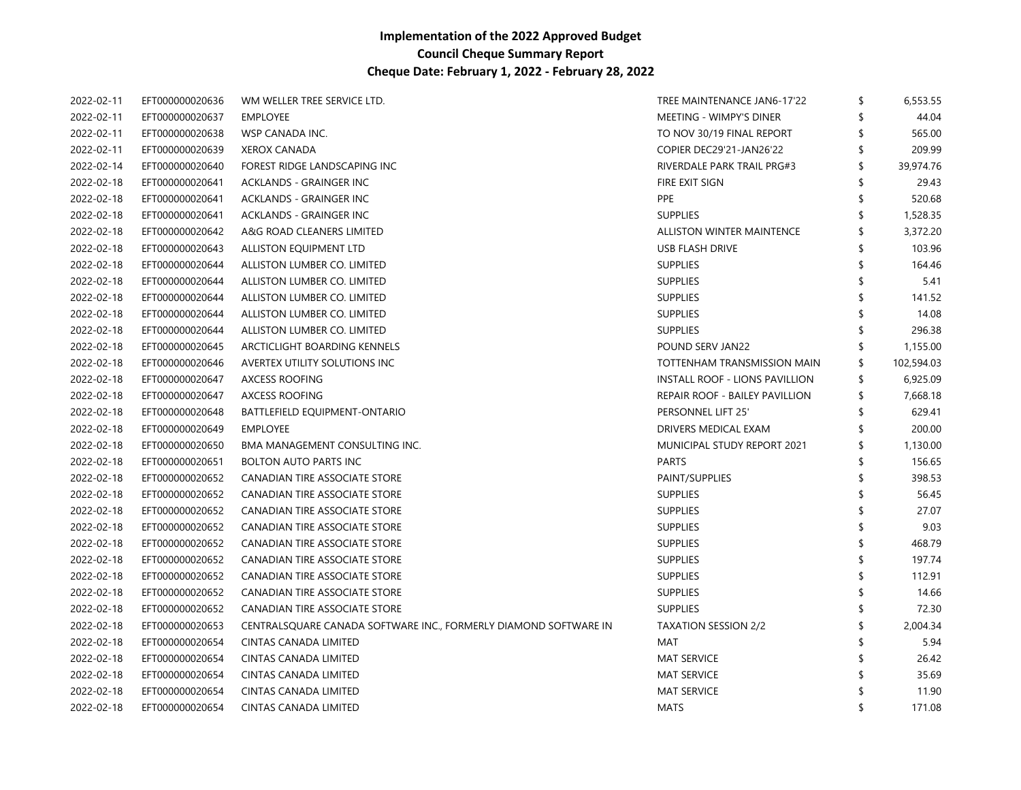| 2022-02-11 | EFT000000020636 | WM WELLER TREE SERVICE LTD.                                      | TREE MAINTENANCE JAN6-17'22    | \$<br>6,553.55   |
|------------|-----------------|------------------------------------------------------------------|--------------------------------|------------------|
| 2022-02-11 | EFT000000020637 | <b>EMPLOYEE</b>                                                  | <b>MEETING - WIMPY'S DINER</b> | 44.04            |
| 2022-02-11 | EFT000000020638 | WSP CANADA INC.                                                  | TO NOV 30/19 FINAL REPORT      | 565.00           |
| 2022-02-11 | EFT000000020639 | <b>XEROX CANADA</b>                                              | COPIER DEC29'21-JAN26'22       | \$<br>209.99     |
| 2022-02-14 | EFT000000020640 | FOREST RIDGE LANDSCAPING INC                                     | RIVERDALE PARK TRAIL PRG#3     | \$<br>39,974.76  |
| 2022-02-18 | EFT000000020641 | ACKLANDS - GRAINGER INC                                          | FIRE EXIT SIGN                 | 29.43            |
| 2022-02-18 | EFT000000020641 | ACKLANDS - GRAINGER INC                                          | <b>PPE</b>                     | 520.68           |
| 2022-02-18 | EFT000000020641 | ACKLANDS - GRAINGER INC                                          | <b>SUPPLIES</b>                | 1,528.35         |
| 2022-02-18 | EFT000000020642 | A&G ROAD CLEANERS LIMITED                                        | ALLISTON WINTER MAINTENCE      | 3,372.20         |
| 2022-02-18 | EFT000000020643 | ALLISTON EQUIPMENT LTD                                           | <b>USB FLASH DRIVE</b>         | \$<br>103.96     |
| 2022-02-18 | EFT000000020644 | ALLISTON LUMBER CO. LIMITED                                      | <b>SUPPLIES</b>                | 164.46           |
| 2022-02-18 | EFT000000020644 | ALLISTON LUMBER CO. LIMITED                                      | <b>SUPPLIES</b>                | 5.41             |
| 2022-02-18 | EFT000000020644 | ALLISTON LUMBER CO. LIMITED                                      | <b>SUPPLIES</b>                | 141.52           |
| 2022-02-18 | EFT000000020644 | ALLISTON LUMBER CO. LIMITED                                      | <b>SUPPLIES</b>                | 14.08            |
| 2022-02-18 | EFT000000020644 | ALLISTON LUMBER CO. LIMITED                                      | <b>SUPPLIES</b>                | 296.38           |
| 2022-02-18 | EFT000000020645 | ARCTICLIGHT BOARDING KENNELS                                     | POUND SERV JAN22               | \$<br>1,155.00   |
| 2022-02-18 | EFT000000020646 | AVERTEX UTILITY SOLUTIONS INC                                    | TOTTENHAM TRANSMISSION MAIN    | \$<br>102,594.03 |
| 2022-02-18 | EFT000000020647 | <b>AXCESS ROOFING</b>                                            | INSTALL ROOF - LIONS PAVILLION | \$<br>6,925.09   |
| 2022-02-18 | EFT000000020647 | AXCESS ROOFING                                                   | REPAIR ROOF - BAILEY PAVILLION | \$<br>7,668.18   |
| 2022-02-18 | EFT000000020648 | BATTLEFIELD EQUIPMENT-ONTARIO                                    | PERSONNEL LIFT 25'             | \$<br>629.41     |
| 2022-02-18 | EFT000000020649 | <b>EMPLOYEE</b>                                                  | DRIVERS MEDICAL EXAM           | \$<br>200.00     |
| 2022-02-18 | EFT000000020650 | BMA MANAGEMENT CONSULTING INC.                                   | MUNICIPAL STUDY REPORT 2021    | \$<br>1,130.00   |
| 2022-02-18 | EFT000000020651 | <b>BOLTON AUTO PARTS INC</b>                                     | <b>PARTS</b>                   | \$<br>156.65     |
| 2022-02-18 | EFT000000020652 | CANADIAN TIRE ASSOCIATE STORE                                    | PAINT/SUPPLIES                 | 398.53           |
| 2022-02-18 | EFT000000020652 | CANADIAN TIRE ASSOCIATE STORE                                    | <b>SUPPLIES</b>                | 56.45            |
| 2022-02-18 | EFT000000020652 | CANADIAN TIRE ASSOCIATE STORE                                    | <b>SUPPLIES</b>                | 27.07            |
| 2022-02-18 | EFT000000020652 | CANADIAN TIRE ASSOCIATE STORE                                    | <b>SUPPLIES</b>                | 9.03             |
| 2022-02-18 | EFT000000020652 | CANADIAN TIRE ASSOCIATE STORE                                    | <b>SUPPLIES</b>                | 468.79           |
| 2022-02-18 | EFT000000020652 | CANADIAN TIRE ASSOCIATE STORE                                    | <b>SUPPLIES</b>                | 197.74           |
| 2022-02-18 | EFT000000020652 | CANADIAN TIRE ASSOCIATE STORE                                    | <b>SUPPLIES</b>                | 112.91           |
| 2022-02-18 | EFT000000020652 | CANADIAN TIRE ASSOCIATE STORE                                    | <b>SUPPLIES</b>                | 14.66            |
| 2022-02-18 | EFT000000020652 | CANADIAN TIRE ASSOCIATE STORE                                    | <b>SUPPLIES</b>                | 72.30            |
| 2022-02-18 | EFT000000020653 | CENTRALSQUARE CANADA SOFTWARE INC., FORMERLY DIAMOND SOFTWARE IN | <b>TAXATION SESSION 2/2</b>    | 2,004.34         |
| 2022-02-18 | EFT000000020654 | CINTAS CANADA LIMITED                                            | MAT                            | \$<br>5.94       |
| 2022-02-18 | EFT000000020654 | CINTAS CANADA LIMITED                                            | <b>MAT SERVICE</b>             | \$<br>26.42      |
| 2022-02-18 | EFT000000020654 | CINTAS CANADA LIMITED                                            | <b>MAT SERVICE</b>             | 35.69            |
| 2022-02-18 | EFT000000020654 | <b>CINTAS CANADA LIMITED</b>                                     | <b>MAT SERVICE</b>             | 11.90            |
| 2022-02-18 | EFT000000020654 | <b>CINTAS CANADA LIMITED</b>                                     | <b>MATS</b>                    | \$<br>171.08     |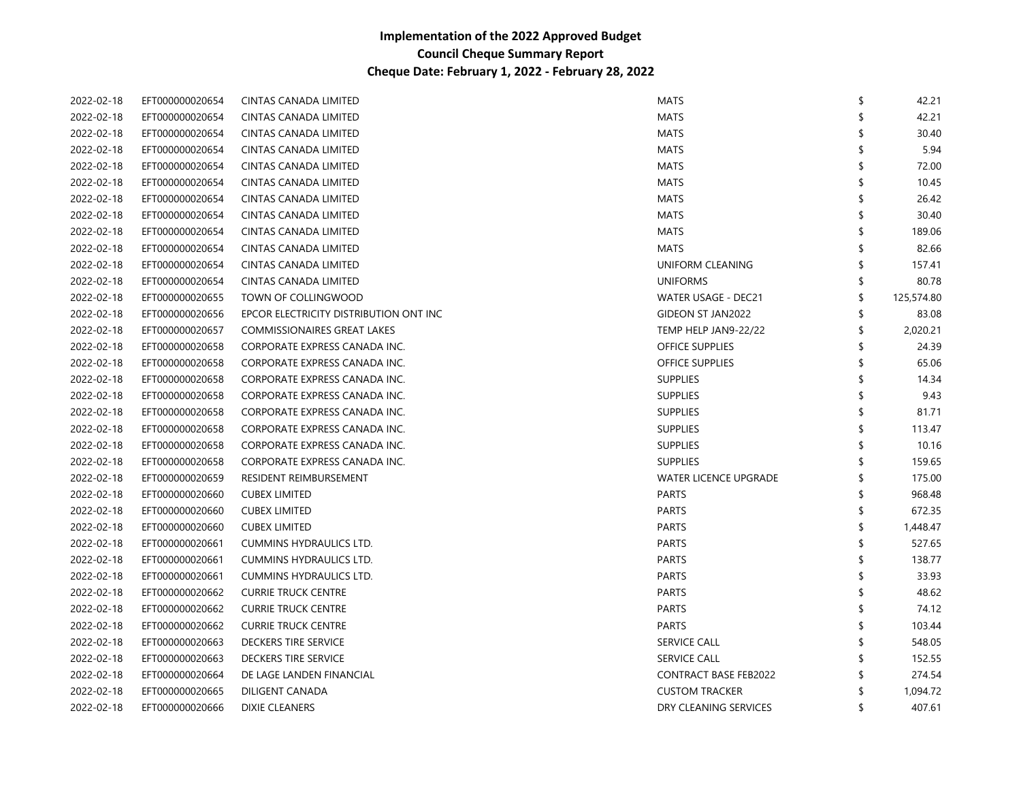| 2022-02-18 | EFT000000020654 | <b>CINTAS CANADA LIMITED</b>           | <b>MATS</b>                  | \$ | 42.21      |
|------------|-----------------|----------------------------------------|------------------------------|----|------------|
| 2022-02-18 | EFT000000020654 | <b>CINTAS CANADA LIMITED</b>           | <b>MATS</b>                  |    | 42.21      |
| 2022-02-18 | EFT000000020654 | CINTAS CANADA LIMITED                  | <b>MATS</b>                  |    | 30.40      |
| 2022-02-18 | EFT000000020654 | CINTAS CANADA LIMITED                  | MATS                         |    | 5.94       |
| 2022-02-18 | EFT000000020654 | CINTAS CANADA LIMITED                  | MATS                         |    | 72.00      |
| 2022-02-18 | EFT000000020654 | <b>CINTAS CANADA LIMITED</b>           | <b>MATS</b>                  |    | 10.45      |
| 2022-02-18 | EFT000000020654 | CINTAS CANADA LIMITED                  | MATS                         |    | 26.42      |
| 2022-02-18 | EFT000000020654 | <b>CINTAS CANADA LIMITED</b>           | MATS                         |    | 30.40      |
| 2022-02-18 | EFT000000020654 | <b>CINTAS CANADA LIMITED</b>           | <b>MATS</b>                  |    | 189.06     |
| 2022-02-18 | EFT000000020654 | <b>CINTAS CANADA LIMITED</b>           | <b>MATS</b>                  |    | 82.66      |
| 2022-02-18 | EFT000000020654 | <b>CINTAS CANADA LIMITED</b>           | UNIFORM CLEANING             | \$ | 157.41     |
| 2022-02-18 | EFT000000020654 | <b>CINTAS CANADA LIMITED</b>           | <b>UNIFORMS</b>              | \$ | 80.78      |
| 2022-02-18 | EFT000000020655 | TOWN OF COLLINGWOOD                    | WATER USAGE - DEC21          | \$ | 125,574.80 |
| 2022-02-18 | EFT000000020656 | EPCOR ELECTRICITY DISTRIBUTION ONT INC | <b>GIDEON ST JAN2022</b>     | \$ | 83.08      |
| 2022-02-18 | EFT000000020657 | <b>COMMISSIONAIRES GREAT LAKES</b>     | TEMP HELP JAN9-22/22         | \$ | 2,020.21   |
| 2022-02-18 | EFT000000020658 | CORPORATE EXPRESS CANADA INC.          | <b>OFFICE SUPPLIES</b>       | \$ | 24.39      |
| 2022-02-18 | EFT000000020658 | CORPORATE EXPRESS CANADA INC.          | <b>OFFICE SUPPLIES</b>       | \$ | 65.06      |
| 2022-02-18 | EFT000000020658 | CORPORATE EXPRESS CANADA INC.          | <b>SUPPLIES</b>              | \$ | 14.34      |
| 2022-02-18 | EFT000000020658 | CORPORATE EXPRESS CANADA INC.          | <b>SUPPLIES</b>              | \$ | 9.43       |
| 2022-02-18 | EFT000000020658 | CORPORATE EXPRESS CANADA INC.          | <b>SUPPLIES</b>              | \$ | 81.71      |
| 2022-02-18 | EFT000000020658 | CORPORATE EXPRESS CANADA INC.          | <b>SUPPLIES</b>              | \$ | 113.47     |
| 2022-02-18 | EFT000000020658 | CORPORATE EXPRESS CANADA INC.          | <b>SUPPLIES</b>              | \$ | 10.16      |
| 2022-02-18 | EFT000000020658 | CORPORATE EXPRESS CANADA INC.          | <b>SUPPLIES</b>              | ς  | 159.65     |
| 2022-02-18 | EFT000000020659 | RESIDENT REIMBURSEMENT                 | <b>WATER LICENCE UPGRADE</b> | S  | 175.00     |
| 2022-02-18 | EFT000000020660 | <b>CUBEX LIMITED</b>                   | <b>PARTS</b>                 | \$ | 968.48     |
| 2022-02-18 | EFT000000020660 | <b>CUBEX LIMITED</b>                   | PARTS                        | \$ | 672.35     |
| 2022-02-18 | EFT000000020660 | <b>CUBEX LIMITED</b>                   | <b>PARTS</b>                 | S  | 1,448.47   |
| 2022-02-18 | EFT000000020661 | CUMMINS HYDRAULICS LTD.                | <b>PARTS</b>                 |    | 527.65     |
| 2022-02-18 | EFT000000020661 | CUMMINS HYDRAULICS LTD.                | PARTS                        | \$ | 138.77     |
| 2022-02-18 | EFT000000020661 | <b>CUMMINS HYDRAULICS LTD.</b>         | <b>PARTS</b>                 | \$ | 33.93      |
| 2022-02-18 | EFT000000020662 | <b>CURRIE TRUCK CENTRE</b>             | <b>PARTS</b>                 |    | 48.62      |
| 2022-02-18 | EFT000000020662 | <b>CURRIE TRUCK CENTRE</b>             | <b>PARTS</b>                 |    | 74.12      |
| 2022-02-18 | EFT000000020662 | <b>CURRIE TRUCK CENTRE</b>             | <b>PARTS</b>                 | \$ | 103.44     |
| 2022-02-18 | EFT000000020663 | DECKERS TIRE SERVICE                   | SERVICE CALL                 |    | 548.05     |
| 2022-02-18 | EFT000000020663 | DECKERS TIRE SERVICE                   | SERVICE CALL                 |    | 152.55     |
| 2022-02-18 | EFT000000020664 | DE LAGE LANDEN FINANCIAL               | <b>CONTRACT BASE FEB2022</b> |    | 274.54     |
| 2022-02-18 | EFT000000020665 | DILIGENT CANADA                        | <b>CUSTOM TRACKER</b>        |    | 1,094.72   |
| 2022-02-18 | EFT000000020666 | <b>DIXIE CLEANERS</b>                  | DRY CLEANING SERVICES        | \$ | 407.61     |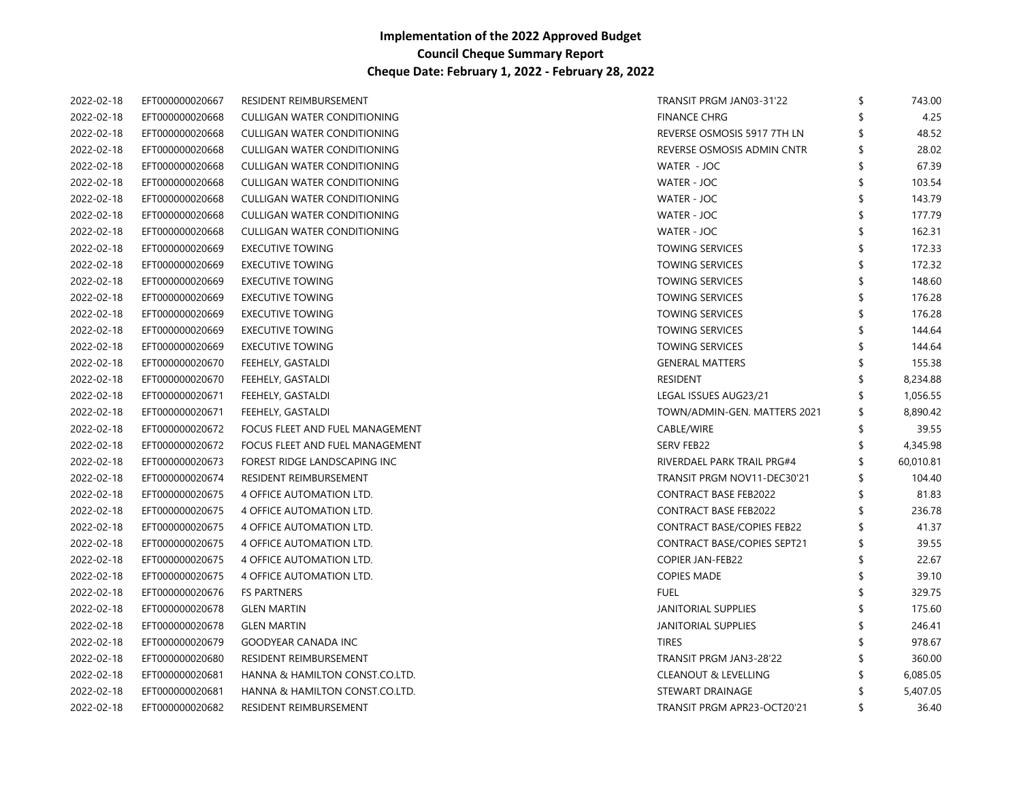| 2022-02-18 | EFT000000020667 | RESIDENT REIMBURSEMENT             | TRANSIT PRGM JAN03-31'22           | \$ | 743.00    |
|------------|-----------------|------------------------------------|------------------------------------|----|-----------|
| 2022-02-18 | EFT000000020668 | <b>CULLIGAN WATER CONDITIONING</b> | <b>FINANCE CHRG</b>                |    | 4.25      |
| 2022-02-18 | EFT000000020668 | CULLIGAN WATER CONDITIONING        | REVERSE OSMOSIS 5917 7TH LN        |    | 48.52     |
| 2022-02-18 | EFT000000020668 | CULLIGAN WATER CONDITIONING        | REVERSE OSMOSIS ADMIN CNTR         |    | 28.02     |
| 2022-02-18 | EFT000000020668 | CULLIGAN WATER CONDITIONING        | WATER - JOC                        |    | 67.39     |
| 2022-02-18 | EFT000000020668 | <b>CULLIGAN WATER CONDITIONING</b> | WATER - JOC                        |    | 103.54    |
| 2022-02-18 | EFT000000020668 | <b>CULLIGAN WATER CONDITIONING</b> | WATER - JOC                        |    | 143.79    |
| 2022-02-18 | EFT000000020668 | CULLIGAN WATER CONDITIONING        | WATER - JOC                        |    | 177.79    |
| 2022-02-18 | EFT000000020668 | <b>CULLIGAN WATER CONDITIONING</b> | WATER - JOC                        |    | 162.31    |
| 2022-02-18 | EFT000000020669 | <b>EXECUTIVE TOWING</b>            | <b>TOWING SERVICES</b>             |    | 172.33    |
| 2022-02-18 | EFT000000020669 | <b>EXECUTIVE TOWING</b>            | <b>TOWING SERVICES</b>             |    | 172.32    |
| 2022-02-18 | EFT000000020669 | <b>EXECUTIVE TOWING</b>            | <b>TOWING SERVICES</b>             |    | 148.60    |
| 2022-02-18 | EFT000000020669 | <b>EXECUTIVE TOWING</b>            | <b>TOWING SERVICES</b>             |    | 176.28    |
| 2022-02-18 | EFT000000020669 | <b>EXECUTIVE TOWING</b>            | <b>TOWING SERVICES</b>             | \$ | 176.28    |
| 2022-02-18 | EFT000000020669 | <b>EXECUTIVE TOWING</b>            | <b>TOWING SERVICES</b>             |    | 144.64    |
| 2022-02-18 | EFT000000020669 | <b>EXECUTIVE TOWING</b>            | <b>TOWING SERVICES</b>             |    | 144.64    |
| 2022-02-18 | EFT000000020670 | FEEHELY, GASTALDI                  | <b>GENERAL MATTERS</b>             |    | 155.38    |
| 2022-02-18 | EFT000000020670 | FEEHELY, GASTALDI                  | <b>RESIDENT</b>                    |    | 8,234.88  |
| 2022-02-18 | EFT000000020671 | FEEHELY, GASTALDI                  | LEGAL ISSUES AUG23/21              |    | 1,056.55  |
| 2022-02-18 | EFT000000020671 | FEEHELY, GASTALDI                  | TOWN/ADMIN-GEN. MATTERS 2021       | S  | 8,890.42  |
| 2022-02-18 | EFT000000020672 | FOCUS FLEET AND FUEL MANAGEMENT    | CABLE/WIRE                         | \$ | 39.55     |
| 2022-02-18 | EFT000000020672 | FOCUS FLEET AND FUEL MANAGEMENT    | SERV FEB22                         |    | 4,345.98  |
| 2022-02-18 | EFT000000020673 | FOREST RIDGE LANDSCAPING INC       | RIVERDAEL PARK TRAIL PRG#4         |    | 60,010.81 |
| 2022-02-18 | EFT000000020674 | RESIDENT REIMBURSEMENT             | TRANSIT PRGM NOV11-DEC30'21        | \$ | 104.40    |
| 2022-02-18 | EFT000000020675 | 4 OFFICE AUTOMATION LTD.           | <b>CONTRACT BASE FEB2022</b>       | \$ | 81.83     |
| 2022-02-18 | EFT000000020675 | 4 OFFICE AUTOMATION LTD.           | <b>CONTRACT BASE FEB2022</b>       | \$ | 236.78    |
| 2022-02-18 | EFT000000020675 | 4 OFFICE AUTOMATION LTD.           | <b>CONTRACT BASE/COPIES FEB22</b>  | \$ | 41.37     |
| 2022-02-18 | EFT000000020675 | 4 OFFICE AUTOMATION LTD.           | <b>CONTRACT BASE/COPIES SEPT21</b> | \$ | 39.55     |
| 2022-02-18 | EFT000000020675 | 4 OFFICE AUTOMATION LTD.           | <b>COPIER JAN-FEB22</b>            |    | 22.67     |
| 2022-02-18 | EFT000000020675 | 4 OFFICE AUTOMATION LTD.           | <b>COPIES MADE</b>                 |    | 39.10     |
| 2022-02-18 | EFT000000020676 | <b>FS PARTNERS</b>                 | <b>FUEL</b>                        |    | 329.75    |
| 2022-02-18 | EFT000000020678 | <b>GLEN MARTIN</b>                 | JANITORIAL SUPPLIES                |    | 175.60    |
| 2022-02-18 | EFT000000020678 | <b>GLEN MARTIN</b>                 | <b>JANITORIAL SUPPLIES</b>         |    | 246.41    |
| 2022-02-18 | EFT000000020679 | <b>GOODYEAR CANADA INC</b>         | <b>TIRES</b>                       |    | 978.67    |
| 2022-02-18 | EFT000000020680 | RESIDENT REIMBURSEMENT             | TRANSIT PRGM JAN3-28'22            |    | 360.00    |
| 2022-02-18 | EFT000000020681 | HANNA & HAMILTON CONST.CO.LTD.     | CLEANOUT & LEVELLING               |    | 6,085.05  |
| 2022-02-18 | EFT000000020681 | HANNA & HAMILTON CONST.CO.LTD.     | STEWART DRAINAGE                   |    | 5,407.05  |
| 2022-02-18 | EFT000000020682 | RESIDENT REIMBURSEMENT             | TRANSIT PRGM APR23-OCT20'21        | \$ | 36.40     |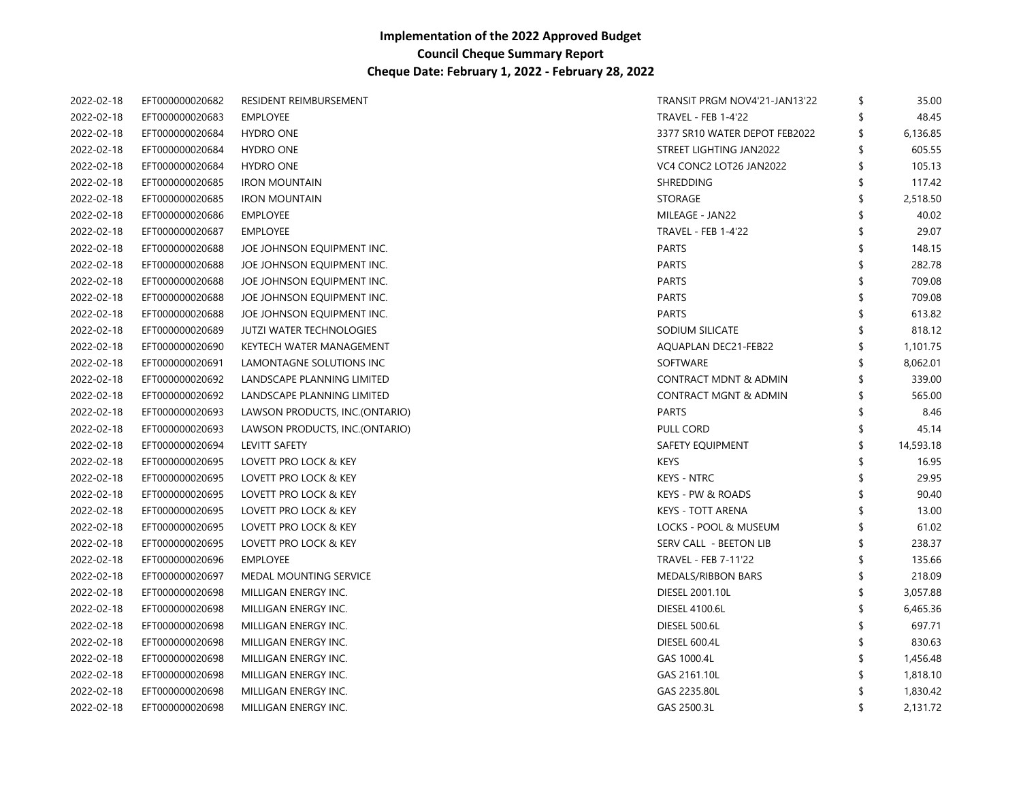| 2022-02-18 | EFT000000020682 | RESIDENT REIMBURSEMENT          | TRANSIT PRGM NOV4'21-JAN13'22    | \$<br>35.00 |
|------------|-----------------|---------------------------------|----------------------------------|-------------|
| 2022-02-18 | EFT000000020683 | <b>EMPLOYEE</b>                 | <b>TRAVEL - FEB 1-4'22</b>       | 48.45       |
| 2022-02-18 | EFT000000020684 | <b>HYDRO ONE</b>                | 3377 SR10 WATER DEPOT FEB2022    | 6,136.85    |
| 2022-02-18 | EFT000000020684 | <b>HYDRO ONE</b>                | STREET LIGHTING JAN2022          | 605.55      |
| 2022-02-18 | EFT000000020684 | <b>HYDRO ONE</b>                | VC4 CONC2 LOT26 JAN2022          | 105.13      |
| 2022-02-18 | EFT000000020685 | <b>IRON MOUNTAIN</b>            | <b>SHREDDING</b>                 | 117.42      |
| 2022-02-18 | EFT000000020685 | <b>IRON MOUNTAIN</b>            | <b>STORAGE</b>                   | 2,518.50    |
| 2022-02-18 | EFT000000020686 | <b>EMPLOYEE</b>                 | MILEAGE - JAN22                  | 40.02       |
| 2022-02-18 | EFT000000020687 | EMPLOYEE                        | <b>TRAVEL - FEB 1-4'22</b>       | 29.07       |
| 2022-02-18 | EFT000000020688 | JOE JOHNSON EQUIPMENT INC.      | <b>PARTS</b>                     | 148.15      |
| 2022-02-18 | EFT000000020688 | JOE JOHNSON EQUIPMENT INC.      | <b>PARTS</b>                     | 282.78      |
| 2022-02-18 | EFT000000020688 | JOE JOHNSON EQUIPMENT INC.      | <b>PARTS</b>                     | 709.08      |
| 2022-02-18 | EFT000000020688 | JOE JOHNSON EQUIPMENT INC.      | <b>PARTS</b>                     | 709.08      |
| 2022-02-18 | EFT000000020688 | JOE JOHNSON EQUIPMENT INC.      | <b>PARTS</b>                     | 613.82      |
| 2022-02-18 | EFT000000020689 | <b>JUTZI WATER TECHNOLOGIES</b> | SODIUM SILICATE                  | 818.12      |
| 2022-02-18 | EFT000000020690 | KEYTECH WATER MANAGEMENT        | AQUAPLAN DEC21-FEB22             | 1,101.75    |
| 2022-02-18 | EFT000000020691 | LAMONTAGNE SOLUTIONS INC        | SOFTWARE                         | 8,062.01    |
| 2022-02-18 | EFT000000020692 | LANDSCAPE PLANNING LIMITED      | <b>CONTRACT MDNT &amp; ADMIN</b> | 339.00      |
| 2022-02-18 | EFT000000020692 | LANDSCAPE PLANNING LIMITED      | CONTRACT MGNT & ADMIN            | 565.00      |
| 2022-02-18 | EFT000000020693 | LAWSON PRODUCTS, INC.(ONTARIO)  | <b>PARTS</b>                     | 8.46        |
| 2022-02-18 | EFT000000020693 | LAWSON PRODUCTS, INC.(ONTARIO)  | PULL CORD                        | 45.14       |
| 2022-02-18 | EFT000000020694 | <b>LEVITT SAFETY</b>            | SAFETY EQUIPMENT                 | 14,593.18   |
| 2022-02-18 | EFT000000020695 | LOVETT PRO LOCK & KEY           | <b>KEYS</b>                      | 16.95       |
| 2022-02-18 | EFT000000020695 | LOVETT PRO LOCK & KEY           | <b>KEYS - NTRC</b>               | 29.95       |
| 2022-02-18 | EFT000000020695 | LOVETT PRO LOCK & KEY           | KEYS - PW & ROADS                | 90.40       |
| 2022-02-18 | EFT000000020695 | LOVETT PRO LOCK & KEY           | <b>KEYS - TOTT ARENA</b>         | 13.00       |
| 2022-02-18 | EFT000000020695 | LOVETT PRO LOCK & KEY           | LOCKS - POOL & MUSEUM            | 61.02       |
| 2022-02-18 | EFT000000020695 | LOVETT PRO LOCK & KEY           | SERV CALL - BEETON LIB           | 238.37      |
| 2022-02-18 | EFT000000020696 | <b>EMPLOYEE</b>                 | TRAVEL - FEB 7-11'22             | 135.66      |
| 2022-02-18 | EFT000000020697 | MEDAL MOUNTING SERVICE          | MEDALS/RIBBON BARS               | 218.09      |
| 2022-02-18 | EFT000000020698 | MILLIGAN ENERGY INC.            | DIESEL 2001.10L                  | 3,057.88    |
| 2022-02-18 | EFT000000020698 | MILLIGAN ENERGY INC.            | <b>DIESEL 4100.6L</b>            | 6,465.36    |
| 2022-02-18 | EFT000000020698 | MILLIGAN ENERGY INC.            | <b>DIESEL 500.6L</b>             | 697.71      |
| 2022-02-18 | EFT000000020698 | MILLIGAN ENERGY INC.            | <b>DIESEL 600.4L</b>             | 830.63      |
| 2022-02-18 | EFT000000020698 | MILLIGAN ENERGY INC.            | GAS 1000.4L                      | 1,456.48    |
| 2022-02-18 | EFT000000020698 | MILLIGAN ENERGY INC.            | GAS 2161.10L                     | 1,818.10    |
| 2022-02-18 | EFT000000020698 | MILLIGAN ENERGY INC.            | GAS 2235.80L                     | 1,830.42    |
| 2022-02-18 | EFT000000020698 | MILLIGAN ENERGY INC.            | GAS 2500.3L                      | 2,131.72    |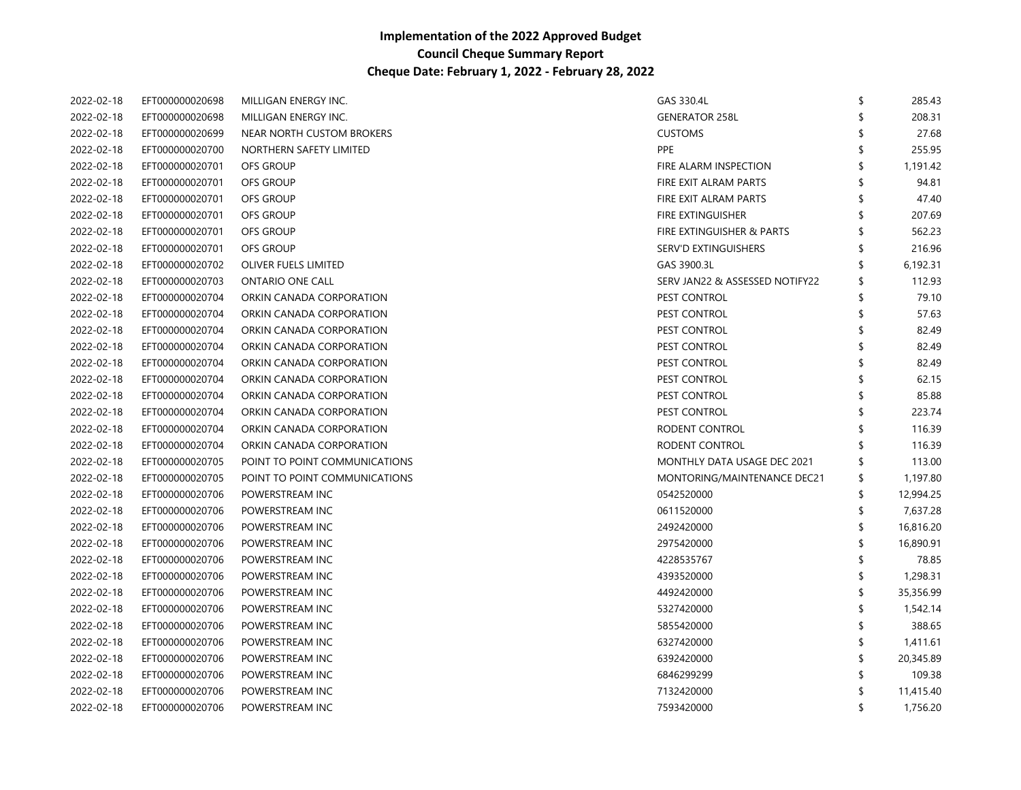| 2022-02-18 | EFT000000020698 | MILLIGAN ENERGY INC.          | GAS 330.4L                     | \$ | 285.43    |
|------------|-----------------|-------------------------------|--------------------------------|----|-----------|
| 2022-02-18 | EFT000000020698 | MILLIGAN ENERGY INC.          | <b>GENERATOR 258L</b>          |    | 208.31    |
| 2022-02-18 | EFT000000020699 | NEAR NORTH CUSTOM BROKERS     | <b>CUSTOMS</b>                 |    | 27.68     |
| 2022-02-18 | EFT000000020700 | NORTHERN SAFETY LIMITED       | <b>PPE</b>                     |    | 255.95    |
| 2022-02-18 | EFT000000020701 | OFS GROUP                     | FIRE ALARM INSPECTION          |    | 1,191.42  |
| 2022-02-18 | EFT000000020701 | OFS GROUP                     | FIRE EXIT ALRAM PARTS          |    | 94.81     |
| 2022-02-18 | EFT000000020701 | OFS GROUP                     | FIRE EXIT ALRAM PARTS          |    | 47.40     |
| 2022-02-18 | EFT000000020701 | OFS GROUP                     | FIRE EXTINGUISHER              |    | 207.69    |
| 2022-02-18 | EFT000000020701 | <b>OFS GROUP</b>              | FIRE EXTINGUISHER & PARTS      |    | 562.23    |
| 2022-02-18 | EFT000000020701 | OFS GROUP                     | SERV'D EXTINGUISHERS           |    | 216.96    |
| 2022-02-18 | EFT000000020702 | OLIVER FUELS LIMITED          | GAS 3900.3L                    |    | 6,192.31  |
| 2022-02-18 | EFT000000020703 | <b>ONTARIO ONE CALL</b>       | SERV JAN22 & ASSESSED NOTIFY22 |    | 112.93    |
| 2022-02-18 | EFT000000020704 | ORKIN CANADA CORPORATION      | PEST CONTROL                   | \$ | 79.10     |
| 2022-02-18 | EFT000000020704 | ORKIN CANADA CORPORATION      | PEST CONTROL                   | \$ | 57.63     |
| 2022-02-18 | EFT000000020704 | ORKIN CANADA CORPORATION      | PEST CONTROL                   |    | 82.49     |
| 2022-02-18 | EFT000000020704 | ORKIN CANADA CORPORATION      | PEST CONTROL                   | \$ | 82.49     |
| 2022-02-18 | EFT000000020704 | ORKIN CANADA CORPORATION      | PEST CONTROL                   |    | 82.49     |
| 2022-02-18 | EFT000000020704 | ORKIN CANADA CORPORATION      | PEST CONTROL                   |    | 62.15     |
| 2022-02-18 | EFT000000020704 | ORKIN CANADA CORPORATION      | PEST CONTROL                   |    | 85.88     |
| 2022-02-18 | EFT000000020704 | ORKIN CANADA CORPORATION      | PEST CONTROL                   |    | 223.74    |
| 2022-02-18 | EFT000000020704 | ORKIN CANADA CORPORATION      | RODENT CONTROL                 |    | 116.39    |
| 2022-02-18 | EFT000000020704 | ORKIN CANADA CORPORATION      | RODENT CONTROL                 |    | 116.39    |
| 2022-02-18 | EFT000000020705 | POINT TO POINT COMMUNICATIONS | MONTHLY DATA USAGE DEC 2021    | \$ | 113.00    |
| 2022-02-18 | EFT000000020705 | POINT TO POINT COMMUNICATIONS | MONTORING/MAINTENANCE DEC21    | \$ | 1,197.80  |
| 2022-02-18 | EFT000000020706 | POWERSTREAM INC               | 0542520000                     | \$ | 12,994.25 |
| 2022-02-18 | EFT000000020706 | POWERSTREAM INC               | 0611520000                     | \$ | 7,637.28  |
| 2022-02-18 | EFT000000020706 | POWERSTREAM INC               | 2492420000                     | \$ | 16,816.20 |
| 2022-02-18 | EFT000000020706 | POWERSTREAM INC               | 2975420000                     |    | 16,890.91 |
| 2022-02-18 | EFT000000020706 | POWERSTREAM INC               | 4228535767                     |    | 78.85     |
| 2022-02-18 | EFT000000020706 | POWERSTREAM INC               | 4393520000                     | S  | 1,298.31  |
| 2022-02-18 | EFT000000020706 | POWERSTREAM INC               | 4492420000                     |    | 35,356.99 |
| 2022-02-18 | EFT000000020706 | POWERSTREAM INC               | 5327420000                     | S  | 1,542.14  |
| 2022-02-18 | EFT000000020706 | POWERSTREAM INC               | 5855420000                     |    | 388.65    |
| 2022-02-18 | EFT000000020706 | POWERSTREAM INC               | 6327420000                     | \$ | 1,411.61  |
| 2022-02-18 | EFT000000020706 | POWERSTREAM INC               | 6392420000                     | \$ | 20,345.89 |
| 2022-02-18 | EFT000000020706 | POWERSTREAM INC               | 6846299299                     | S  | 109.38    |
| 2022-02-18 | EFT000000020706 | POWERSTREAM INC               | 7132420000                     |    | 11,415.40 |
| 2022-02-18 | EFT000000020706 | POWERSTREAM INC               | 7593420000                     | \$ | 1,756.20  |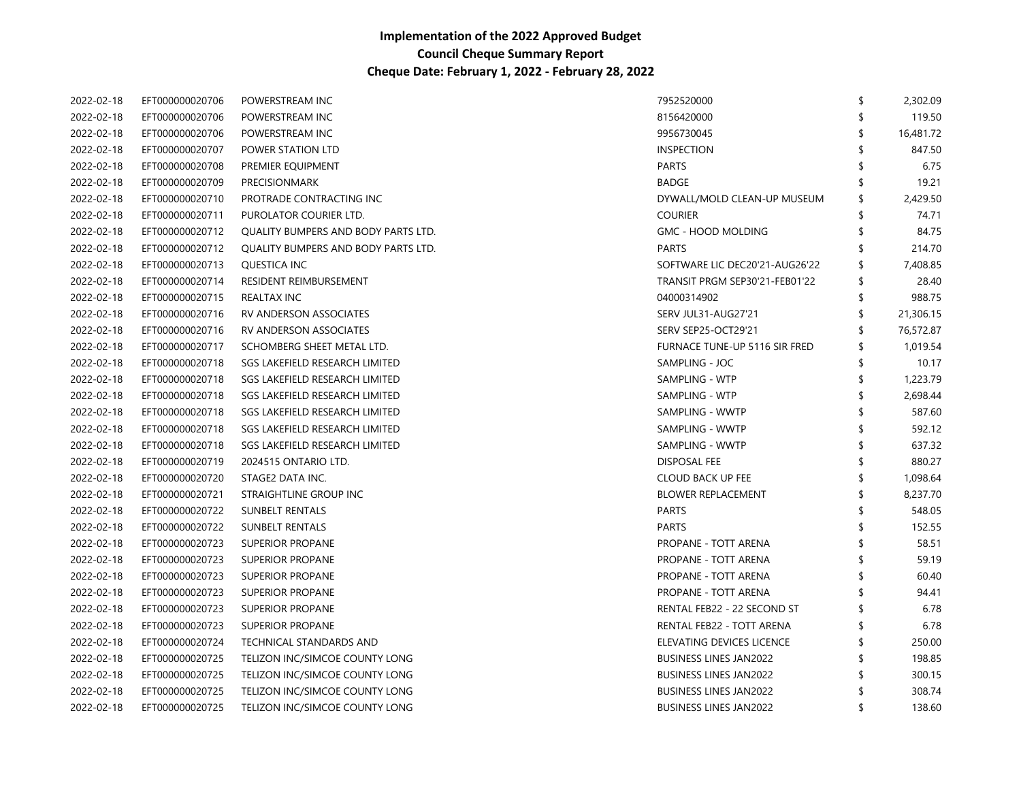| 2022-02-18 | EFT000000020706 | POWERSTREAM INC                     | 7952520000                     | \$<br>2,302.09 |
|------------|-----------------|-------------------------------------|--------------------------------|----------------|
| 2022-02-18 | EFT000000020706 | POWERSTREAM INC                     | 8156420000                     | 119.50         |
| 2022-02-18 | EFT000000020706 | POWERSTREAM INC                     | 9956730045                     | 16,481.72      |
| 2022-02-18 | EFT000000020707 | POWER STATION LTD                   | <b>INSPECTION</b>              | 847.50         |
| 2022-02-18 | EFT000000020708 | PREMIER EQUIPMENT                   | <b>PARTS</b>                   | 6.75           |
| 2022-02-18 | EFT000000020709 | PRECISIONMARK                       | BADGE                          | 19.21          |
| 2022-02-18 | EFT000000020710 | PROTRADE CONTRACTING INC            | DYWALL/MOLD CLEAN-UP MUSEUM    | \$<br>2,429.50 |
| 2022-02-18 | EFT000000020711 | PUROLATOR COURIER LTD.              | <b>COURIER</b>                 | 74.71          |
| 2022-02-18 | EFT000000020712 | QUALITY BUMPERS AND BODY PARTS LTD. | <b>GMC - HOOD MOLDING</b>      | 84.75          |
| 2022-02-18 | EFT000000020712 | QUALITY BUMPERS AND BODY PARTS LTD. | <b>PARTS</b>                   | 214.70         |
| 2022-02-18 | EFT000000020713 | QUESTICA INC                        | SOFTWARE LIC DEC20'21-AUG26'22 | 7,408.85       |
| 2022-02-18 | EFT000000020714 | RESIDENT REIMBURSEMENT              | TRANSIT PRGM SEP30'21-FEB01'22 | \$<br>28.40    |
| 2022-02-18 | EFT000000020715 | <b>REALTAX INC</b>                  | 04000314902                    | \$<br>988.75   |
| 2022-02-18 | EFT000000020716 | RV ANDERSON ASSOCIATES              | SERV JUL31-AUG27'21            | 21,306.15      |
| 2022-02-18 | EFT000000020716 | RV ANDERSON ASSOCIATES              | SERV SEP25-OCT29'21            | 76,572.87      |
| 2022-02-18 | EFT000000020717 | SCHOMBERG SHEET METAL LTD.          | FURNACE TUNE-UP 5116 SIR FRED  | \$<br>1,019.54 |
| 2022-02-18 | EFT000000020718 | SGS LAKEFIELD RESEARCH LIMITED      | SAMPLING - JOC                 | \$<br>10.17    |
| 2022-02-18 | EFT000000020718 | SGS LAKEFIELD RESEARCH LIMITED      | SAMPLING - WTP                 | \$<br>1,223.79 |
| 2022-02-18 | EFT000000020718 | SGS LAKEFIELD RESEARCH LIMITED      | SAMPLING - WTP                 | 2,698.44       |
| 2022-02-18 | EFT000000020718 | SGS LAKEFIELD RESEARCH LIMITED      | SAMPLING - WWTP                | 587.60         |
| 2022-02-18 | EFT000000020718 | SGS LAKEFIELD RESEARCH LIMITED      | SAMPLING - WWTP                | 592.12         |
| 2022-02-18 | EFT000000020718 | SGS LAKEFIELD RESEARCH LIMITED      | SAMPLING - WWTP                | 637.32         |
| 2022-02-18 | EFT000000020719 | 2024515 ONTARIO LTD.                | <b>DISPOSAL FEE</b>            | 880.27         |
| 2022-02-18 | EFT000000020720 | STAGE2 DATA INC.                    | <b>CLOUD BACK UP FEE</b>       | 1,098.64       |
| 2022-02-18 | EFT000000020721 | STRAIGHTLINE GROUP INC              | <b>BLOWER REPLACEMENT</b>      | 8,237.70       |
| 2022-02-18 | EFT000000020722 | <b>SUNBELT RENTALS</b>              | <b>PARTS</b>                   | 548.05         |
| 2022-02-18 | EFT000000020722 | <b>SUNBELT RENTALS</b>              | <b>PARTS</b>                   | 152.55         |
| 2022-02-18 | EFT000000020723 | <b>SUPERIOR PROPANE</b>             | PROPANE - TOTT ARENA           | 58.51          |
| 2022-02-18 | EFT000000020723 | <b>SUPERIOR PROPANE</b>             | PROPANE - TOTT ARENA           | 59.19          |
| 2022-02-18 | EFT000000020723 | <b>SUPERIOR PROPANE</b>             | PROPANE - TOTT ARENA           | 60.40          |
| 2022-02-18 | EFT000000020723 | <b>SUPERIOR PROPANE</b>             | PROPANE - TOTT ARENA           | 94.41          |
| 2022-02-18 | EFT000000020723 | <b>SUPERIOR PROPANE</b>             | RENTAL FEB22 - 22 SECOND ST    | 6.78           |
| 2022-02-18 | EFT000000020723 | <b>SUPERIOR PROPANE</b>             | RENTAL FEB22 - TOTT ARENA      | 6.78           |
| 2022-02-18 | EFT000000020724 | TECHNICAL STANDARDS AND             | ELEVATING DEVICES LICENCE      | 250.00         |
| 2022-02-18 | EFT000000020725 | TELIZON INC/SIMCOE COUNTY LONG      | <b>BUSINESS LINES JAN2022</b>  | 198.85         |
| 2022-02-18 | EFT000000020725 | TELIZON INC/SIMCOE COUNTY LONG      | <b>BUSINESS LINES JAN2022</b>  | 300.15         |
| 2022-02-18 | EFT000000020725 | TELIZON INC/SIMCOE COUNTY LONG      | <b>BUSINESS LINES JAN2022</b>  | 308.74         |
| 2022-02-18 | EFT000000020725 | TELIZON INC/SIMCOE COUNTY LONG      | <b>BUSINESS LINES JAN2022</b>  | \$<br>138.60   |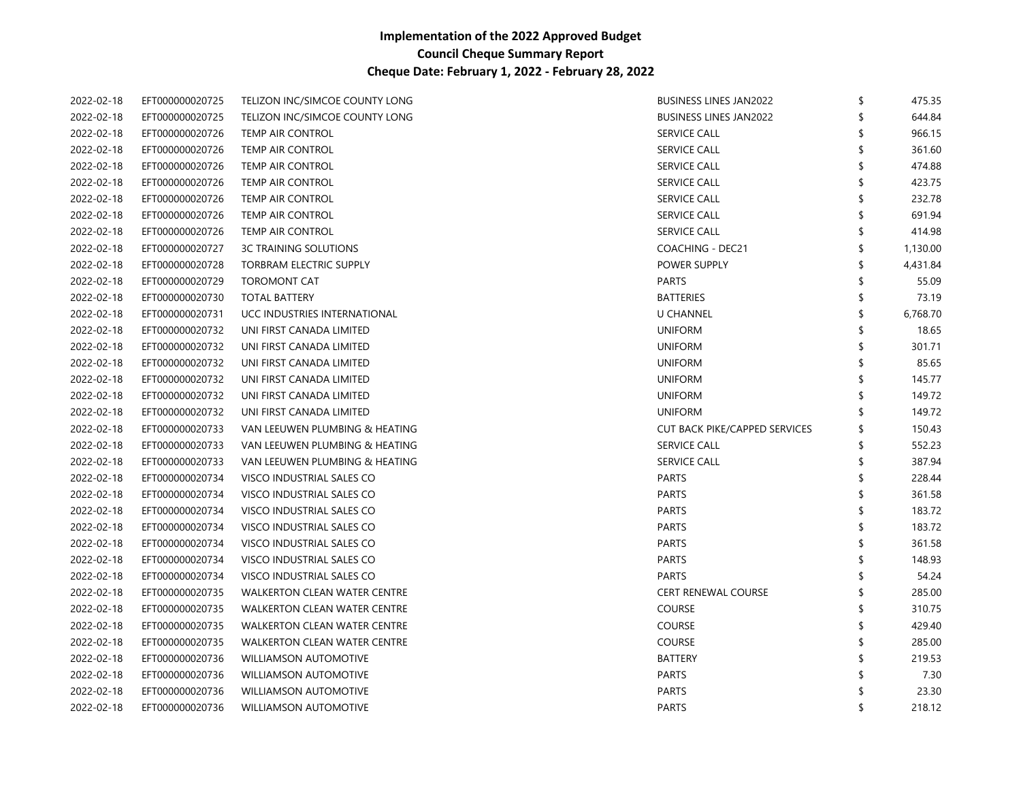| 2022-02-18 | EFT000000020725 | TELIZON INC/SIMCOE COUNTY LONG      | <b>BUSINESS LINES JAN2022</b>        | \$<br>475.35   |
|------------|-----------------|-------------------------------------|--------------------------------------|----------------|
| 2022-02-18 | EFT000000020725 | TELIZON INC/SIMCOE COUNTY LONG      | <b>BUSINESS LINES JAN2022</b>        | 644.84         |
| 2022-02-18 | EFT000000020726 | TEMP AIR CONTROL                    | <b>SERVICE CALL</b>                  | 966.15         |
| 2022-02-18 | EFT000000020726 | TEMP AIR CONTROL                    | SERVICE CALL                         | 361.60         |
| 2022-02-18 | EFT000000020726 | TEMP AIR CONTROL                    | SERVICE CALL                         | 474.88         |
| 2022-02-18 | EFT000000020726 | TEMP AIR CONTROL                    | <b>SERVICE CALL</b>                  | 423.75         |
| 2022-02-18 | EFT000000020726 | <b>TEMP AIR CONTROL</b>             | <b>SERVICE CALL</b>                  | 232.78         |
| 2022-02-18 | EFT000000020726 | TEMP AIR CONTROL                    | SERVICE CALL                         | 691.94         |
| 2022-02-18 | EFT000000020726 | TEMP AIR CONTROL                    | <b>SERVICE CALL</b>                  | 414.98         |
| 2022-02-18 | EFT000000020727 | <b>3C TRAINING SOLUTIONS</b>        | COACHING - DEC21                     | \$<br>1,130.00 |
| 2022-02-18 | EFT000000020728 | <b>TORBRAM ELECTRIC SUPPLY</b>      | POWER SUPPLY                         | 4,431.84       |
| 2022-02-18 | EFT000000020729 | <b>TOROMONT CAT</b>                 | <b>PARTS</b>                         | 55.09          |
| 2022-02-18 | EFT000000020730 | <b>TOTAL BATTERY</b>                | <b>BATTERIES</b>                     | 73.19          |
| 2022-02-18 | EFT000000020731 | UCC INDUSTRIES INTERNATIONAL        | <b>U CHANNEL</b>                     | \$<br>6,768.70 |
| 2022-02-18 | EFT000000020732 | UNI FIRST CANADA LIMITED            | <b>UNIFORM</b>                       | 18.65          |
| 2022-02-18 | EFT000000020732 | UNI FIRST CANADA LIMITED            | <b>UNIFORM</b>                       | \$<br>301.71   |
| 2022-02-18 | EFT000000020732 | UNI FIRST CANADA LIMITED            | <b>UNIFORM</b>                       | \$<br>85.65    |
| 2022-02-18 | EFT000000020732 | UNI FIRST CANADA LIMITED            | <b>UNIFORM</b>                       | \$<br>145.77   |
| 2022-02-18 | EFT000000020732 | UNI FIRST CANADA LIMITED            | <b>UNIFORM</b>                       | \$<br>149.72   |
| 2022-02-18 | EFT000000020732 | UNI FIRST CANADA LIMITED            | <b>UNIFORM</b>                       | 149.72         |
| 2022-02-18 | EFT000000020733 | VAN LEEUWEN PLUMBING & HEATING      | <b>CUT BACK PIKE/CAPPED SERVICES</b> | \$<br>150.43   |
| 2022-02-18 | EFT000000020733 | VAN LEEUWEN PLUMBING & HEATING      | <b>SERVICE CALL</b>                  | \$<br>552.23   |
| 2022-02-18 | EFT000000020733 | VAN LEEUWEN PLUMBING & HEATING      | <b>SERVICE CALL</b>                  | \$<br>387.94   |
| 2022-02-18 | EFT000000020734 | VISCO INDUSTRIAL SALES CO           | PARTS                                | \$<br>228.44   |
| 2022-02-18 | EFT000000020734 | VISCO INDUSTRIAL SALES CO           | PARTS                                | 361.58         |
| 2022-02-18 | EFT000000020734 | VISCO INDUSTRIAL SALES CO           | PARTS                                | \$<br>183.72   |
| 2022-02-18 | EFT000000020734 | VISCO INDUSTRIAL SALES CO           | PARTS                                | \$<br>183.72   |
| 2022-02-18 | EFT000000020734 | VISCO INDUSTRIAL SALES CO           | PARTS                                | 361.58         |
| 2022-02-18 | EFT000000020734 | VISCO INDUSTRIAL SALES CO           | <b>PARTS</b>                         | 148.93         |
| 2022-02-18 | EFT000000020734 | VISCO INDUSTRIAL SALES CO           | <b>PARTS</b>                         | 54.24          |
| 2022-02-18 | EFT000000020735 | <b>WALKERTON CLEAN WATER CENTRE</b> | <b>CERT RENEWAL COURSE</b>           | 285.00         |
| 2022-02-18 | EFT000000020735 | <b>WALKERTON CLEAN WATER CENTRE</b> | <b>COURSE</b>                        | 310.75         |
| 2022-02-18 | EFT000000020735 | <b>WALKERTON CLEAN WATER CENTRE</b> | <b>COURSE</b>                        | 429.40         |
| 2022-02-18 | EFT000000020735 | <b>WALKERTON CLEAN WATER CENTRE</b> | <b>COURSE</b>                        | 285.00         |
| 2022-02-18 | EFT000000020736 | <b>WILLIAMSON AUTOMOTIVE</b>        | <b>BATTERY</b>                       | \$<br>219.53   |
| 2022-02-18 | EFT000000020736 | <b>WILLIAMSON AUTOMOTIVE</b>        | PARTS                                | 7.30           |
| 2022-02-18 | EFT000000020736 | <b>WILLIAMSON AUTOMOTIVE</b>        | <b>PARTS</b>                         | 23.30          |
| 2022-02-18 | EFT000000020736 | <b>WILLIAMSON AUTOMOTIVE</b>        | <b>PARTS</b>                         | \$<br>218.12   |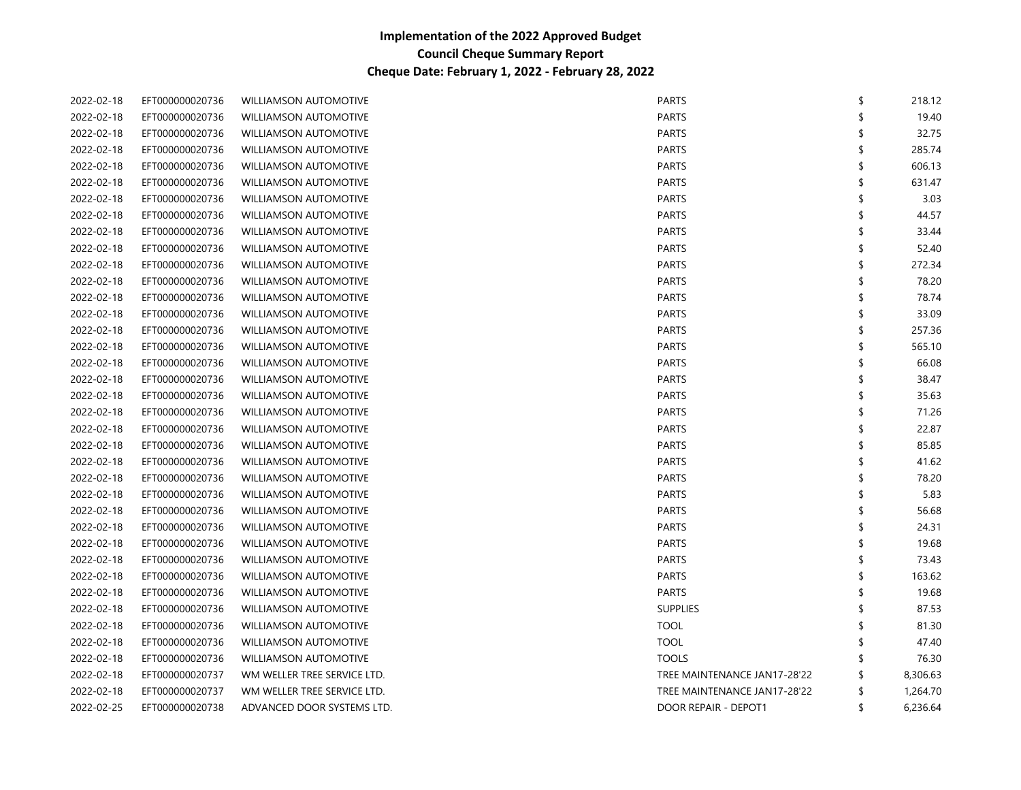| 2022-02-18 | EFT000000020736 | <b>WILLIAMSON AUTOMOTIVE</b> | <b>PARTS</b>                 | \$ | 218.12   |
|------------|-----------------|------------------------------|------------------------------|----|----------|
| 2022-02-18 | EFT000000020736 | <b>WILLIAMSON AUTOMOTIVE</b> | <b>PARTS</b>                 |    | 19.40    |
| 2022-02-18 | EFT000000020736 | <b>WILLIAMSON AUTOMOTIVE</b> | <b>PARTS</b>                 |    | 32.75    |
| 2022-02-18 | EFT000000020736 | <b>WILLIAMSON AUTOMOTIVE</b> | <b>PARTS</b>                 |    | 285.74   |
| 2022-02-18 | EFT000000020736 | <b>WILLIAMSON AUTOMOTIVE</b> | <b>PARTS</b>                 |    | 606.13   |
| 2022-02-18 | EFT000000020736 | <b>WILLIAMSON AUTOMOTIVE</b> | <b>PARTS</b>                 |    | 631.47   |
| 2022-02-18 | EFT000000020736 | <b>WILLIAMSON AUTOMOTIVE</b> | <b>PARTS</b>                 |    | 3.03     |
| 2022-02-18 | EFT000000020736 | <b>WILLIAMSON AUTOMOTIVE</b> | <b>PARTS</b>                 |    | 44.57    |
| 2022-02-18 | EFT000000020736 | <b>WILLIAMSON AUTOMOTIVE</b> | <b>PARTS</b>                 |    | 33.44    |
| 2022-02-18 | EFT000000020736 | <b>WILLIAMSON AUTOMOTIVE</b> | <b>PARTS</b>                 |    | 52.40    |
| 2022-02-18 | EFT000000020736 | <b>WILLIAMSON AUTOMOTIVE</b> | <b>PARTS</b>                 |    | 272.34   |
| 2022-02-18 | EFT000000020736 | <b>WILLIAMSON AUTOMOTIVE</b> | <b>PARTS</b>                 |    | 78.20    |
| 2022-02-18 | EFT000000020736 | WILLIAMSON AUTOMOTIVE        | <b>PARTS</b>                 |    | 78.74    |
| 2022-02-18 | EFT000000020736 | <b>WILLIAMSON AUTOMOTIVE</b> | <b>PARTS</b>                 |    | 33.09    |
| 2022-02-18 | EFT000000020736 | <b>WILLIAMSON AUTOMOTIVE</b> | <b>PARTS</b>                 |    | 257.36   |
| 2022-02-18 | EFT000000020736 | <b>WILLIAMSON AUTOMOTIVE</b> | <b>PARTS</b>                 |    | 565.10   |
| 2022-02-18 | EFT000000020736 | <b>WILLIAMSON AUTOMOTIVE</b> | <b>PARTS</b>                 |    | 66.08    |
| 2022-02-18 | EFT000000020736 | <b>WILLIAMSON AUTOMOTIVE</b> | <b>PARTS</b>                 |    | 38.47    |
| 2022-02-18 | EFT000000020736 | <b>WILLIAMSON AUTOMOTIVE</b> | <b>PARTS</b>                 |    | 35.63    |
| 2022-02-18 | EFT000000020736 | <b>WILLIAMSON AUTOMOTIVE</b> | <b>PARTS</b>                 |    | 71.26    |
| 2022-02-18 | EFT000000020736 | <b>WILLIAMSON AUTOMOTIVE</b> | <b>PARTS</b>                 |    | 22.87    |
| 2022-02-18 | EFT000000020736 | <b>WILLIAMSON AUTOMOTIVE</b> | <b>PARTS</b>                 |    | 85.85    |
| 2022-02-18 | EFT000000020736 | <b>WILLIAMSON AUTOMOTIVE</b> | <b>PARTS</b>                 |    | 41.62    |
| 2022-02-18 | EFT000000020736 | <b>WILLIAMSON AUTOMOTIVE</b> | <b>PARTS</b>                 |    | 78.20    |
| 2022-02-18 | EFT000000020736 | <b>WILLIAMSON AUTOMOTIVE</b> | <b>PARTS</b>                 |    | 5.83     |
| 2022-02-18 | EFT000000020736 | <b>WILLIAMSON AUTOMOTIVE</b> | <b>PARTS</b>                 | \$ | 56.68    |
| 2022-02-18 | EFT000000020736 | <b>WILLIAMSON AUTOMOTIVE</b> | <b>PARTS</b>                 | \$ | 24.31    |
| 2022-02-18 | EFT000000020736 | <b>WILLIAMSON AUTOMOTIVE</b> | <b>PARTS</b>                 |    | 19.68    |
| 2022-02-18 | EFT000000020736 | <b>WILLIAMSON AUTOMOTIVE</b> | <b>PARTS</b>                 |    | 73.43    |
| 2022-02-18 | EFT000000020736 | <b>WILLIAMSON AUTOMOTIVE</b> | <b>PARTS</b>                 |    | 163.62   |
| 2022-02-18 | EFT000000020736 | <b>WILLIAMSON AUTOMOTIVE</b> | <b>PARTS</b>                 |    | 19.68    |
| 2022-02-18 | EFT000000020736 | <b>WILLIAMSON AUTOMOTIVE</b> | <b>SUPPLIES</b>              |    | 87.53    |
| 2022-02-18 | EFT000000020736 | <b>WILLIAMSON AUTOMOTIVE</b> | <b>TOOL</b>                  |    | 81.30    |
| 2022-02-18 | EFT000000020736 | <b>WILLIAMSON AUTOMOTIVE</b> | <b>TOOL</b>                  |    | 47.40    |
| 2022-02-18 | EFT000000020736 | <b>WILLIAMSON AUTOMOTIVE</b> | <b>TOOLS</b>                 |    | 76.30    |
| 2022-02-18 | EFT000000020737 | WM WELLER TREE SERVICE LTD.  | TREE MAINTENANCE JAN17-28'22 | S  | 8,306.63 |
| 2022-02-18 | EFT000000020737 | WM WELLER TREE SERVICE LTD.  | TREE MAINTENANCE JAN17-28'22 | \$ | 1,264.70 |
| 2022-02-25 | EFT000000020738 | ADVANCED DOOR SYSTEMS LTD.   | DOOR REPAIR - DEPOT1         | \$ | 6,236.64 |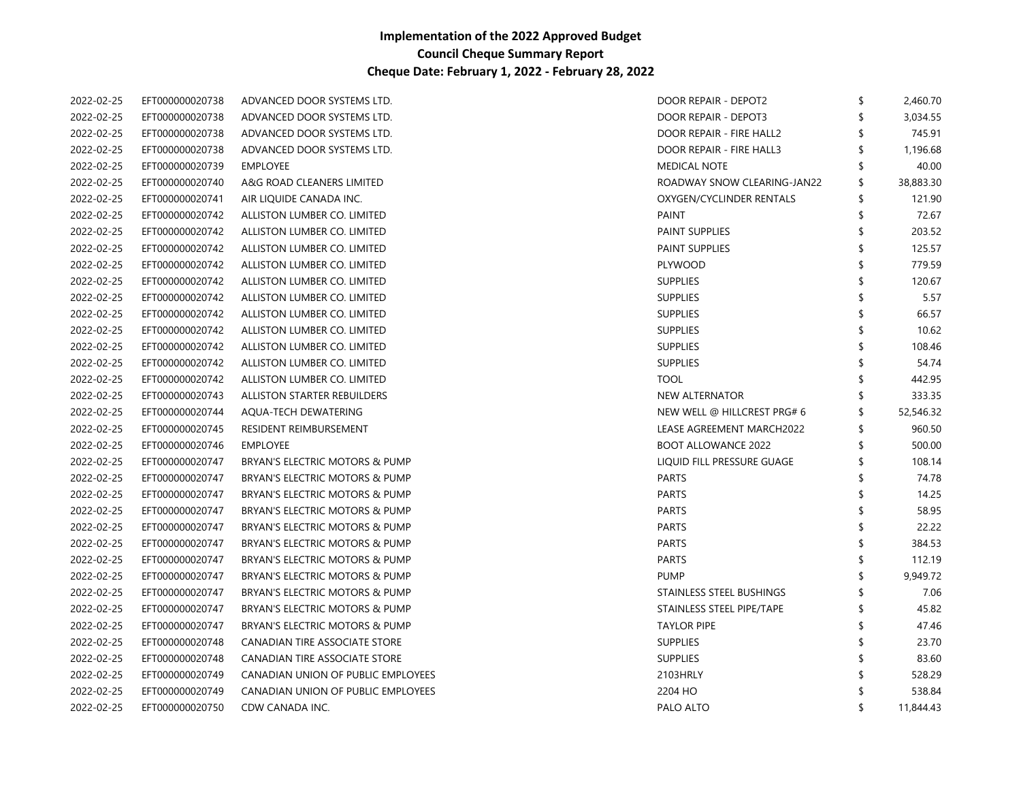| 2022-02-25 | EFT000000020738 | ADVANCED DOOR SYSTEMS LTD.         | DOOR REPAIR - DEPOT2        | \$<br>2,460.70  |
|------------|-----------------|------------------------------------|-----------------------------|-----------------|
| 2022-02-25 | EFT000000020738 | ADVANCED DOOR SYSTEMS LTD.         | <b>DOOR REPAIR - DEPOT3</b> | 3,034.55        |
| 2022-02-25 | EFT000000020738 | ADVANCED DOOR SYSTEMS LTD.         | DOOR REPAIR - FIRE HALL2    | 745.91          |
| 2022-02-25 | EFT000000020738 | ADVANCED DOOR SYSTEMS LTD.         | DOOR REPAIR - FIRE HALL3    | 1,196.68        |
| 2022-02-25 | EFT000000020739 | EMPLOYEE                           | <b>MEDICAL NOTE</b>         | 40.00           |
| 2022-02-25 | EFT000000020740 | A&G ROAD CLEANERS LIMITED          | ROADWAY SNOW CLEARING-JAN22 | \$<br>38,883.30 |
| 2022-02-25 | EFT000000020741 | AIR LIQUIDE CANADA INC.            | OXYGEN/CYCLINDER RENTALS    | \$<br>121.90    |
| 2022-02-25 | EFT000000020742 | ALLISTON LUMBER CO. LIMITED        | <b>PAINT</b>                | 72.67           |
| 2022-02-25 | EFT000000020742 | ALLISTON LUMBER CO. LIMITED        | PAINT SUPPLIES              | 203.52          |
| 2022-02-25 | EFT000000020742 | ALLISTON LUMBER CO. LIMITED        | <b>PAINT SUPPLIES</b>       | 125.57          |
| 2022-02-25 | EFT000000020742 | ALLISTON LUMBER CO. LIMITED        | PLYWOOD                     | 779.59          |
| 2022-02-25 | EFT000000020742 | ALLISTON LUMBER CO. LIMITED        | <b>SUPPLIES</b>             | \$<br>120.67    |
| 2022-02-25 | EFT000000020742 | ALLISTON LUMBER CO. LIMITED        | <b>SUPPLIES</b>             | 5.57            |
| 2022-02-25 | EFT000000020742 | ALLISTON LUMBER CO. LIMITED        | <b>SUPPLIES</b>             | 66.57           |
| 2022-02-25 | EFT000000020742 | ALLISTON LUMBER CO. LIMITED        | <b>SUPPLIES</b>             | 10.62           |
| 2022-02-25 | EFT000000020742 | ALLISTON LUMBER CO. LIMITED        | <b>SUPPLIES</b>             | \$<br>108.46    |
| 2022-02-25 | EFT000000020742 | ALLISTON LUMBER CO. LIMITED        | <b>SUPPLIES</b>             | \$<br>54.74     |
| 2022-02-25 | EFT000000020742 | ALLISTON LUMBER CO. LIMITED        | <b>TOOL</b>                 | 442.95          |
| 2022-02-25 | EFT000000020743 | ALLISTON STARTER REBUILDERS        | NEW ALTERNATOR              | 333.35          |
| 2022-02-25 | EFT000000020744 | AQUA-TECH DEWATERING               | NEW WELL @ HILLCREST PRG# 6 | \$<br>52,546.32 |
| 2022-02-25 | EFT000000020745 | RESIDENT REIMBURSEMENT             | LEASE AGREEMENT MARCH2022   | \$<br>960.50    |
| 2022-02-25 | EFT000000020746 | <b>EMPLOYEE</b>                    | <b>BOOT ALLOWANCE 2022</b>  | \$<br>500.00    |
| 2022-02-25 | EFT000000020747 | BRYAN'S ELECTRIC MOTORS & PUMP     | LIQUID FILL PRESSURE GUAGE  | \$<br>108.14    |
| 2022-02-25 | EFT000000020747 | BRYAN'S ELECTRIC MOTORS & PUMP     | <b>PARTS</b>                | \$<br>74.78     |
| 2022-02-25 | EFT000000020747 | BRYAN'S ELECTRIC MOTORS & PUMP     | PARTS                       | \$<br>14.25     |
| 2022-02-25 | EFT000000020747 | BRYAN'S ELECTRIC MOTORS & PUMP     | PARTS                       | \$<br>58.95     |
| 2022-02-25 | EFT000000020747 | BRYAN'S ELECTRIC MOTORS & PUMP     | PARTS                       | \$<br>22.22     |
| 2022-02-25 | EFT000000020747 | BRYAN'S ELECTRIC MOTORS & PUMP     | <b>PARTS</b>                | 384.53          |
| 2022-02-25 | EFT000000020747 | BRYAN'S ELECTRIC MOTORS & PUMP     | <b>PARTS</b>                | 112.19          |
| 2022-02-25 | EFT000000020747 | BRYAN'S ELECTRIC MOTORS & PUMP     | <b>PUMP</b>                 | 9,949.72        |
| 2022-02-25 | EFT000000020747 | BRYAN'S ELECTRIC MOTORS & PUMP     | STAINLESS STEEL BUSHINGS    | 7.06            |
| 2022-02-25 | EFT000000020747 | BRYAN'S ELECTRIC MOTORS & PUMP     | STAINLESS STEEL PIPE/TAPE   | \$<br>45.82     |
| 2022-02-25 | EFT000000020747 | BRYAN'S ELECTRIC MOTORS & PUMP     | <b>TAYLOR PIPE</b>          | \$<br>47.46     |
| 2022-02-25 | EFT000000020748 | CANADIAN TIRE ASSOCIATE STORE      | <b>SUPPLIES</b>             | \$<br>23.70     |
| 2022-02-25 | EFT000000020748 | CANADIAN TIRE ASSOCIATE STORE      | <b>SUPPLIES</b>             | 83.60           |
| 2022-02-25 | EFT000000020749 | CANADIAN UNION OF PUBLIC EMPLOYEES | 2103HRLY                    | 528.29          |
| 2022-02-25 | EFT000000020749 | CANADIAN UNION OF PUBLIC EMPLOYEES | 2204 HO                     | 538.84          |
| 2022-02-25 | EFT000000020750 | CDW CANADA INC.                    | PALO ALTO                   | \$<br>11,844.43 |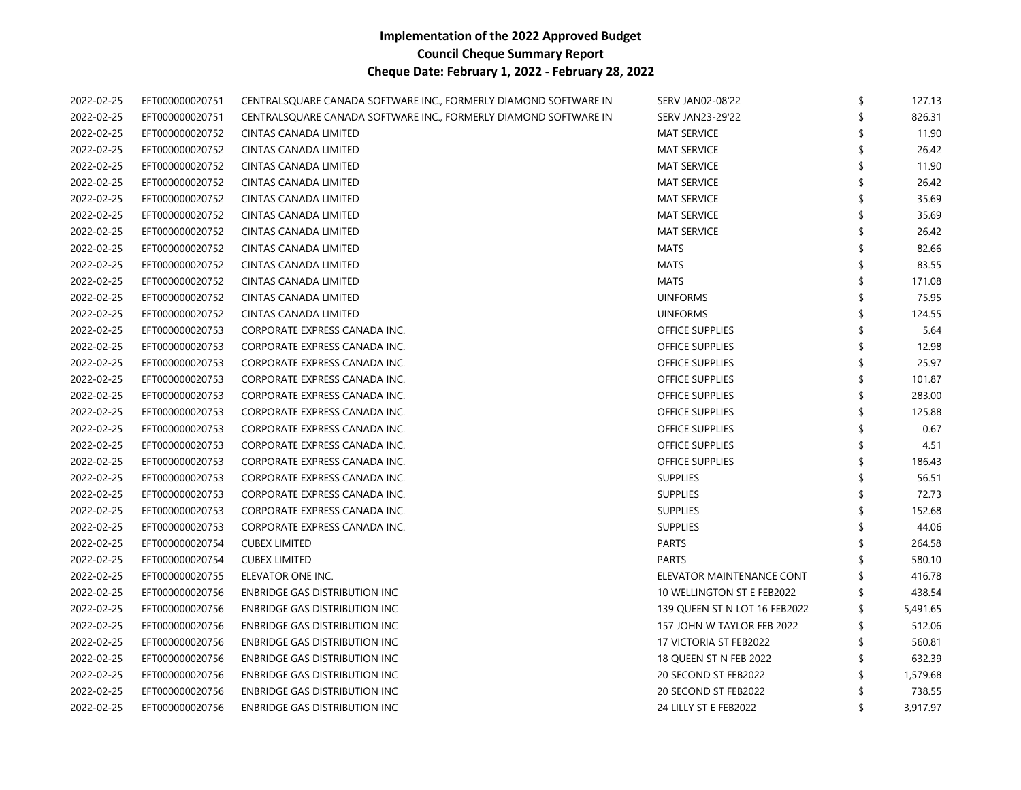| 2022-02-25 | EFT000000020751 | CENTRALSQUARE CANADA SOFTWARE INC., FORMERLY DIAMOND SOFTWARE IN | SERV JAN02-08'22              | \$<br>127.13   |
|------------|-----------------|------------------------------------------------------------------|-------------------------------|----------------|
| 2022-02-25 | EFT000000020751 | CENTRALSQUARE CANADA SOFTWARE INC., FORMERLY DIAMOND SOFTWARE IN | <b>SERV JAN23-29'22</b>       | \$<br>826.31   |
| 2022-02-25 | EFT000000020752 | <b>CINTAS CANADA LIMITED</b>                                     | <b>MAT SERVICE</b>            | 11.90          |
| 2022-02-25 | EFT000000020752 | CINTAS CANADA LIMITED                                            | <b>MAT SERVICE</b>            | 26.42          |
| 2022-02-25 | EFT000000020752 | CINTAS CANADA LIMITED                                            | <b>MAT SERVICE</b>            | 11.90          |
| 2022-02-25 | EFT000000020752 | CINTAS CANADA LIMITED                                            | <b>MAT SERVICE</b>            | 26.42          |
| 2022-02-25 | EFT000000020752 | <b>CINTAS CANADA LIMITED</b>                                     | <b>MAT SERVICE</b>            | 35.69          |
| 2022-02-25 | EFT000000020752 | CINTAS CANADA LIMITED                                            | <b>MAT SERVICE</b>            | 35.69          |
| 2022-02-25 | EFT000000020752 | <b>CINTAS CANADA LIMITED</b>                                     | <b>MAT SERVICE</b>            | 26.42          |
| 2022-02-25 | EFT000000020752 | CINTAS CANADA LIMITED                                            | MATS                          | 82.66          |
| 2022-02-25 | EFT000000020752 | CINTAS CANADA LIMITED                                            | <b>MATS</b>                   | 83.55          |
| 2022-02-25 | EFT000000020752 | CINTAS CANADA LIMITED                                            | MATS                          | 171.08         |
| 2022-02-25 | EFT000000020752 | <b>CINTAS CANADA LIMITED</b>                                     | <b>UINFORMS</b>               | 75.95          |
| 2022-02-25 | EFT000000020752 | CINTAS CANADA LIMITED                                            | <b>UINFORMS</b>               | 124.55         |
| 2022-02-25 | EFT000000020753 | CORPORATE EXPRESS CANADA INC.                                    | <b>OFFICE SUPPLIES</b>        | 5.64           |
| 2022-02-25 | EFT000000020753 | CORPORATE EXPRESS CANADA INC.                                    | <b>OFFICE SUPPLIES</b>        | 12.98          |
| 2022-02-25 | EFT000000020753 | CORPORATE EXPRESS CANADA INC.                                    | <b>OFFICE SUPPLIES</b>        | \$<br>25.97    |
| 2022-02-25 | EFT000000020753 | CORPORATE EXPRESS CANADA INC.                                    | <b>OFFICE SUPPLIES</b>        | \$<br>101.87   |
| 2022-02-25 | EFT000000020753 | CORPORATE EXPRESS CANADA INC.                                    | <b>OFFICE SUPPLIES</b>        | \$<br>283.00   |
| 2022-02-25 | EFT000000020753 | CORPORATE EXPRESS CANADA INC.                                    | <b>OFFICE SUPPLIES</b>        | \$<br>125.88   |
| 2022-02-25 | EFT000000020753 | CORPORATE EXPRESS CANADA INC.                                    | <b>OFFICE SUPPLIES</b>        | 0.67           |
| 2022-02-25 | EFT000000020753 | CORPORATE EXPRESS CANADA INC.                                    | <b>OFFICE SUPPLIES</b>        | \$<br>4.51     |
| 2022-02-25 | EFT000000020753 | CORPORATE EXPRESS CANADA INC.                                    | <b>OFFICE SUPPLIES</b>        | \$<br>186.43   |
| 2022-02-25 | EFT000000020753 | CORPORATE EXPRESS CANADA INC.                                    | <b>SUPPLIES</b>               | 56.51          |
| 2022-02-25 | EFT000000020753 | CORPORATE EXPRESS CANADA INC.                                    | <b>SUPPLIES</b>               | 72.73          |
| 2022-02-25 | EFT000000020753 | CORPORATE EXPRESS CANADA INC.                                    | <b>SUPPLIES</b>               | \$<br>152.68   |
| 2022-02-25 | EFT000000020753 | CORPORATE EXPRESS CANADA INC.                                    | <b>SUPPLIES</b>               | \$<br>44.06    |
| 2022-02-25 | EFT000000020754 | <b>CUBEX LIMITED</b>                                             | <b>PARTS</b>                  | 264.58         |
| 2022-02-25 | EFT000000020754 | <b>CUBEX LIMITED</b>                                             | <b>PARTS</b>                  | 580.10         |
| 2022-02-25 | EFT000000020755 | ELEVATOR ONE INC.                                                | ELEVATOR MAINTENANCE CONT     | 416.78         |
| 2022-02-25 | EFT000000020756 | <b>ENBRIDGE GAS DISTRIBUTION INC</b>                             | 10 WELLINGTON ST E FEB2022    | \$<br>438.54   |
| 2022-02-25 | EFT000000020756 | ENBRIDGE GAS DISTRIBUTION INC                                    | 139 QUEEN ST N LOT 16 FEB2022 | \$<br>5,491.65 |
| 2022-02-25 | EFT000000020756 | ENBRIDGE GAS DISTRIBUTION INC                                    | 157 JOHN W TAYLOR FEB 2022    | \$<br>512.06   |
| 2022-02-25 | EFT000000020756 | ENBRIDGE GAS DISTRIBUTION INC                                    | 17 VICTORIA ST FEB2022        | \$<br>560.81   |
| 2022-02-25 | EFT000000020756 | <b>ENBRIDGE GAS DISTRIBUTION INC</b>                             | 18 QUEEN ST N FEB 2022        | \$<br>632.39   |
| 2022-02-25 | EFT000000020756 | ENBRIDGE GAS DISTRIBUTION INC                                    | 20 SECOND ST FEB2022          | 1,579.68       |
| 2022-02-25 | EFT000000020756 | <b>ENBRIDGE GAS DISTRIBUTION INC</b>                             | 20 SECOND ST FEB2022          | 738.55         |
| 2022-02-25 | EFT000000020756 | ENBRIDGE GAS DISTRIBUTION INC                                    | 24 LILLY ST E FEB2022         | \$<br>3,917.97 |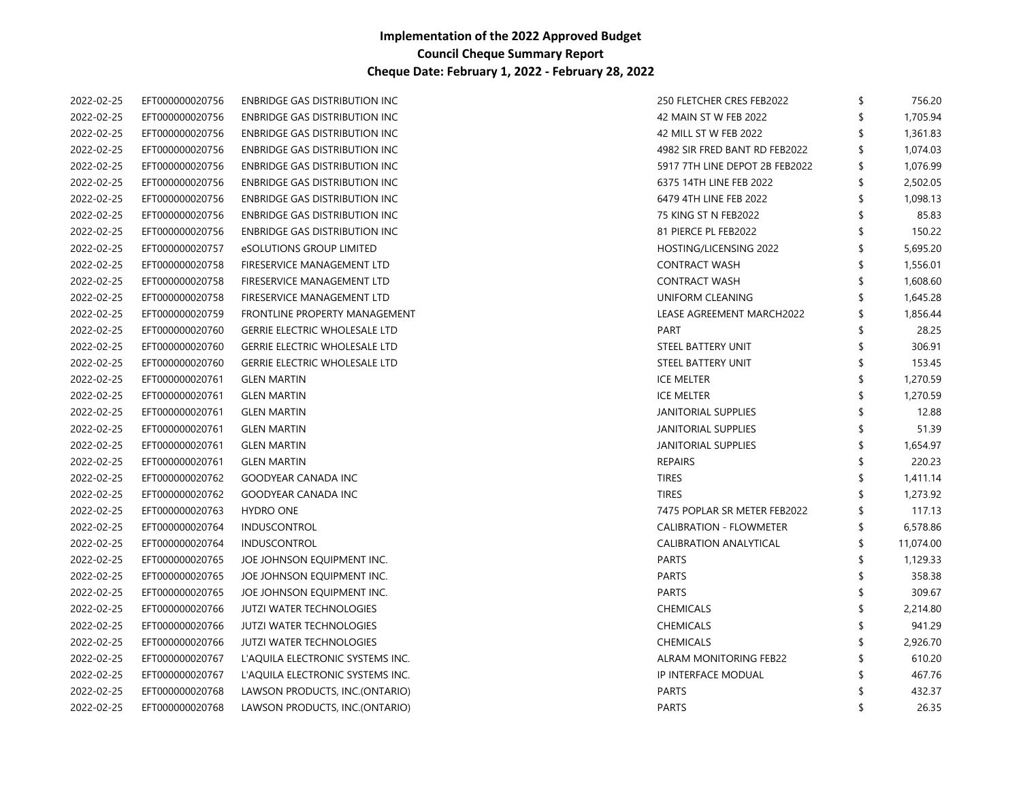| 2022-02-25 | EFT000000020756 | <b>ENBRIDGE GAS DISTRIBUTION INC</b> | 250 FLETCHER CRES FEB2022      | \$<br>756.20    |
|------------|-----------------|--------------------------------------|--------------------------------|-----------------|
| 2022-02-25 | EFT000000020756 | <b>ENBRIDGE GAS DISTRIBUTION INC</b> | 42 MAIN ST W FEB 2022          | 1,705.94        |
| 2022-02-25 | EFT000000020756 | ENBRIDGE GAS DISTRIBUTION INC        | 42 MILL ST W FEB 2022          | 1,361.83        |
| 2022-02-25 | EFT000000020756 | ENBRIDGE GAS DISTRIBUTION INC        | 4982 SIR FRED BANT RD FEB2022  | \$<br>1,074.03  |
| 2022-02-25 | EFT000000020756 | ENBRIDGE GAS DISTRIBUTION INC        | 5917 7TH LINE DEPOT 2B FEB2022 | \$<br>1,076.99  |
| 2022-02-25 | EFT000000020756 | ENBRIDGE GAS DISTRIBUTION INC        | 6375 14TH LINE FEB 2022        | \$<br>2,502.05  |
| 2022-02-25 | EFT000000020756 | <b>ENBRIDGE GAS DISTRIBUTION INC</b> | 6479 4TH LINE FEB 2022         | \$<br>1,098.13  |
| 2022-02-25 | EFT000000020756 | <b>ENBRIDGE GAS DISTRIBUTION INC</b> | 75 KING ST N FEB2022           | 85.83           |
| 2022-02-25 | EFT000000020756 | ENBRIDGE GAS DISTRIBUTION INC        | 81 PIERCE PL FEB2022           | 150.22          |
| 2022-02-25 | EFT000000020757 | eSOLUTIONS GROUP LIMITED             | <b>HOSTING/LICENSING 2022</b>  | 5,695.20        |
| 2022-02-25 | EFT000000020758 | FIRESERVICE MANAGEMENT LTD           | <b>CONTRACT WASH</b>           | \$<br>1,556.01  |
| 2022-02-25 | EFT000000020758 | <b>FIRESERVICE MANAGEMENT LTD</b>    | <b>CONTRACT WASH</b>           | 1,608.60        |
| 2022-02-25 | EFT000000020758 | <b>FIRESERVICE MANAGEMENT LTD</b>    | UNIFORM CLEANING               | 1,645.28        |
| 2022-02-25 | EFT000000020759 | FRONTLINE PROPERTY MANAGEMENT        | LEASE AGREEMENT MARCH2022      | \$<br>1,856.44  |
| 2022-02-25 | EFT000000020760 | <b>GERRIE ELECTRIC WHOLESALE LTD</b> | PART                           | \$<br>28.25     |
| 2022-02-25 | EFT000000020760 | <b>GERRIE ELECTRIC WHOLESALE LTD</b> | STEEL BATTERY UNIT             | \$<br>306.91    |
| 2022-02-25 | EFT000000020760 | <b>GERRIE ELECTRIC WHOLESALE LTD</b> | STEEL BATTERY UNIT             | \$<br>153.45    |
| 2022-02-25 | EFT000000020761 | <b>GLEN MARTIN</b>                   | <b>ICE MELTER</b>              | \$<br>1,270.59  |
| 2022-02-25 | EFT000000020761 | <b>GLEN MARTIN</b>                   | <b>ICE MELTER</b>              | \$<br>1,270.59  |
| 2022-02-25 | EFT000000020761 | <b>GLEN MARTIN</b>                   | JANITORIAL SUPPLIES            | 12.88           |
| 2022-02-25 | EFT000000020761 | <b>GLEN MARTIN</b>                   | JANITORIAL SUPPLIES            | \$<br>51.39     |
| 2022-02-25 | EFT000000020761 | <b>GLEN MARTIN</b>                   | <b>JANITORIAL SUPPLIES</b>     | \$<br>1,654.97  |
| 2022-02-25 | EFT000000020761 | <b>GLEN MARTIN</b>                   | <b>REPAIRS</b>                 | 220.23          |
| 2022-02-25 | EFT000000020762 | GOODYEAR CANADA INC                  | <b>TIRES</b>                   | 1,411.14        |
| 2022-02-25 | EFT000000020762 | GOODYEAR CANADA INC                  | <b>TIRES</b>                   | 1,273.92        |
| 2022-02-25 | EFT000000020763 | <b>HYDRO ONE</b>                     | 7475 POPLAR SR METER FEB2022   | 117.13          |
| 2022-02-25 | EFT000000020764 | <b>INDUSCONTROL</b>                  | <b>CALIBRATION - FLOWMETER</b> | \$<br>6,578.86  |
| 2022-02-25 | EFT000000020764 | <b>INDUSCONTROL</b>                  | <b>CALIBRATION ANALYTICAL</b>  | \$<br>11,074.00 |
| 2022-02-25 | EFT000000020765 | JOE JOHNSON EQUIPMENT INC.           | PARTS                          | 1,129.33        |
| 2022-02-25 | EFT000000020765 | JOE JOHNSON EQUIPMENT INC.           | PARTS                          | 358.38          |
| 2022-02-25 | EFT000000020765 | JOE JOHNSON EQUIPMENT INC.           | <b>PARTS</b>                   | 309.67          |
| 2022-02-25 | EFT000000020766 | <b>JUTZI WATER TECHNOLOGIES</b>      | <b>CHEMICALS</b>               | 2,214.80        |
| 2022-02-25 | EFT000000020766 | JUTZI WATER TECHNOLOGIES             | <b>CHEMICALS</b>               | 941.29          |
| 2022-02-25 | EFT000000020766 | JUTZI WATER TECHNOLOGIES             | <b>CHEMICALS</b>               | 2,926.70        |
| 2022-02-25 | EFT000000020767 | L'AQUILA ELECTRONIC SYSTEMS INC.     | <b>ALRAM MONITORING FEB22</b>  | 610.20          |
| 2022-02-25 | EFT000000020767 | L'AQUILA ELECTRONIC SYSTEMS INC.     | IP INTERFACE MODUAL            | 467.76          |
| 2022-02-25 | EFT000000020768 | LAWSON PRODUCTS, INC.(ONTARIO)       | <b>PARTS</b>                   | 432.37          |
| 2022-02-25 | EFT000000020768 | LAWSON PRODUCTS, INC.(ONTARIO)       | <b>PARTS</b>                   | \$<br>26.35     |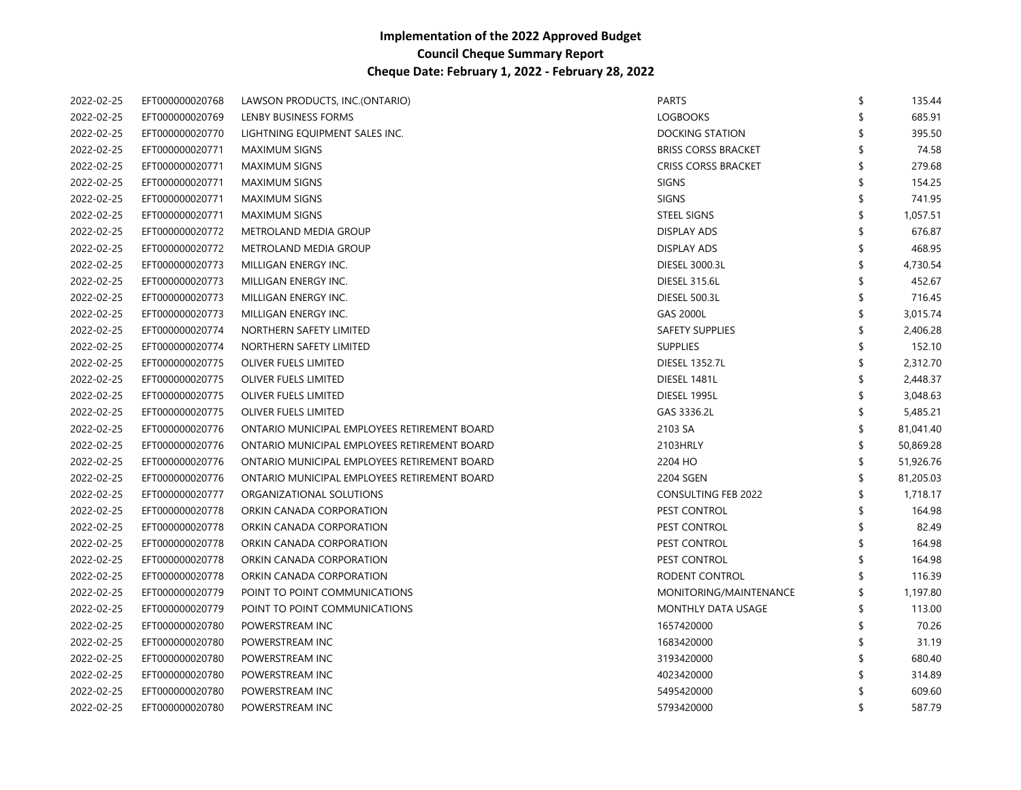| 2022-02-25 | EFT000000020768 | LAWSON PRODUCTS, INC.(ONTARIO)               | <b>PARTS</b>               | \$<br>135.44    |
|------------|-----------------|----------------------------------------------|----------------------------|-----------------|
| 2022-02-25 | EFT000000020769 | LENBY BUSINESS FORMS                         | <b>LOGBOOKS</b>            | 685.91          |
| 2022-02-25 | EFT000000020770 | LIGHTNING EQUIPMENT SALES INC.               | <b>DOCKING STATION</b>     | 395.50          |
| 2022-02-25 | EFT000000020771 | <b>MAXIMUM SIGNS</b>                         | <b>BRISS CORSS BRACKET</b> | 74.58           |
| 2022-02-25 | EFT000000020771 | <b>MAXIMUM SIGNS</b>                         | <b>CRISS CORSS BRACKET</b> | 279.68          |
| 2022-02-25 | EFT000000020771 | <b>MAXIMUM SIGNS</b>                         | <b>SIGNS</b>               | 154.25          |
| 2022-02-25 | EFT000000020771 | <b>MAXIMUM SIGNS</b>                         | <b>SIGNS</b>               | 741.95          |
| 2022-02-25 | EFT000000020771 | <b>MAXIMUM SIGNS</b>                         | <b>STEEL SIGNS</b>         | 1,057.51        |
| 2022-02-25 | EFT000000020772 | METROLAND MEDIA GROUP                        | <b>DISPLAY ADS</b>         | 676.87          |
| 2022-02-25 | EFT000000020772 | METROLAND MEDIA GROUP                        | <b>DISPLAY ADS</b>         | 468.95          |
| 2022-02-25 | EFT000000020773 | MILLIGAN ENERGY INC.                         | <b>DIESEL 3000.3L</b>      | 4,730.54        |
| 2022-02-25 | EFT000000020773 | MILLIGAN ENERGY INC.                         | <b>DIESEL 315.6L</b>       | 452.67          |
| 2022-02-25 | EFT000000020773 | MILLIGAN ENERGY INC.                         | <b>DIESEL 500.3L</b>       | 716.45          |
| 2022-02-25 | EFT000000020773 | MILLIGAN ENERGY INC.                         | <b>GAS 2000L</b>           | 3,015.74        |
| 2022-02-25 | EFT000000020774 | NORTHERN SAFETY LIMITED                      | <b>SAFETY SUPPLIES</b>     | 2,406.28        |
| 2022-02-25 | EFT000000020774 | NORTHERN SAFETY LIMITED                      | <b>SUPPLIES</b>            | 152.10          |
| 2022-02-25 | EFT000000020775 | OLIVER FUELS LIMITED                         | <b>DIESEL 1352.7L</b>      | 2,312.70        |
| 2022-02-25 | EFT000000020775 | OLIVER FUELS LIMITED                         | DIESEL 1481L               | 2,448.37        |
| 2022-02-25 | EFT000000020775 | OLIVER FUELS LIMITED                         | DIESEL 1995L               | 3,048.63        |
| 2022-02-25 | EFT000000020775 | OLIVER FUELS LIMITED                         | GAS 3336.2L                | 5,485.21        |
| 2022-02-25 | EFT000000020776 | ONTARIO MUNICIPAL EMPLOYEES RETIREMENT BOARD | 2103 SA                    | \$<br>81,041.40 |
| 2022-02-25 | EFT000000020776 | ONTARIO MUNICIPAL EMPLOYEES RETIREMENT BOARD | 2103HRLY                   | \$<br>50,869.28 |
| 2022-02-25 | EFT000000020776 | ONTARIO MUNICIPAL EMPLOYEES RETIREMENT BOARD | 2204 HO                    | \$<br>51,926.76 |
| 2022-02-25 | EFT000000020776 | ONTARIO MUNICIPAL EMPLOYEES RETIREMENT BOARD | 2204 SGEN                  | \$<br>81,205.03 |
| 2022-02-25 | EFT000000020777 | ORGANIZATIONAL SOLUTIONS                     | <b>CONSULTING FEB 2022</b> | \$<br>1,718.17  |
| 2022-02-25 | EFT000000020778 | ORKIN CANADA CORPORATION                     | PEST CONTROL               | 164.98          |
| 2022-02-25 | EFT000000020778 | ORKIN CANADA CORPORATION                     | PEST CONTROL               | 82.49           |
| 2022-02-25 | EFT000000020778 | ORKIN CANADA CORPORATION                     | PEST CONTROL               | 164.98          |
| 2022-02-25 | EFT000000020778 | ORKIN CANADA CORPORATION                     | PEST CONTROL               | 164.98          |
| 2022-02-25 | EFT000000020778 | ORKIN CANADA CORPORATION                     | RODENT CONTROL             | 116.39          |
| 2022-02-25 | EFT000000020779 | POINT TO POINT COMMUNICATIONS                | MONITORING/MAINTENANCE     | 1,197.80        |
| 2022-02-25 | EFT000000020779 | POINT TO POINT COMMUNICATIONS                | MONTHLY DATA USAGE         | 113.00          |
| 2022-02-25 | EFT000000020780 | POWERSTREAM INC                              | 1657420000                 | 70.26           |
| 2022-02-25 | EFT000000020780 | POWERSTREAM INC                              | 1683420000                 | 31.19           |
| 2022-02-25 | EFT000000020780 | POWERSTREAM INC                              | 3193420000                 | 680.40          |
| 2022-02-25 | EFT000000020780 | POWERSTREAM INC                              | 4023420000                 | 314.89          |
| 2022-02-25 | EFT000000020780 | POWERSTREAM INC                              | 5495420000                 | 609.60          |
| 2022-02-25 | EFT000000020780 | POWERSTREAM INC                              | 5793420000                 | 587.79          |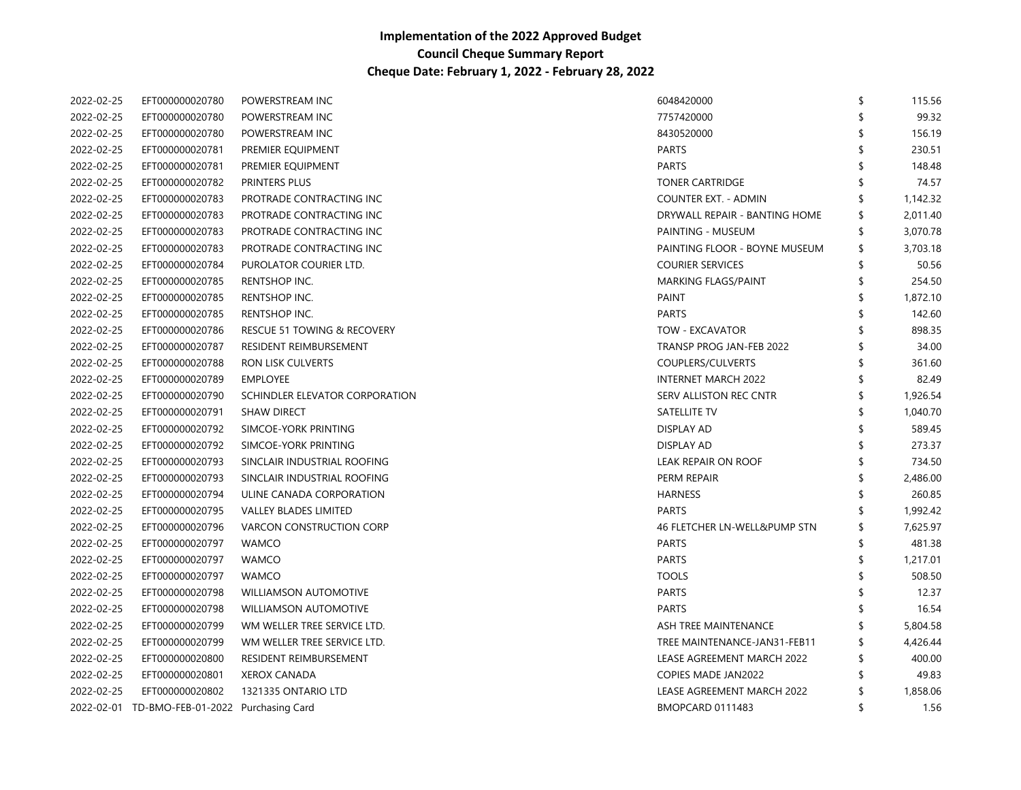| 2022-02-25 | EFT000000020780                               | POWERSTREAM INC                        | 6048420000                    | \$<br>115.56   |
|------------|-----------------------------------------------|----------------------------------------|-------------------------------|----------------|
| 2022-02-25 | EFT000000020780                               | POWERSTREAM INC                        | 7757420000                    | 99.32          |
| 2022-02-25 | EFT000000020780                               | POWERSTREAM INC                        | 8430520000                    | 156.19         |
| 2022-02-25 | EFT000000020781                               | PREMIER EQUIPMENT                      | PARTS                         | 230.51         |
| 2022-02-25 | EFT000000020781                               | PREMIER EQUIPMENT                      | <b>PARTS</b>                  | 148.48         |
| 2022-02-25 | EFT000000020782                               | PRINTERS PLUS                          | <b>TONER CARTRIDGE</b>        | 74.57          |
| 2022-02-25 | EFT000000020783                               | PROTRADE CONTRACTING INC               | <b>COUNTER EXT. - ADMIN</b>   | 1,142.32       |
| 2022-02-25 | EFT000000020783                               | PROTRADE CONTRACTING INC               | DRYWALL REPAIR - BANTING HOME | 2,011.40       |
| 2022-02-25 | EFT000000020783                               | PROTRADE CONTRACTING INC               | PAINTING - MUSEUM             | \$<br>3,070.78 |
| 2022-02-25 | EFT000000020783                               | PROTRADE CONTRACTING INC               | PAINTING FLOOR - BOYNE MUSEUM | \$<br>3,703.18 |
| 2022-02-25 | EFT000000020784                               | PUROLATOR COURIER LTD.                 | <b>COURIER SERVICES</b>       | \$<br>50.56    |
| 2022-02-25 | EFT000000020785                               | <b>RENTSHOP INC.</b>                   | <b>MARKING FLAGS/PAINT</b>    | \$<br>254.50   |
| 2022-02-25 | EFT000000020785                               | RENTSHOP INC.                          | PAINT                         | \$<br>1,872.10 |
| 2022-02-25 | EFT000000020785                               | RENTSHOP INC.                          | <b>PARTS</b>                  | 142.60         |
| 2022-02-25 | EFT000000020786                               | <b>RESCUE 51 TOWING &amp; RECOVERY</b> | TOW - EXCAVATOR               | 898.35         |
| 2022-02-25 | EFT000000020787                               | <b>RESIDENT REIMBURSEMENT</b>          | TRANSP PROG JAN-FEB 2022      | 34.00          |
| 2022-02-25 | EFT000000020788                               | RON LISK CULVERTS                      | COUPLERS/CULVERTS             | 361.60         |
| 2022-02-25 | EFT000000020789                               | <b>EMPLOYEE</b>                        | <b>INTERNET MARCH 2022</b>    | 82.49          |
| 2022-02-25 | EFT000000020790                               | SCHINDLER ELEVATOR CORPORATION         | SERV ALLISTON REC CNTR        | 1,926.54       |
| 2022-02-25 | EFT000000020791                               | <b>SHAW DIRECT</b>                     | SATELLITE TV                  | 1,040.70       |
| 2022-02-25 | EFT000000020792                               | SIMCOE-YORK PRINTING                   | <b>DISPLAY AD</b>             | 589.45         |
| 2022-02-25 | EFT000000020792                               | SIMCOE-YORK PRINTING                   | <b>DISPLAY AD</b>             | 273.37         |
| 2022-02-25 | EFT000000020793                               | SINCLAIR INDUSTRIAL ROOFING            | LEAK REPAIR ON ROOF           | 734.50         |
| 2022-02-25 | EFT000000020793                               | SINCLAIR INDUSTRIAL ROOFING            | PERM REPAIR                   | 2,486.00       |
| 2022-02-25 | EFT000000020794                               | ULINE CANADA CORPORATION               | <b>HARNESS</b>                | 260.85         |
| 2022-02-25 | EFT000000020795                               | <b>VALLEY BLADES LIMITED</b>           | <b>PARTS</b>                  | 1,992.42       |
| 2022-02-25 | EFT000000020796                               | <b>VARCON CONSTRUCTION CORP</b>        | 46 FLETCHER LN-WELL&PUMP STN  | 7,625.97       |
| 2022-02-25 | EFT000000020797                               | <b>WAMCO</b>                           | <b>PARTS</b>                  | 481.38         |
| 2022-02-25 | EFT000000020797                               | <b>WAMCO</b>                           | <b>PARTS</b>                  | \$<br>1,217.01 |
| 2022-02-25 | EFT000000020797                               | <b>WAMCO</b>                           | <b>TOOLS</b>                  | 508.50         |
| 2022-02-25 | EFT000000020798                               | WILLIAMSON AUTOMOTIVE                  | <b>PARTS</b>                  | 12.37          |
| 2022-02-25 | EFT000000020798                               | WILLIAMSON AUTOMOTIVE                  | <b>PARTS</b>                  | 16.54          |
| 2022-02-25 | EFT000000020799                               | WM WELLER TREE SERVICE LTD.            | ASH TREE MAINTENANCE          | 5,804.58       |
| 2022-02-25 | EFT000000020799                               | WM WELLER TREE SERVICE LTD.            | TREE MAINTENANCE-JAN31-FEB11  | \$<br>4,426.44 |
| 2022-02-25 | EFT000000020800                               | RESIDENT REIMBURSEMENT                 | LEASE AGREEMENT MARCH 2022    | \$<br>400.00   |
| 2022-02-25 | EFT000000020801                               | <b>XEROX CANADA</b>                    | <b>COPIES MADE JAN2022</b>    | \$<br>49.83    |
| 2022-02-25 | EFT000000020802                               | 1321335 ONTARIO LTD                    | LEASE AGREEMENT MARCH 2022    | \$<br>1,858.06 |
|            | 2022-02-01 TD-BMO-FEB-01-2022 Purchasing Card |                                        | BMOPCARD 0111483              | \$<br>1.56     |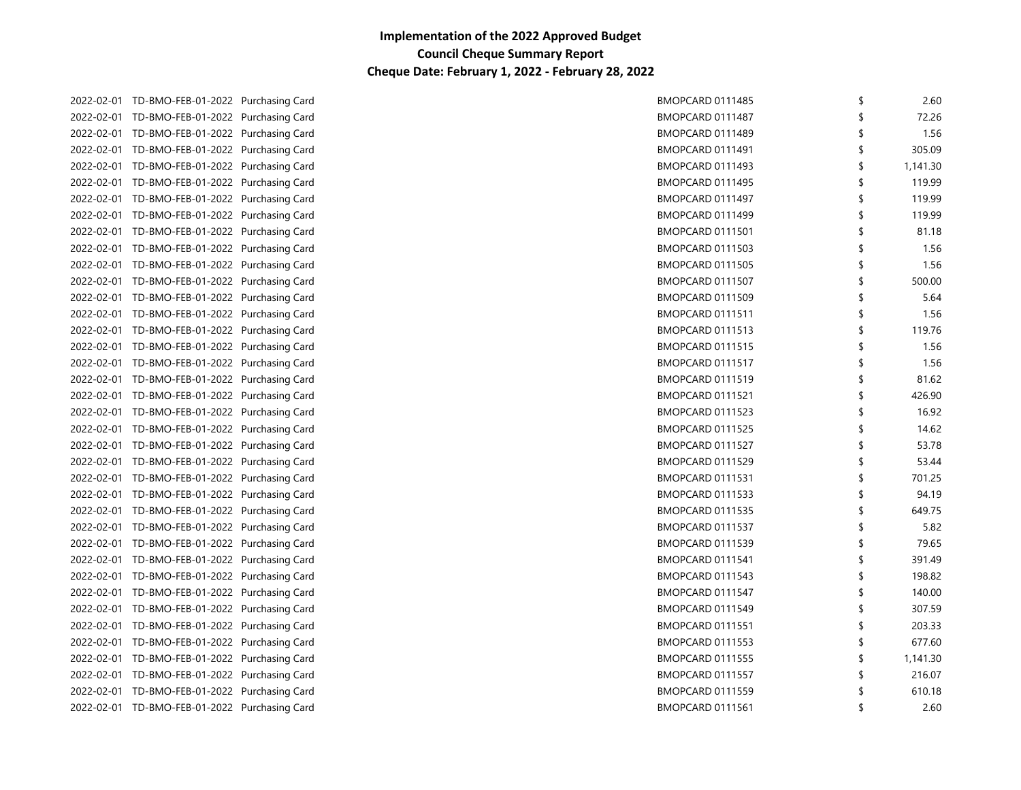| 2022-02-01 TD-BMO-FEB-01-2022 Purchasing Card | BMOPCARD 0111485        | \$ | 2.60     |
|-----------------------------------------------|-------------------------|----|----------|
| 2022-02-01 TD-BMO-FEB-01-2022 Purchasing Card | BMOPCARD 0111487        |    | 72.26    |
| 2022-02-01 TD-BMO-FEB-01-2022 Purchasing Card | BMOPCARD 0111489        |    | 1.56     |
| 2022-02-01 TD-BMO-FEB-01-2022 Purchasing Card | BMOPCARD 0111491        | \$ | 305.09   |
| 2022-02-01 TD-BMO-FEB-01-2022 Purchasing Card | BMOPCARD 0111493        | \$ | 1,141.30 |
| 2022-02-01 TD-BMO-FEB-01-2022 Purchasing Card | BMOPCARD 0111495        | \$ | 119.99   |
| 2022-02-01 TD-BMO-FEB-01-2022 Purchasing Card | BMOPCARD 0111497        | \$ | 119.99   |
| 2022-02-01 TD-BMO-FEB-01-2022 Purchasing Card | BMOPCARD 0111499        | \$ | 119.99   |
| 2022-02-01 TD-BMO-FEB-01-2022 Purchasing Card | <b>BMOPCARD 0111501</b> | \$ | 81.18    |
| 2022-02-01 TD-BMO-FEB-01-2022 Purchasing Card | BMOPCARD 0111503        | \$ | 1.56     |
| 2022-02-01 TD-BMO-FEB-01-2022 Purchasing Card | BMOPCARD 0111505        | \$ | 1.56     |
| 2022-02-01 TD-BMO-FEB-01-2022 Purchasing Card | BMOPCARD 0111507        | \$ | 500.00   |
| 2022-02-01 TD-BMO-FEB-01-2022 Purchasing Card | BMOPCARD 0111509        | \$ | 5.64     |
| 2022-02-01 TD-BMO-FEB-01-2022 Purchasing Card | BMOPCARD 0111511        | \$ | 1.56     |
| 2022-02-01 TD-BMO-FEB-01-2022 Purchasing Card | BMOPCARD 0111513        | \$ | 119.76   |
| 2022-02-01 TD-BMO-FEB-01-2022 Purchasing Card | BMOPCARD 0111515        | \$ | 1.56     |
| 2022-02-01 TD-BMO-FEB-01-2022 Purchasing Card | BMOPCARD 0111517        | \$ | 1.56     |
| 2022-02-01 TD-BMO-FEB-01-2022 Purchasing Card | BMOPCARD 0111519        | \$ | 81.62    |
| 2022-02-01 TD-BMO-FEB-01-2022 Purchasing Card | BMOPCARD 0111521        | \$ | 426.90   |
| 2022-02-01 TD-BMO-FEB-01-2022 Purchasing Card | BMOPCARD 0111523        | \$ | 16.92    |
| 2022-02-01 TD-BMO-FEB-01-2022 Purchasing Card | BMOPCARD 0111525        | \$ | 14.62    |
| 2022-02-01 TD-BMO-FEB-01-2022 Purchasing Card | <b>BMOPCARD 0111527</b> | \$ | 53.78    |
| 2022-02-01 TD-BMO-FEB-01-2022 Purchasing Card | BMOPCARD 0111529        | \$ | 53.44    |
| 2022-02-01 TD-BMO-FEB-01-2022 Purchasing Card | BMOPCARD 0111531        | \$ | 701.25   |
| 2022-02-01 TD-BMO-FEB-01-2022 Purchasing Card | BMOPCARD 0111533        | \$ | 94.19    |
| 2022-02-01 TD-BMO-FEB-01-2022 Purchasing Card | BMOPCARD 0111535        | \$ | 649.75   |
| 2022-02-01 TD-BMO-FEB-01-2022 Purchasing Card | BMOPCARD 0111537        | \$ | 5.82     |
| 2022-02-01 TD-BMO-FEB-01-2022 Purchasing Card | BMOPCARD 0111539        | \$ | 79.65    |
| 2022-02-01 TD-BMO-FEB-01-2022 Purchasing Card | BMOPCARD 0111541        | \$ | 391.49   |
| 2022-02-01 TD-BMO-FEB-01-2022 Purchasing Card | BMOPCARD 0111543        | \$ | 198.82   |
| 2022-02-01 TD-BMO-FEB-01-2022 Purchasing Card | BMOPCARD 0111547        | \$ | 140.00   |
| 2022-02-01 TD-BMO-FEB-01-2022 Purchasing Card | BMOPCARD 0111549        | \$ | 307.59   |
| 2022-02-01 TD-BMO-FEB-01-2022 Purchasing Card | BMOPCARD 0111551        | \$ | 203.33   |
| 2022-02-01 TD-BMO-FEB-01-2022 Purchasing Card | BMOPCARD 0111553        | \$ | 677.60   |
| 2022-02-01 TD-BMO-FEB-01-2022 Purchasing Card | BMOPCARD 0111555        | \$ | 1,141.30 |
| 2022-02-01 TD-BMO-FEB-01-2022 Purchasing Card | BMOPCARD 0111557        | \$ | 216.07   |
| 2022-02-01 TD-BMO-FEB-01-2022 Purchasing Card | BMOPCARD 0111559        | \$ | 610.18   |
| 2022-02-01 TD-BMO-FEB-01-2022 Purchasing Card | <b>BMOPCARD 0111561</b> | ≮  | 2.60     |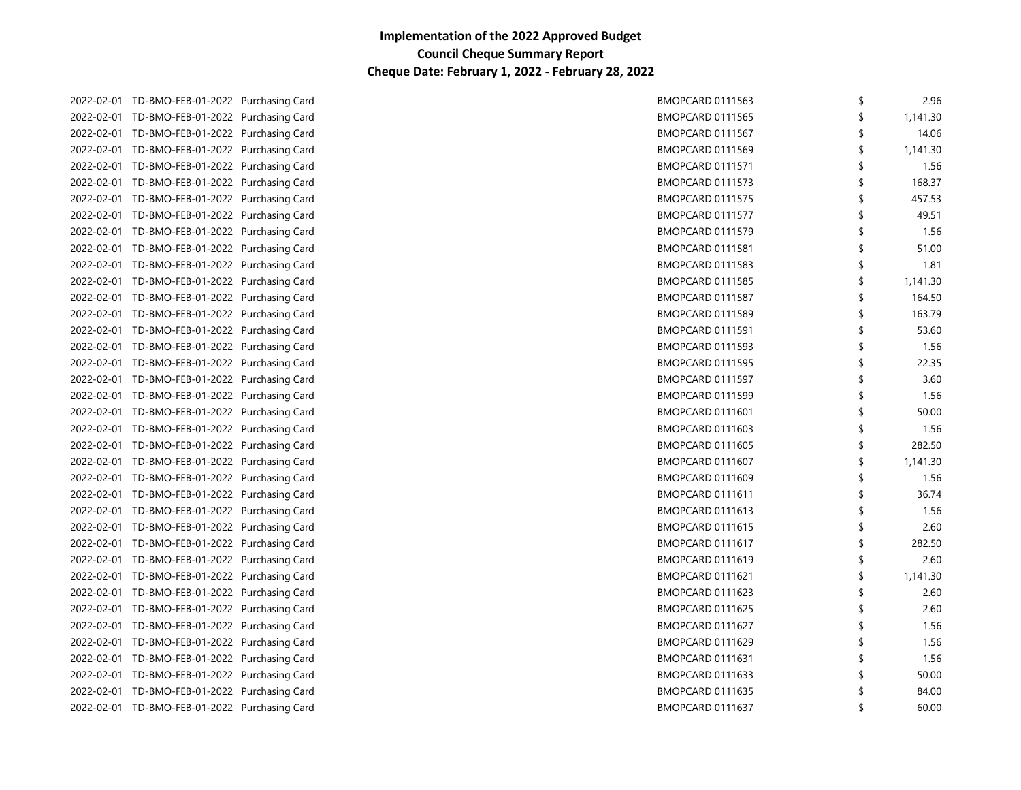| 2022-02-01 TD-BMO-FEB-01-2022 Purchasing Card | BMOPCARD 0111563        | \$ | 2.96     |
|-----------------------------------------------|-------------------------|----|----------|
| 2022-02-01 TD-BMO-FEB-01-2022 Purchasing Card | BMOPCARD 0111565        | \$ | 1,141.30 |
| 2022-02-01 TD-BMO-FEB-01-2022 Purchasing Card | BMOPCARD 0111567        | \$ | 14.06    |
| 2022-02-01 TD-BMO-FEB-01-2022 Purchasing Card | BMOPCARD 0111569        | \$ | 1,141.30 |
| 2022-02-01 TD-BMO-FEB-01-2022 Purchasing Card | BMOPCARD 0111571        | \$ | 1.56     |
| 2022-02-01 TD-BMO-FEB-01-2022 Purchasing Card | BMOPCARD 0111573        | \$ | 168.37   |
| 2022-02-01 TD-BMO-FEB-01-2022 Purchasing Card | BMOPCARD 0111575        | \$ | 457.53   |
| 2022-02-01 TD-BMO-FEB-01-2022 Purchasing Card | BMOPCARD 0111577        | \$ | 49.51    |
| 2022-02-01 TD-BMO-FEB-01-2022 Purchasing Card | BMOPCARD 0111579        | \$ | 1.56     |
| 2022-02-01 TD-BMO-FEB-01-2022 Purchasing Card | BMOPCARD 0111581        | \$ | 51.00    |
| 2022-02-01 TD-BMO-FEB-01-2022 Purchasing Card | BMOPCARD 0111583        | \$ | 1.81     |
| 2022-02-01 TD-BMO-FEB-01-2022 Purchasing Card | <b>BMOPCARD 0111585</b> | \$ | 1,141.30 |
| 2022-02-01 TD-BMO-FEB-01-2022 Purchasing Card | BMOPCARD 0111587        | \$ | 164.50   |
| 2022-02-01 TD-BMO-FEB-01-2022 Purchasing Card | BMOPCARD 0111589        | \$ | 163.79   |
| 2022-02-01 TD-BMO-FEB-01-2022 Purchasing Card | BMOPCARD 0111591        | \$ | 53.60    |
| 2022-02-01 TD-BMO-FEB-01-2022 Purchasing Card | BMOPCARD 0111593        | \$ | 1.56     |
| 2022-02-01 TD-BMO-FEB-01-2022 Purchasing Card | BMOPCARD 0111595        | \$ | 22.35    |
| 2022-02-01 TD-BMO-FEB-01-2022 Purchasing Card | BMOPCARD 0111597        | \$ | 3.60     |
| 2022-02-01 TD-BMO-FEB-01-2022 Purchasing Card | BMOPCARD 0111599        | \$ | 1.56     |
| 2022-02-01 TD-BMO-FEB-01-2022 Purchasing Card | BMOPCARD 0111601        | \$ | 50.00    |
| 2022-02-01 TD-BMO-FEB-01-2022 Purchasing Card | BMOPCARD 0111603        | \$ | 1.56     |
| 2022-02-01 TD-BMO-FEB-01-2022 Purchasing Card | BMOPCARD 0111605        | \$ | 282.50   |
| 2022-02-01 TD-BMO-FEB-01-2022 Purchasing Card | BMOPCARD 0111607        | \$ | 1,141.30 |
| 2022-02-01 TD-BMO-FEB-01-2022 Purchasing Card | BMOPCARD 0111609        | \$ | 1.56     |
| 2022-02-01 TD-BMO-FEB-01-2022 Purchasing Card | BMOPCARD 0111611        | \$ | 36.74    |
| 2022-02-01 TD-BMO-FEB-01-2022 Purchasing Card | BMOPCARD 0111613        | \$ | 1.56     |
| 2022-02-01 TD-BMO-FEB-01-2022 Purchasing Card | BMOPCARD 0111615        | \$ | 2.60     |
| 2022-02-01 TD-BMO-FEB-01-2022 Purchasing Card | BMOPCARD 0111617        | \$ | 282.50   |
| 2022-02-01 TD-BMO-FEB-01-2022 Purchasing Card | BMOPCARD 0111619        | \$ | 2.60     |
| 2022-02-01 TD-BMO-FEB-01-2022 Purchasing Card | BMOPCARD 0111621        | \$ | 1,141.30 |
| 2022-02-01 TD-BMO-FEB-01-2022 Purchasing Card | BMOPCARD 0111623        | \$ | 2.60     |
| 2022-02-01 TD-BMO-FEB-01-2022 Purchasing Card | BMOPCARD 0111625        | \$ | 2.60     |
| 2022-02-01 TD-BMO-FEB-01-2022 Purchasing Card | BMOPCARD 0111627        | \$ | 1.56     |
| 2022-02-01 TD-BMO-FEB-01-2022 Purchasing Card | BMOPCARD 0111629        | \$ | 1.56     |
| 2022-02-01 TD-BMO-FEB-01-2022 Purchasing Card | BMOPCARD 0111631        | \$ | 1.56     |
| 2022-02-01 TD-BMO-FEB-01-2022 Purchasing Card | BMOPCARD 0111633        | \$ | 50.00    |
| 2022-02-01 TD-BMO-FEB-01-2022 Purchasing Card | BMOPCARD 0111635        | \$ | 84.00    |
| 2022-02-01 TD-BMO-FEB-01-2022 Purchasing Card | BMOPCARD 0111637        | ≮  | 60.00    |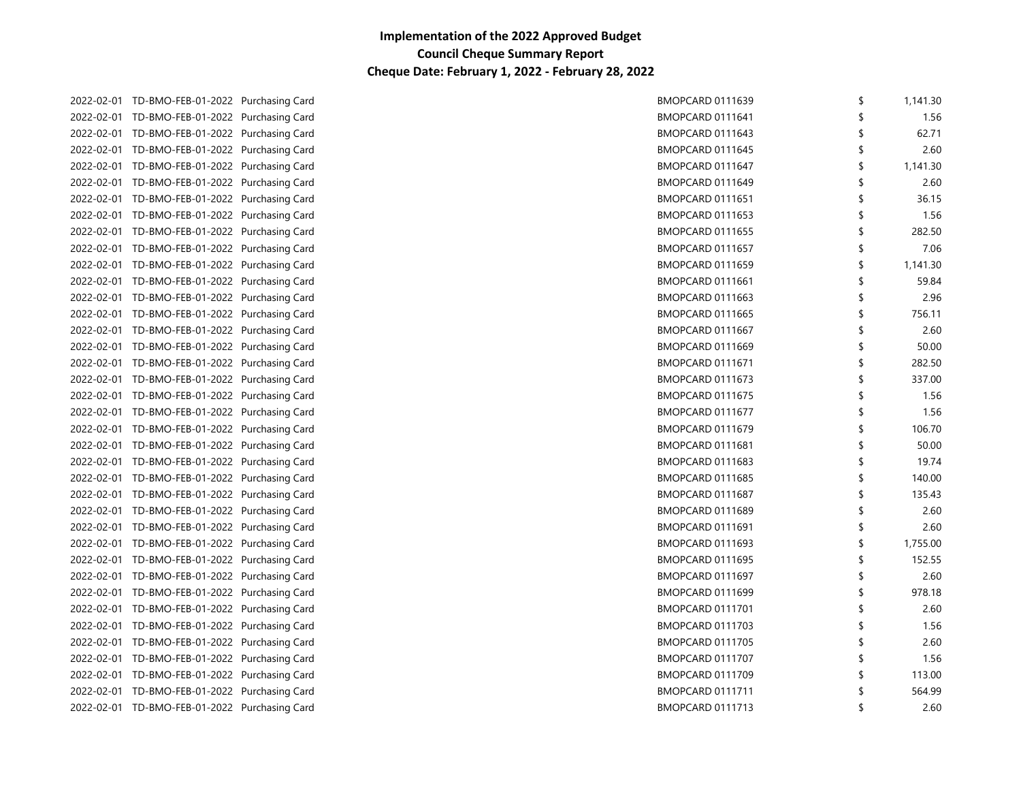| 2022-02-01 TD-BMO-FEB-01-2022 Purchasing Card | <b>BMOPCARD 0111639</b> | \$ | 1,141.30 |
|-----------------------------------------------|-------------------------|----|----------|
| 2022-02-01 TD-BMO-FEB-01-2022 Purchasing Card | BMOPCARD 0111641        |    | 1.56     |
| 2022-02-01 TD-BMO-FEB-01-2022 Purchasing Card | BMOPCARD 0111643        | \$ | 62.71    |
| 2022-02-01 TD-BMO-FEB-01-2022 Purchasing Card | BMOPCARD 0111645        | \$ | 2.60     |
| 2022-02-01 TD-BMO-FEB-01-2022 Purchasing Card | BMOPCARD 0111647        | \$ | 1,141.30 |
| 2022-02-01 TD-BMO-FEB-01-2022 Purchasing Card | BMOPCARD 0111649        | \$ | 2.60     |
| 2022-02-01 TD-BMO-FEB-01-2022 Purchasing Card | <b>BMOPCARD 0111651</b> | \$ | 36.15    |
| 2022-02-01 TD-BMO-FEB-01-2022 Purchasing Card | <b>BMOPCARD 0111653</b> | \$ | 1.56     |
| 2022-02-01 TD-BMO-FEB-01-2022 Purchasing Card | BMOPCARD 0111655        | \$ | 282.50   |
| 2022-02-01 TD-BMO-FEB-01-2022 Purchasing Card | BMOPCARD 0111657        | \$ | 7.06     |
| 2022-02-01 TD-BMO-FEB-01-2022 Purchasing Card | BMOPCARD 0111659        | \$ | 1,141.30 |
| 2022-02-01 TD-BMO-FEB-01-2022 Purchasing Card | <b>BMOPCARD 0111661</b> | \$ | 59.84    |
| 2022-02-01 TD-BMO-FEB-01-2022 Purchasing Card | BMOPCARD 0111663        | \$ | 2.96     |
| 2022-02-01 TD-BMO-FEB-01-2022 Purchasing Card | BMOPCARD 0111665        | \$ | 756.11   |
| 2022-02-01 TD-BMO-FEB-01-2022 Purchasing Card | BMOPCARD 0111667        | \$ | 2.60     |
| 2022-02-01 TD-BMO-FEB-01-2022 Purchasing Card | BMOPCARD 0111669        | \$ | 50.00    |
| 2022-02-01 TD-BMO-FEB-01-2022 Purchasing Card | <b>BMOPCARD 0111671</b> | \$ | 282.50   |
| 2022-02-01 TD-BMO-FEB-01-2022 Purchasing Card | BMOPCARD 0111673        | \$ | 337.00   |
| 2022-02-01 TD-BMO-FEB-01-2022 Purchasing Card | BMOPCARD 0111675        | \$ | 1.56     |
| 2022-02-01 TD-BMO-FEB-01-2022 Purchasing Card | BMOPCARD 0111677        | \$ | 1.56     |
| 2022-02-01 TD-BMO-FEB-01-2022 Purchasing Card | BMOPCARD 0111679        | \$ | 106.70   |
| 2022-02-01 TD-BMO-FEB-01-2022 Purchasing Card | <b>BMOPCARD 0111681</b> | \$ | 50.00    |
| 2022-02-01 TD-BMO-FEB-01-2022 Purchasing Card | BMOPCARD 0111683        | \$ | 19.74    |
| 2022-02-01 TD-BMO-FEB-01-2022 Purchasing Card | BMOPCARD 0111685        | \$ | 140.00   |
| 2022-02-01 TD-BMO-FEB-01-2022 Purchasing Card | BMOPCARD 0111687        | \$ | 135.43   |
| 2022-02-01 TD-BMO-FEB-01-2022 Purchasing Card | BMOPCARD 0111689        | \$ | 2.60     |
| 2022-02-01 TD-BMO-FEB-01-2022 Purchasing Card | <b>BMOPCARD 0111691</b> | \$ | 2.60     |
| 2022-02-01 TD-BMO-FEB-01-2022 Purchasing Card | BMOPCARD 0111693        | \$ | 1,755.00 |
| 2022-02-01 TD-BMO-FEB-01-2022 Purchasing Card | BMOPCARD 0111695        | \$ | 152.55   |
| 2022-02-01 TD-BMO-FEB-01-2022 Purchasing Card | BMOPCARD 0111697        | \$ | 2.60     |
| 2022-02-01 TD-BMO-FEB-01-2022 Purchasing Card | BMOPCARD 0111699        | \$ | 978.18   |
| 2022-02-01 TD-BMO-FEB-01-2022 Purchasing Card | BMOPCARD 0111701        | \$ | 2.60     |
| 2022-02-01 TD-BMO-FEB-01-2022 Purchasing Card | BMOPCARD 0111703        | \$ | 1.56     |
| 2022-02-01 TD-BMO-FEB-01-2022 Purchasing Card | BMOPCARD 0111705        | \$ | 2.60     |
| 2022-02-01 TD-BMO-FEB-01-2022 Purchasing Card | BMOPCARD 0111707        | \$ | 1.56     |
| 2022-02-01 TD-BMO-FEB-01-2022 Purchasing Card | BMOPCARD 0111709        | \$ | 113.00   |
| 2022-02-01 TD-BMO-FEB-01-2022 Purchasing Card | BMOPCARD 0111711        | \$ | 564.99   |
| 2022-02-01 TD-BMO-FEB-01-2022 Purchasing Card | <b>BMOPCARD 0111713</b> | ≮  | 2.60     |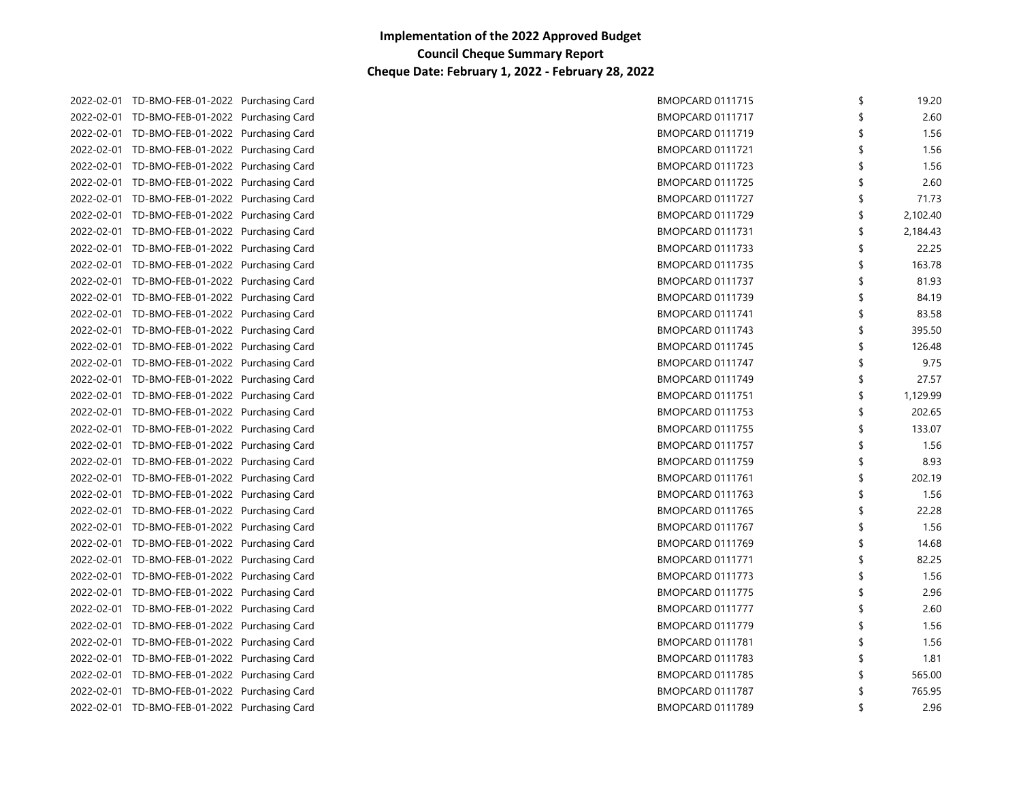| 2022-02-01 TD-BMO-FEB-01-2022 Purchasing Card | <b>BMOPCARD 0111715</b> | \$                 | 19.20    |
|-----------------------------------------------|-------------------------|--------------------|----------|
| 2022-02-01 TD-BMO-FEB-01-2022 Purchasing Card | BMOPCARD 0111717        |                    | 2.60     |
| 2022-02-01 TD-BMO-FEB-01-2022 Purchasing Card | BMOPCARD 0111719        |                    | 1.56     |
| 2022-02-01 TD-BMO-FEB-01-2022 Purchasing Card | <b>BMOPCARD 0111721</b> | \$                 | 1.56     |
| 2022-02-01 TD-BMO-FEB-01-2022 Purchasing Card | BMOPCARD 0111723        | \$                 | 1.56     |
| 2022-02-01 TD-BMO-FEB-01-2022 Purchasing Card | <b>BMOPCARD 0111725</b> | \$                 | 2.60     |
| 2022-02-01 TD-BMO-FEB-01-2022 Purchasing Card | <b>BMOPCARD 0111727</b> | \$                 | 71.73    |
| 2022-02-01 TD-BMO-FEB-01-2022 Purchasing Card | BMOPCARD 0111729        | \$                 | 2,102.40 |
| 2022-02-01 TD-BMO-FEB-01-2022 Purchasing Card | BMOPCARD 0111731        | \$                 | 2,184.43 |
| 2022-02-01 TD-BMO-FEB-01-2022 Purchasing Card | BMOPCARD 0111733        | \$                 | 22.25    |
| 2022-02-01 TD-BMO-FEB-01-2022 Purchasing Card | <b>BMOPCARD 0111735</b> | \$                 | 163.78   |
| 2022-02-01 TD-BMO-FEB-01-2022 Purchasing Card | BMOPCARD 0111737        | \$                 | 81.93    |
| 2022-02-01 TD-BMO-FEB-01-2022 Purchasing Card | BMOPCARD 0111739        | \$                 | 84.19    |
| 2022-02-01 TD-BMO-FEB-01-2022 Purchasing Card | BMOPCARD 0111741        | \$                 | 83.58    |
| 2022-02-01 TD-BMO-FEB-01-2022 Purchasing Card | BMOPCARD 0111743        | \$                 | 395.50   |
| 2022-02-01 TD-BMO-FEB-01-2022 Purchasing Card | BMOPCARD 0111745        | \$                 | 126.48   |
| 2022-02-01 TD-BMO-FEB-01-2022 Purchasing Card | BMOPCARD 0111747        | \$                 | 9.75     |
| 2022-02-01 TD-BMO-FEB-01-2022 Purchasing Card | BMOPCARD 0111749        | \$                 | 27.57    |
| 2022-02-01 TD-BMO-FEB-01-2022 Purchasing Card | BMOPCARD 0111751        | \$                 | 1,129.99 |
| 2022-02-01 TD-BMO-FEB-01-2022 Purchasing Card | BMOPCARD 0111753        | \$                 | 202.65   |
| 2022-02-01 TD-BMO-FEB-01-2022 Purchasing Card | <b>BMOPCARD 0111755</b> | \$                 | 133.07   |
| 2022-02-01 TD-BMO-FEB-01-2022 Purchasing Card | <b>BMOPCARD 0111757</b> | \$                 | 1.56     |
| 2022-02-01 TD-BMO-FEB-01-2022 Purchasing Card | <b>BMOPCARD 0111759</b> | \$                 | 8.93     |
| 2022-02-01 TD-BMO-FEB-01-2022 Purchasing Card | BMOPCARD 0111761        | \$                 | 202.19   |
| 2022-02-01 TD-BMO-FEB-01-2022 Purchasing Card | BMOPCARD 0111763        | \$                 | 1.56     |
| 2022-02-01 TD-BMO-FEB-01-2022 Purchasing Card | <b>BMOPCARD 0111765</b> | \$                 | 22.28    |
| 2022-02-01 TD-BMO-FEB-01-2022 Purchasing Card | BMOPCARD 0111767        | \$                 | 1.56     |
| 2022-02-01 TD-BMO-FEB-01-2022 Purchasing Card | BMOPCARD 0111769        | \$                 | 14.68    |
| 2022-02-01 TD-BMO-FEB-01-2022 Purchasing Card | BMOPCARD 0111771        | \$                 | 82.25    |
| 2022-02-01 TD-BMO-FEB-01-2022 Purchasing Card | BMOPCARD 0111773        | \$                 | 1.56     |
| 2022-02-01 TD-BMO-FEB-01-2022 Purchasing Card | BMOPCARD 0111775        | \$                 | 2.96     |
| 2022-02-01 TD-BMO-FEB-01-2022 Purchasing Card | BMOPCARD 0111777        | \$                 | 2.60     |
| 2022-02-01 TD-BMO-FEB-01-2022 Purchasing Card | BMOPCARD 0111779        | \$                 | 1.56     |
| 2022-02-01 TD-BMO-FEB-01-2022 Purchasing Card | BMOPCARD 0111781        | \$                 | 1.56     |
| 2022-02-01 TD-BMO-FEB-01-2022 Purchasing Card | BMOPCARD 0111783        | \$                 | 1.81     |
| 2022-02-01 TD-BMO-FEB-01-2022 Purchasing Card | <b>BMOPCARD 0111785</b> | \$                 | 565.00   |
| 2022-02-01 TD-BMO-FEB-01-2022 Purchasing Card | BMOPCARD 0111787        | \$                 | 765.95   |
| 2022-02-01 TD-BMO-FEB-01-2022 Purchasing Card | BMOPCARD 0111789        | $\mathbf{\hat{S}}$ | 2.96     |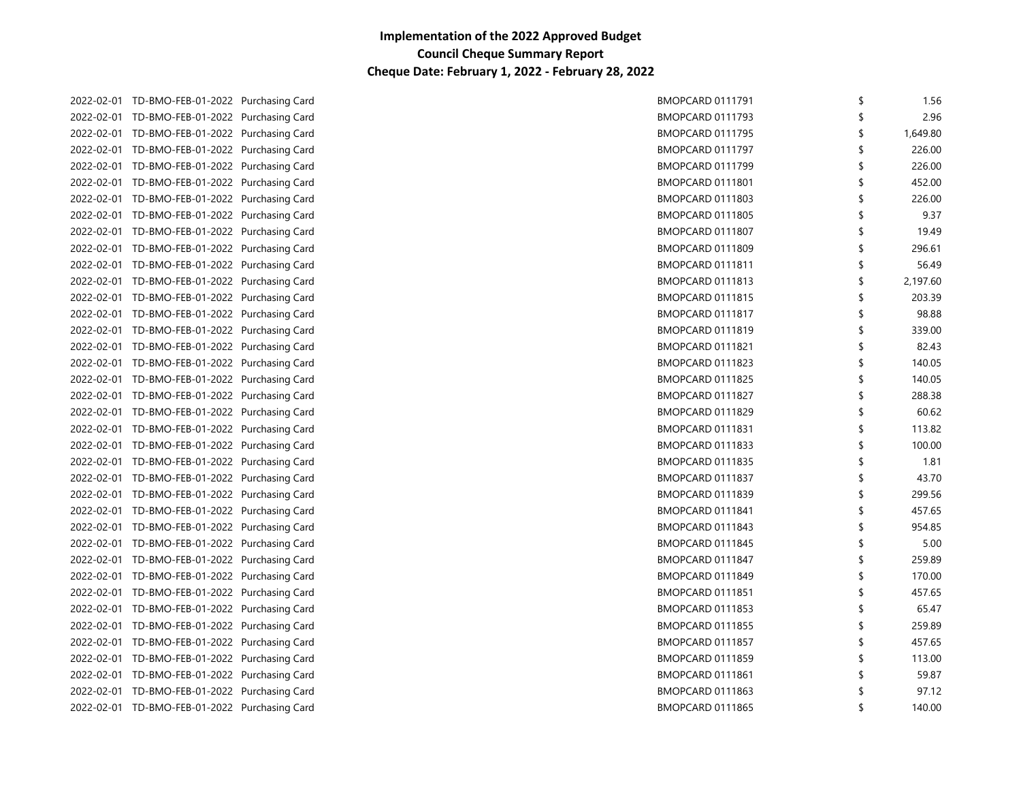| 2022-02-01 TD-BMO-FEB-01-2022 Purchasing Card | <b>BMOPCARD 0111791</b> | \$<br>1.56     |
|-----------------------------------------------|-------------------------|----------------|
| 2022-02-01 TD-BMO-FEB-01-2022 Purchasing Card | BMOPCARD 0111793        | 2.96           |
| 2022-02-01 TD-BMO-FEB-01-2022 Purchasing Card | BMOPCARD 0111795        | \$<br>1,649.80 |
| 2022-02-01 TD-BMO-FEB-01-2022 Purchasing Card | BMOPCARD 0111797        | \$<br>226.00   |
| 2022-02-01 TD-BMO-FEB-01-2022 Purchasing Card | BMOPCARD 0111799        | \$<br>226.00   |
| 2022-02-01 TD-BMO-FEB-01-2022 Purchasing Card | <b>BMOPCARD 0111801</b> | \$<br>452.00   |
| 2022-02-01 TD-BMO-FEB-01-2022 Purchasing Card | <b>BMOPCARD 0111803</b> | \$<br>226.00   |
| 2022-02-01 TD-BMO-FEB-01-2022 Purchasing Card | <b>BMOPCARD 0111805</b> | \$<br>9.37     |
| 2022-02-01 TD-BMO-FEB-01-2022 Purchasing Card | BMOPCARD 0111807        | \$<br>19.49    |
| 2022-02-01 TD-BMO-FEB-01-2022 Purchasing Card | BMOPCARD 0111809        | \$<br>296.61   |
| 2022-02-01 TD-BMO-FEB-01-2022 Purchasing Card | BMOPCARD 0111811        | \$<br>56.49    |
| 2022-02-01 TD-BMO-FEB-01-2022 Purchasing Card | <b>BMOPCARD 0111813</b> | \$<br>2,197.60 |
| 2022-02-01 TD-BMO-FEB-01-2022 Purchasing Card | <b>BMOPCARD 0111815</b> | \$<br>203.39   |
| 2022-02-01 TD-BMO-FEB-01-2022 Purchasing Card | BMOPCARD 0111817        | \$<br>98.88    |
| 2022-02-01 TD-BMO-FEB-01-2022 Purchasing Card | BMOPCARD 0111819        | \$<br>339.00   |
| 2022-02-01 TD-BMO-FEB-01-2022 Purchasing Card | BMOPCARD 0111821        | \$<br>82.43    |
| 2022-02-01 TD-BMO-FEB-01-2022 Purchasing Card | <b>BMOPCARD 0111823</b> | \$<br>140.05   |
| 2022-02-01 TD-BMO-FEB-01-2022 Purchasing Card | BMOPCARD 0111825        | \$<br>140.05   |
| 2022-02-01 TD-BMO-FEB-01-2022 Purchasing Card | BMOPCARD 0111827        | \$<br>288.38   |
| 2022-02-01 TD-BMO-FEB-01-2022 Purchasing Card | BMOPCARD 0111829        | \$<br>60.62    |
| 2022-02-01 TD-BMO-FEB-01-2022 Purchasing Card | <b>BMOPCARD 0111831</b> | \$<br>113.82   |
| 2022-02-01 TD-BMO-FEB-01-2022 Purchasing Card | BMOPCARD 0111833        | \$<br>100.00   |
| 2022-02-01 TD-BMO-FEB-01-2022 Purchasing Card | BMOPCARD 0111835        | \$<br>1.81     |
| 2022-02-01 TD-BMO-FEB-01-2022 Purchasing Card | BMOPCARD 0111837        | \$<br>43.70    |
| 2022-02-01 TD-BMO-FEB-01-2022 Purchasing Card | BMOPCARD 0111839        | \$<br>299.56   |
| 2022-02-01 TD-BMO-FEB-01-2022 Purchasing Card | BMOPCARD 0111841        | \$<br>457.65   |
| 2022-02-01 TD-BMO-FEB-01-2022 Purchasing Card | BMOPCARD 0111843        | \$<br>954.85   |
| 2022-02-01 TD-BMO-FEB-01-2022 Purchasing Card | BMOPCARD 0111845        | \$<br>5.00     |
| 2022-02-01 TD-BMO-FEB-01-2022 Purchasing Card | BMOPCARD 0111847        | \$<br>259.89   |
| 2022-02-01 TD-BMO-FEB-01-2022 Purchasing Card | BMOPCARD 0111849        | \$<br>170.00   |
| 2022-02-01 TD-BMO-FEB-01-2022 Purchasing Card | BMOPCARD 0111851        | \$<br>457.65   |
| 2022-02-01 TD-BMO-FEB-01-2022 Purchasing Card | BMOPCARD 0111853        | \$<br>65.47    |
| 2022-02-01 TD-BMO-FEB-01-2022 Purchasing Card | <b>BMOPCARD 0111855</b> | \$<br>259.89   |
| 2022-02-01 TD-BMO-FEB-01-2022 Purchasing Card | BMOPCARD 0111857        | \$<br>457.65   |
| 2022-02-01 TD-BMO-FEB-01-2022 Purchasing Card | <b>BMOPCARD 0111859</b> | \$<br>113.00   |
| 2022-02-01 TD-BMO-FEB-01-2022 Purchasing Card | BMOPCARD 0111861        | \$<br>59.87    |
| 2022-02-01 TD-BMO-FEB-01-2022 Purchasing Card | BMOPCARD 0111863        | \$<br>97.12    |
| 2022-02-01 TD-BMO-FEB-01-2022 Purchasing Card | BMOPCARD 0111865        | \$<br>140.00   |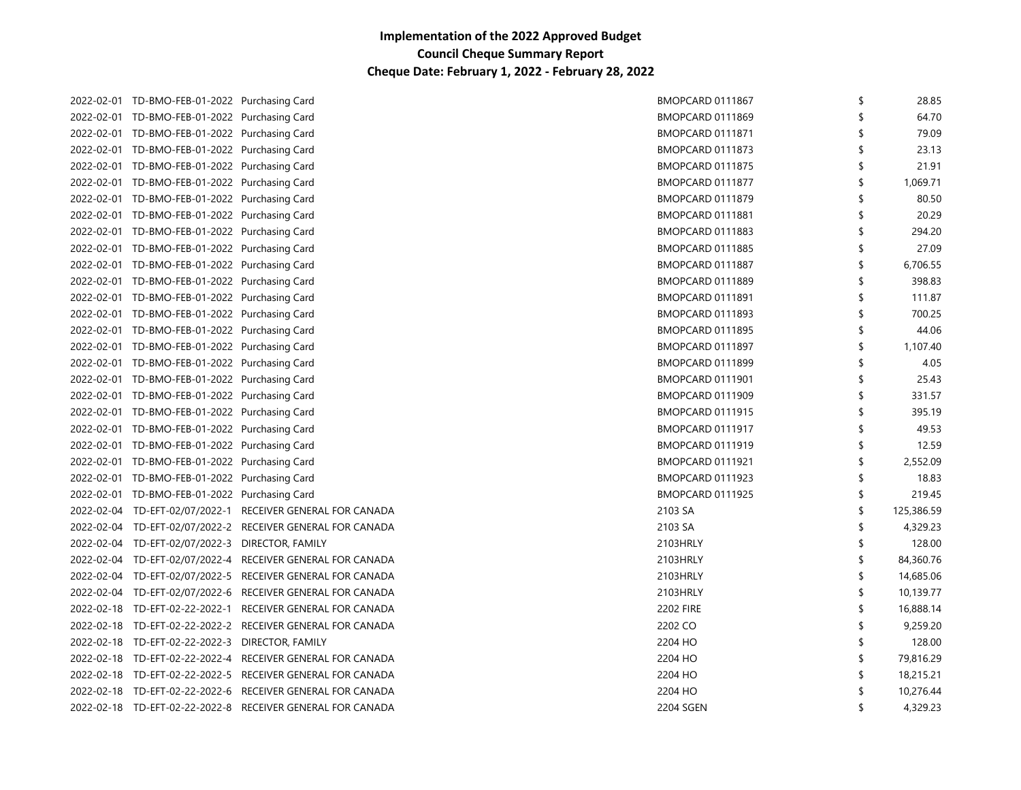| 2022-02-01 TD-BMO-FEB-01-2022 Purchasing Card   |                                                            | BMOPCARD 0111867 | \$<br>28.85      |
|-------------------------------------------------|------------------------------------------------------------|------------------|------------------|
| 2022-02-01 TD-BMO-FEB-01-2022 Purchasing Card   |                                                            | BMOPCARD 0111869 | \$<br>64.70      |
| 2022-02-01 TD-BMO-FEB-01-2022 Purchasing Card   |                                                            | BMOPCARD 0111871 | \$<br>79.09      |
| 2022-02-01 TD-BMO-FEB-01-2022 Purchasing Card   |                                                            | BMOPCARD 0111873 | \$<br>23.13      |
| 2022-02-01 TD-BMO-FEB-01-2022 Purchasing Card   |                                                            | BMOPCARD 0111875 | \$<br>21.91      |
| 2022-02-01 TD-BMO-FEB-01-2022 Purchasing Card   |                                                            | BMOPCARD 0111877 | \$<br>1,069.71   |
| 2022-02-01 TD-BMO-FEB-01-2022 Purchasing Card   |                                                            | BMOPCARD 0111879 | \$<br>80.50      |
| 2022-02-01 TD-BMO-FEB-01-2022 Purchasing Card   |                                                            | BMOPCARD 0111881 | \$<br>20.29      |
| 2022-02-01 TD-BMO-FEB-01-2022 Purchasing Card   |                                                            | BMOPCARD 0111883 | \$<br>294.20     |
| 2022-02-01 TD-BMO-FEB-01-2022 Purchasing Card   |                                                            | BMOPCARD 0111885 | \$<br>27.09      |
| 2022-02-01 TD-BMO-FEB-01-2022 Purchasing Card   |                                                            | BMOPCARD 0111887 | \$<br>6,706.55   |
| 2022-02-01 TD-BMO-FEB-01-2022 Purchasing Card   |                                                            | BMOPCARD 0111889 | \$<br>398.83     |
| 2022-02-01 TD-BMO-FEB-01-2022 Purchasing Card   |                                                            | BMOPCARD 0111891 | \$<br>111.87     |
| 2022-02-01 TD-BMO-FEB-01-2022 Purchasing Card   |                                                            | BMOPCARD 0111893 | \$<br>700.25     |
| 2022-02-01 TD-BMO-FEB-01-2022 Purchasing Card   |                                                            | BMOPCARD 0111895 | \$<br>44.06      |
| 2022-02-01 TD-BMO-FEB-01-2022 Purchasing Card   |                                                            | BMOPCARD 0111897 | \$<br>1,107.40   |
| 2022-02-01 TD-BMO-FEB-01-2022 Purchasing Card   |                                                            | BMOPCARD 0111899 | \$<br>4.05       |
| 2022-02-01 TD-BMO-FEB-01-2022 Purchasing Card   |                                                            | BMOPCARD 0111901 | \$<br>25.43      |
| 2022-02-01 TD-BMO-FEB-01-2022 Purchasing Card   |                                                            | BMOPCARD 0111909 | \$<br>331.57     |
| 2022-02-01 TD-BMO-FEB-01-2022 Purchasing Card   |                                                            | BMOPCARD 0111915 | \$<br>395.19     |
| 2022-02-01 TD-BMO-FEB-01-2022 Purchasing Card   |                                                            | BMOPCARD 0111917 | \$<br>49.53      |
| 2022-02-01 TD-BMO-FEB-01-2022 Purchasing Card   |                                                            | BMOPCARD 0111919 | \$<br>12.59      |
| 2022-02-01 TD-BMO-FEB-01-2022 Purchasing Card   |                                                            | BMOPCARD 0111921 | \$<br>2,552.09   |
| 2022-02-01 TD-BMO-FEB-01-2022 Purchasing Card   |                                                            | BMOPCARD 0111923 | \$<br>18.83      |
| 2022-02-01 TD-BMO-FEB-01-2022 Purchasing Card   |                                                            | BMOPCARD 0111925 | \$<br>219.45     |
|                                                 | 2022-02-04 TD-EFT-02/07/2022-1 RECEIVER GENERAL FOR CANADA | 2103 SA          | \$<br>125,386.59 |
|                                                 | 2022-02-04 TD-EFT-02/07/2022-2 RECEIVER GENERAL FOR CANADA | 2103 SA          | \$<br>4,329.23   |
| 2022-02-04 TD-EFT-02/07/2022-3 DIRECTOR, FAMILY |                                                            | 2103HRLY         | \$<br>128.00     |
|                                                 | 2022-02-04 TD-EFT-02/07/2022-4 RECEIVER GENERAL FOR CANADA | 2103HRLY         | \$<br>84,360.76  |
|                                                 | 2022-02-04 TD-EFT-02/07/2022-5 RECEIVER GENERAL FOR CANADA | 2103HRLY         | \$<br>14,685.06  |
|                                                 | 2022-02-04 TD-EFT-02/07/2022-6 RECEIVER GENERAL FOR CANADA | 2103HRLY         | \$<br>10,139.77  |
|                                                 | 2022-02-18 TD-EFT-02-22-2022-1 RECEIVER GENERAL FOR CANADA | 2202 FIRE        | \$<br>16,888.14  |
|                                                 | 2022-02-18 TD-EFT-02-22-2022-2 RECEIVER GENERAL FOR CANADA | 2202 CO          | \$<br>9,259.20   |
| 2022-02-18 TD-EFT-02-22-2022-3 DIRECTOR, FAMILY |                                                            | 2204 HO          | \$<br>128.00     |
|                                                 | 2022-02-18 TD-EFT-02-22-2022-4 RECEIVER GENERAL FOR CANADA | 2204 HO          | \$<br>79,816.29  |
|                                                 | 2022-02-18 TD-EFT-02-22-2022-5 RECEIVER GENERAL FOR CANADA | 2204 HO          | \$<br>18,215.21  |
|                                                 | 2022-02-18 TD-EFT-02-22-2022-6 RECEIVER GENERAL FOR CANADA | 2204 HO          | \$<br>10,276.44  |
|                                                 | 2022-02-18 TD-EFT-02-22-2022-8 RECEIVER GENERAL FOR CANADA | 2204 SGEN        | \$<br>4,329.23   |